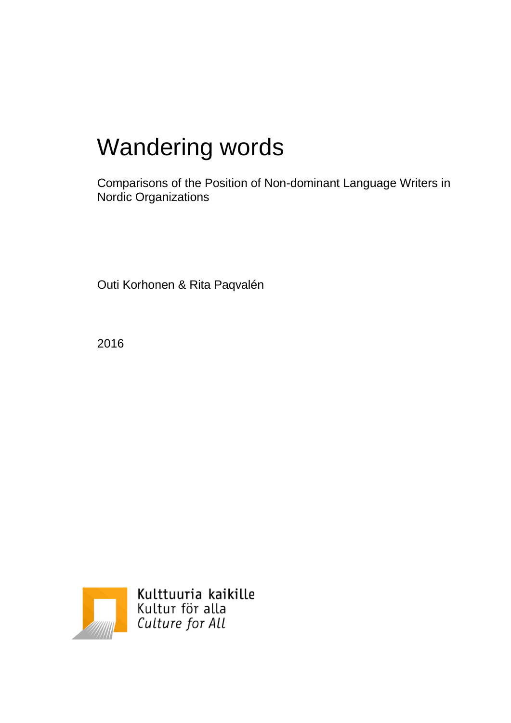# Wandering words

Comparisons of the Position of Non-dominant Language Writers in Nordic Organizations

Outi Korhonen & Rita Paqvalén

2016



Kulttuuria kaikille Kultur för alla<br>Culture for All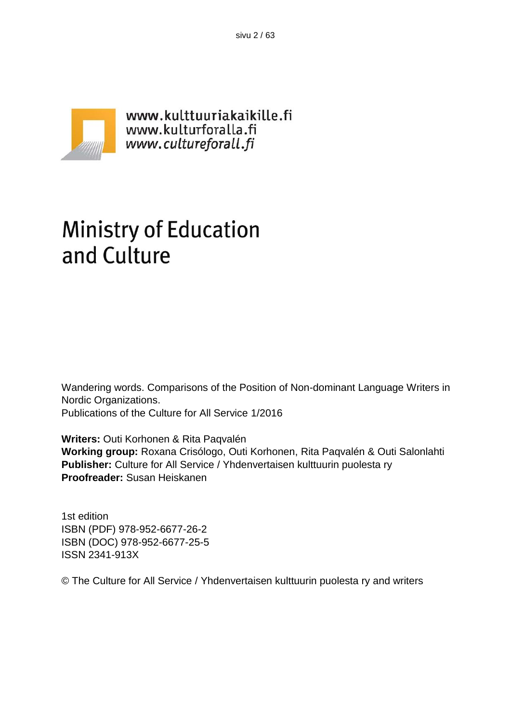sivu 2 / 63



# **Ministry of Education** and Culture

Wandering words. Comparisons of the Position of Non-dominant Language Writers in Nordic Organizations.

Publications of the Culture for All Service 1/2016

**Writers:** Outi Korhonen & Rita Paqvalén **Working group:** Roxana Crisólogo, Outi Korhonen, Rita Paqvalén & Outi Salonlahti **Publisher:** Culture for All Service / Yhdenvertaisen kulttuurin puolesta ry **Proofreader:** Susan Heiskanen

1st edition ISBN (PDF) 978-952-6677-26-2 ISBN (DOC) 978-952-6677-25-5 ISSN 2341-913X

© The Culture for All Service / Yhdenvertaisen kulttuurin puolesta ry and writers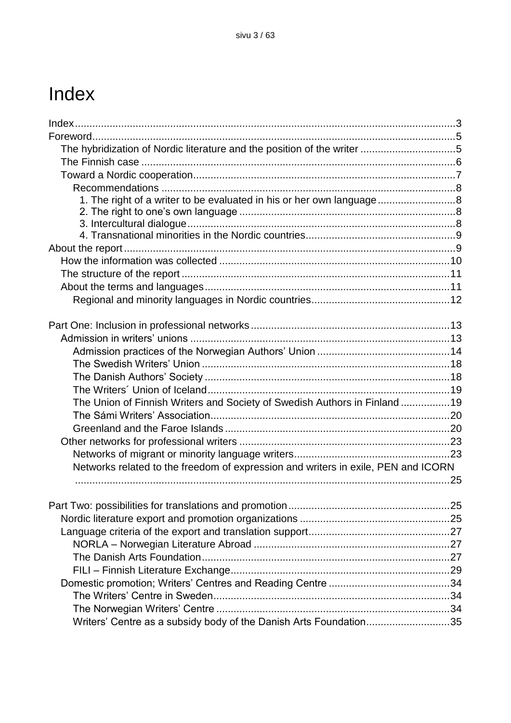## Index

| The hybridization of Nordic literature and the position of the writer 5           |    |
|-----------------------------------------------------------------------------------|----|
|                                                                                   |    |
|                                                                                   |    |
|                                                                                   |    |
| 1. The right of a writer to be evaluated in his or her own language               |    |
|                                                                                   |    |
|                                                                                   |    |
|                                                                                   |    |
|                                                                                   |    |
|                                                                                   |    |
|                                                                                   |    |
|                                                                                   |    |
|                                                                                   |    |
|                                                                                   |    |
|                                                                                   |    |
|                                                                                   |    |
|                                                                                   |    |
|                                                                                   |    |
|                                                                                   |    |
|                                                                                   |    |
| The Union of Finnish Writers and Society of Swedish Authors in Finland 19         |    |
|                                                                                   |    |
|                                                                                   |    |
|                                                                                   |    |
|                                                                                   |    |
| Networks related to the freedom of expression and writers in exile, PEN and ICORN |    |
|                                                                                   | 25 |
|                                                                                   |    |
|                                                                                   |    |
|                                                                                   |    |
|                                                                                   |    |
|                                                                                   |    |
|                                                                                   |    |
|                                                                                   |    |
|                                                                                   |    |
|                                                                                   |    |
|                                                                                   |    |
| Writers' Centre as a subsidy body of the Danish Arts Foundation35                 |    |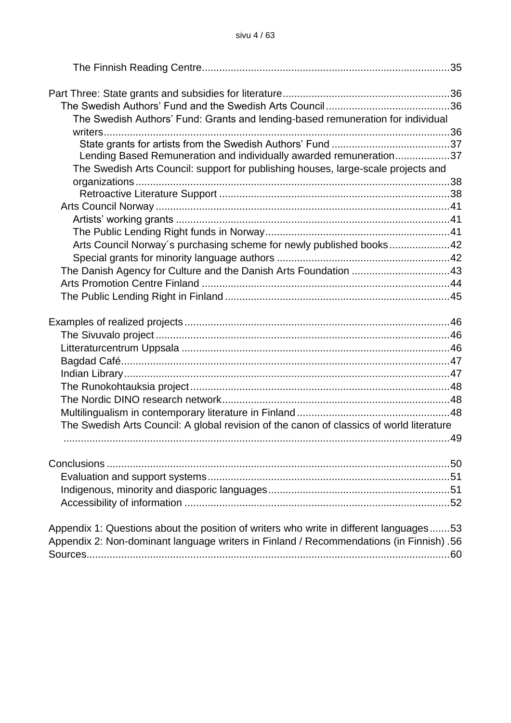| The Swedish Authors' Fund: Grants and lending-based remuneration for individual                                                                                                   |  |
|-----------------------------------------------------------------------------------------------------------------------------------------------------------------------------------|--|
|                                                                                                                                                                                   |  |
|                                                                                                                                                                                   |  |
| Lending Based Remuneration and individually awarded remuneration37<br>The Swedish Arts Council: support for publishing houses, large-scale projects and                           |  |
|                                                                                                                                                                                   |  |
|                                                                                                                                                                                   |  |
|                                                                                                                                                                                   |  |
|                                                                                                                                                                                   |  |
|                                                                                                                                                                                   |  |
| Arts Council Norway's purchasing scheme for newly published books42                                                                                                               |  |
|                                                                                                                                                                                   |  |
| The Danish Agency for Culture and the Danish Arts Foundation 43                                                                                                                   |  |
|                                                                                                                                                                                   |  |
|                                                                                                                                                                                   |  |
|                                                                                                                                                                                   |  |
|                                                                                                                                                                                   |  |
|                                                                                                                                                                                   |  |
|                                                                                                                                                                                   |  |
|                                                                                                                                                                                   |  |
|                                                                                                                                                                                   |  |
|                                                                                                                                                                                   |  |
|                                                                                                                                                                                   |  |
| The Swedish Arts Council: A global revision of the canon of classics of world literature                                                                                          |  |
|                                                                                                                                                                                   |  |
| Conclusions.                                                                                                                                                                      |  |
|                                                                                                                                                                                   |  |
|                                                                                                                                                                                   |  |
|                                                                                                                                                                                   |  |
| Appendix 1: Questions about the position of writers who write in different languages53<br>Appendix 2: Non-dominant language writers in Finland / Recommendations (in Finnish) .56 |  |
|                                                                                                                                                                                   |  |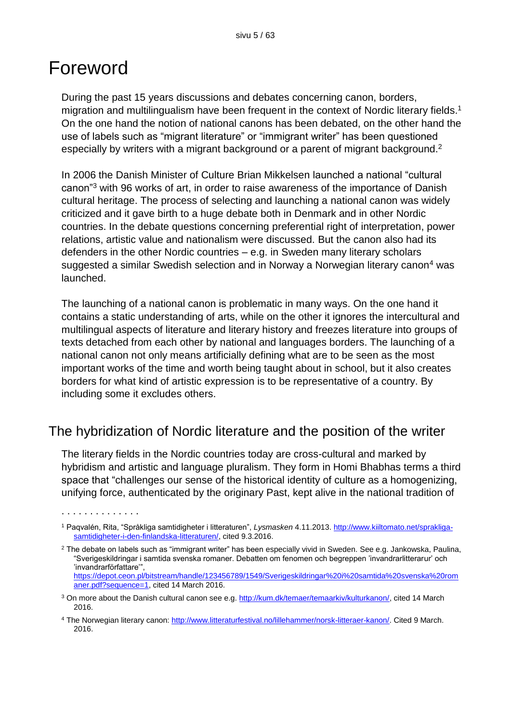## Foreword

. . . . . . . . . . . . . .

During the past 15 years discussions and debates concerning canon, borders, migration and multilingualism have been frequent in the context of Nordic literary fields.<sup>1</sup> On the one hand the notion of national canons has been debated, on the other hand the use of labels such as "migrant literature" or "immigrant writer" has been questioned especially by writers with a migrant background or a parent of migrant background.<sup>2</sup>

In 2006 the Danish Minister of Culture Brian Mikkelsen launched a national "cultural canon"<sup>3</sup> with 96 works of art, in order to raise awareness of the importance of Danish cultural heritage. The process of selecting and launching a national canon was widely criticized and it gave birth to a huge debate both in Denmark and in other Nordic countries. In the debate questions concerning preferential right of interpretation, power relations, artistic value and nationalism were discussed. But the canon also had its defenders in the other Nordic countries – e.g. in Sweden many literary scholars suggested a similar Swedish selection and in Norway a Norwegian literary canon<sup>4</sup> was launched.

The launching of a national canon is problematic in many ways. On the one hand it contains a static understanding of arts, while on the other it ignores the intercultural and multilingual aspects of literature and literary history and freezes literature into groups of texts detached from each other by national and languages borders. The launching of a national canon not only means artificially defining what are to be seen as the most important works of the time and worth being taught about in school, but it also creates borders for what kind of artistic expression is to be representative of a country. By including some it excludes others.

## The hybridization of Nordic literature and the position of the writer

The literary fields in the Nordic countries today are cross-cultural and marked by hybridism and artistic and language pluralism. They form in Homi Bhabhas terms a third space that "challenges our sense of the historical identity of culture as a homogenizing, unifying force, authenticated by the originary Past, kept alive in the national tradition of

<sup>1</sup> Paqvalén, Rita, "Språkliga samtidigheter i litteraturen", *Lysmasken* 4.11.2013[. http://www.kiiltomato.net/sprakliga](http://www.kiiltomato.net/sprakliga-samtidigheter-i-den-finlandska-litteraturen/)[samtidigheter-i-den-finlandska-litteraturen/,](http://www.kiiltomato.net/sprakliga-samtidigheter-i-den-finlandska-litteraturen/) cited 9.3.2016.

<sup>&</sup>lt;sup>2</sup> The debate on labels such as "immigrant writer" has been especially vivid in Sweden. See e.g. Jankowska, Paulina, "Sverigeskildringar i samtida svenska romaner. Debatten om fenomen och begreppen 'invandrarlitterarur' och 'invandrarförfattare'", [https://depot.ceon.pl/bitstream/handle/123456789/1549/Sverigeskildringar%20i%20samtida%20svenska%20rom](https://depot.ceon.pl/bitstream/handle/123456789/1549/Sverigeskildringar%20i%20samtida%20svenska%20romaner.pdf?sequence=1) [aner.pdf?sequence=1,](https://depot.ceon.pl/bitstream/handle/123456789/1549/Sverigeskildringar%20i%20samtida%20svenska%20romaner.pdf?sequence=1) cited 14 March 2016.

<sup>3</sup> On more about the Danish cultural canon see e.g. [http://kum.dk/temaer/temaarkiv/kulturkanon/,](http://kum.dk/temaer/temaarkiv/kulturkanon/) cited 14 March 2016.

<sup>4</sup> The Norwegian literary canon: [http://www.litteraturfestival.no/lillehammer/norsk-litteraer-kanon/.](http://www.litteraturfestival.no/lillehammer/norsk-litteraer-kanon/) Cited 9 March. 2016.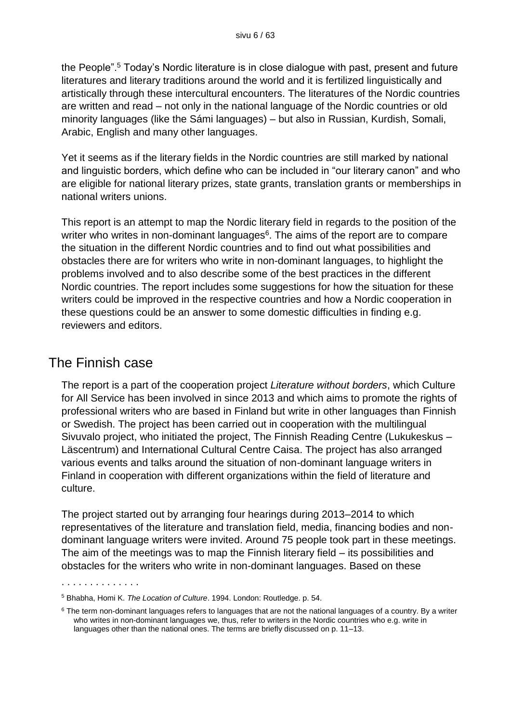the People".<sup>5</sup> Today's Nordic literature is in close dialogue with past, present and future literatures and literary traditions around the world and it is fertilized linguistically and artistically through these intercultural encounters. The literatures of the Nordic countries are written and read – not only in the national language of the Nordic countries or old minority languages (like the Sámi languages) – but also in Russian, Kurdish, Somali, Arabic, English and many other languages.

Yet it seems as if the literary fields in the Nordic countries are still marked by national and linguistic borders, which define who can be included in "our literary canon" and who are eligible for national literary prizes, state grants, translation grants or memberships in national writers unions.

This report is an attempt to map the Nordic literary field in regards to the position of the writer who writes in non-dominant languages<sup>6</sup>. The aims of the report are to compare the situation in the different Nordic countries and to find out what possibilities and obstacles there are for writers who write in non-dominant languages, to highlight the problems involved and to also describe some of the best practices in the different Nordic countries. The report includes some suggestions for how the situation for these writers could be improved in the respective countries and how a Nordic cooperation in these questions could be an answer to some domestic difficulties in finding e.g. reviewers and editors.

### The Finnish case

. . . . . . . . . . . . . .

The report is a part of the cooperation project *Literature without borders*, which Culture for All Service has been involved in since 2013 and which aims to promote the rights of professional writers who are based in Finland but write in other languages than Finnish or Swedish. The project has been carried out in cooperation with the multilingual Sivuvalo project, who initiated the project, The Finnish Reading Centre (Lukukeskus – Läscentrum) and International Cultural Centre Caisa. The project has also arranged various events and talks around the situation of non-dominant language writers in Finland in cooperation with different organizations within the field of literature and culture.

The project started out by arranging four hearings during 2013–2014 to which representatives of the literature and translation field, media, financing bodies and nondominant language writers were invited. Around 75 people took part in these meetings. The aim of the meetings was to map the Finnish literary field – its possibilities and obstacles for the writers who write in non-dominant languages. Based on these

<sup>5</sup> Bhabha, Homi K. *The Location of Culture*. 1994. London: Routledge. p. 54.

 $6$  The term non-dominant languages refers to languages that are not the national languages of a country. By a writer who writes in non-dominant languages we, thus, refer to writers in the Nordic countries who e.g. write in languages other than the national ones. The terms are briefly discussed on p. 11–13.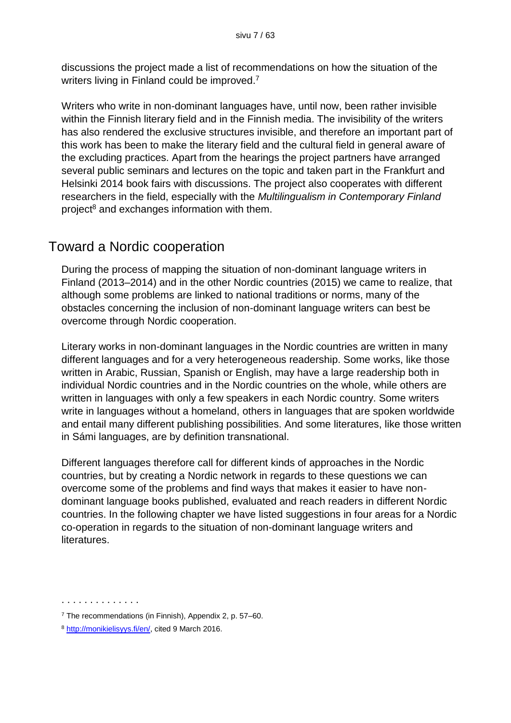discussions the project made a list of recommendations on how the situation of the writers living in Finland could be improved.<sup>7</sup>

Writers who write in non-dominant languages have, until now, been rather invisible within the Finnish literary field and in the Finnish media. The invisibility of the writers has also rendered the exclusive structures invisible, and therefore an important part of this work has been to make the literary field and the cultural field in general aware of the excluding practices. Apart from the hearings the project partners have arranged several public seminars and lectures on the topic and taken part in the Frankfurt and Helsinki 2014 book fairs with discussions. The project also cooperates with different researchers in the field, especially with the *Multilingualism in Contemporary Finland* project<sup>8</sup> and exchanges information with them.

## Toward a Nordic cooperation

During the process of mapping the situation of non-dominant language writers in Finland (2013–2014) and in the other Nordic countries (2015) we came to realize, that although some problems are linked to national traditions or norms, many of the obstacles concerning the inclusion of non-dominant language writers can best be overcome through Nordic cooperation.

Literary works in non-dominant languages in the Nordic countries are written in many different languages and for a very heterogeneous readership. Some works, like those written in Arabic, Russian, Spanish or English, may have a large readership both in individual Nordic countries and in the Nordic countries on the whole, while others are written in languages with only a few speakers in each Nordic country. Some writers write in languages without a homeland, others in languages that are spoken worldwide and entail many different publishing possibilities. And some literatures, like those written in Sámi languages, are by definition transnational.

Different languages therefore call for different kinds of approaches in the Nordic countries, but by creating a Nordic network in regards to these questions we can overcome some of the problems and find ways that makes it easier to have nondominant language books published, evaluated and reach readers in different Nordic countries. In the following chapter we have listed suggestions in four areas for a Nordic co-operation in regards to the situation of non-dominant language writers and literatures.

<sup>. . . . . . . . . . . . . .</sup> 

 $7$  The recommendations (in Finnish), Appendix 2, p. 57–60.

<sup>8</sup> [http://monikielisyys.fi/en/,](http://monikielisyys.fi/en/) cited 9 March 2016.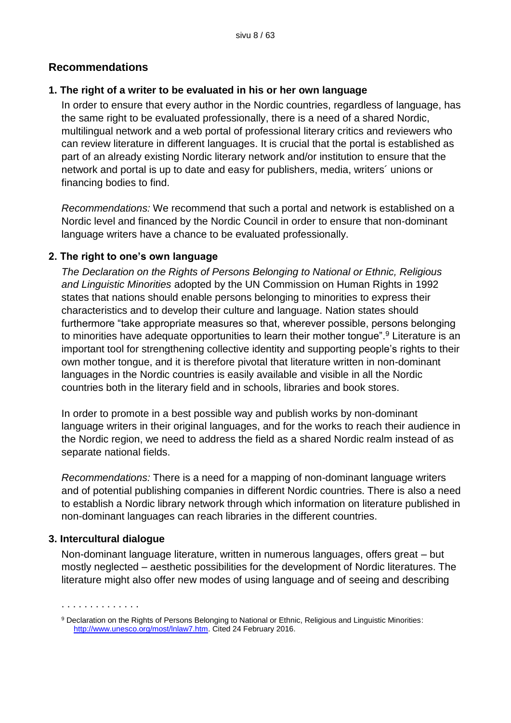#### **Recommendations**

#### **1. The right of a writer to be evaluated in his or her own language**

In order to ensure that every author in the Nordic countries, regardless of language, has the same right to be evaluated professionally, there is a need of a shared Nordic, multilingual network and a web portal of professional literary critics and reviewers who can review literature in different languages. It is crucial that the portal is established as part of an already existing Nordic literary network and/or institution to ensure that the network and portal is up to date and easy for publishers, media, writers´ unions or financing bodies to find.

*Recommendations:* We recommend that such a portal and network is established on a Nordic level and financed by the Nordic Council in order to ensure that non-dominant language writers have a chance to be evaluated professionally.

#### **2. The right to one's own language**

*The Declaration on the Rights of Persons Belonging to National or Ethnic, Religious and Linguistic Minorities* adopted by the UN Commission on Human Rights in 1992 states that nations should enable persons belonging to minorities to express their characteristics and to develop their culture and language. Nation states should furthermore "take appropriate measures so that, wherever possible, persons belonging to minorities have adequate opportunities to learn their mother tongue".<sup>9</sup> Literature is an important tool for strengthening collective identity and supporting people's rights to their own mother tongue, and it is therefore pivotal that literature written in non-dominant languages in the Nordic countries is easily available and visible in all the Nordic countries both in the literary field and in schools, libraries and book stores.

In order to promote in a best possible way and publish works by non-dominant language writers in their original languages, and for the works to reach their audience in the Nordic region, we need to address the field as a shared Nordic realm instead of as separate national fields.

*Recommendations:* There is a need for a mapping of non-dominant language writers and of potential publishing companies in different Nordic countries. There is also a need to establish a Nordic library network through which information on literature published in non-dominant languages can reach libraries in the different countries.

#### **3. Intercultural dialogue**

. . . . . . . . . . . . . .

Non-dominant language literature, written in numerous languages, offers great – but mostly neglected – aesthetic possibilities for the development of Nordic literatures. The literature might also offer new modes of using language and of seeing and describing

<sup>9</sup> Declaration on the Rights of Persons Belonging to National or Ethnic, Religious and Linguistic Minorities: [http://www.unesco.org/most/lnlaw7.htm.](http://www.unesco.org/most/lnlaw7.htm) Cited 24 February 2016.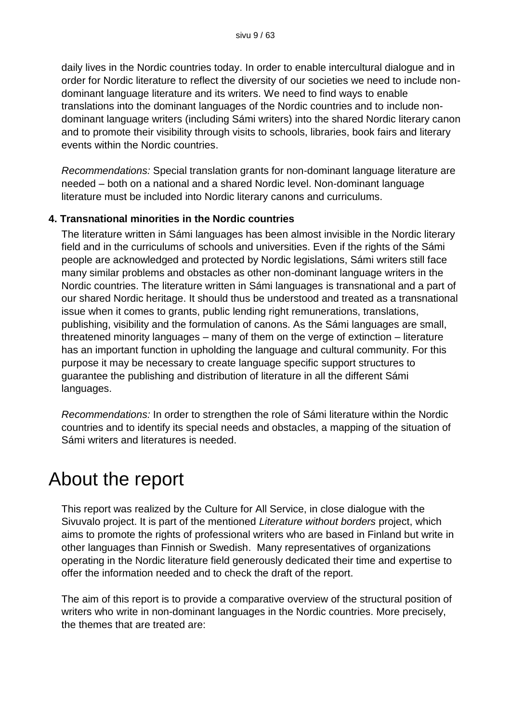daily lives in the Nordic countries today. In order to enable intercultural dialogue and in order for Nordic literature to reflect the diversity of our societies we need to include nondominant language literature and its writers. We need to find ways to enable translations into the dominant languages of the Nordic countries and to include nondominant language writers (including Sámi writers) into the shared Nordic literary canon and to promote their visibility through visits to schools, libraries, book fairs and literary events within the Nordic countries.

*Recommendations:* Special translation grants for non-dominant language literature are needed – both on a national and a shared Nordic level. Non-dominant language literature must be included into Nordic literary canons and curriculums.

#### **4. Transnational minorities in the Nordic countries**

The literature written in Sámi languages has been almost invisible in the Nordic literary field and in the curriculums of schools and universities. Even if the rights of the Sámi people are acknowledged and protected by Nordic legislations, Sámi writers still face many similar problems and obstacles as other non-dominant language writers in the Nordic countries. The literature written in Sámi languages is transnational and a part of our shared Nordic heritage. It should thus be understood and treated as a transnational issue when it comes to grants, public lending right remunerations, translations, publishing, visibility and the formulation of canons. As the Sámi languages are small, threatened minority languages – many of them on the verge of extinction – literature has an important function in upholding the language and cultural community. For this purpose it may be necessary to create language specific support structures to guarantee the publishing and distribution of literature in all the different Sámi languages.

*Recommendations:* In order to strengthen the role of Sámi literature within the Nordic countries and to identify its special needs and obstacles, a mapping of the situation of Sámi writers and literatures is needed.

## About the report

This report was realized by the Culture for All Service, in close dialogue with the Sivuvalo project. It is part of the mentioned *Literature without borders* project, which aims to promote the rights of professional writers who are based in Finland but write in other languages than Finnish or Swedish. Many representatives of organizations operating in the Nordic literature field generously dedicated their time and expertise to offer the information needed and to check the draft of the report.

The aim of this report is to provide a comparative overview of the structural position of writers who write in non-dominant languages in the Nordic countries. More precisely, the themes that are treated are: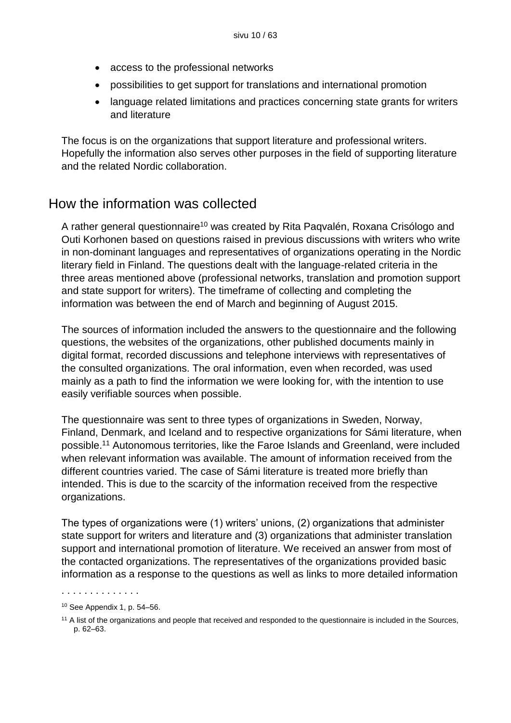- access to the professional networks
- possibilities to get support for translations and international promotion
- language related limitations and practices concerning state grants for writers and literature

The focus is on the organizations that support literature and professional writers. Hopefully the information also serves other purposes in the field of supporting literature and the related Nordic collaboration.

## How the information was collected

A rather general questionnaire<sup>10</sup> was created by Rita Pagyalén, Roxana Crisólogo and Outi Korhonen based on questions raised in previous discussions with writers who write in non-dominant languages and representatives of organizations operating in the Nordic literary field in Finland. The questions dealt with the language-related criteria in the three areas mentioned above (professional networks, translation and promotion support and state support for writers). The timeframe of collecting and completing the information was between the end of March and beginning of August 2015.

The sources of information included the answers to the questionnaire and the following questions, the websites of the organizations, other published documents mainly in digital format, recorded discussions and telephone interviews with representatives of the consulted organizations. The oral information, even when recorded, was used mainly as a path to find the information we were looking for, with the intention to use easily verifiable sources when possible.

The questionnaire was sent to three types of organizations in Sweden, Norway, Finland, Denmark, and Iceland and to respective organizations for Sámi literature, when possible. <sup>11</sup> Autonomous territories, like the Faroe Islands and Greenland, were included when relevant information was available. The amount of information received from the different countries varied. The case of Sámi literature is treated more briefly than intended. This is due to the scarcity of the information received from the respective organizations.

The types of organizations were (1) writers' unions, (2) organizations that administer state support for writers and literature and (3) organizations that administer translation support and international promotion of literature. We received an answer from most of the contacted organizations. The representatives of the organizations provided basic information as a response to the questions as well as links to more detailed information

<sup>10</sup> See Appendix 1, p. 54–56.

<sup>&</sup>lt;sup>11</sup> A list of the organizations and people that received and responded to the questionnaire is included in the Sources, p. 62–63.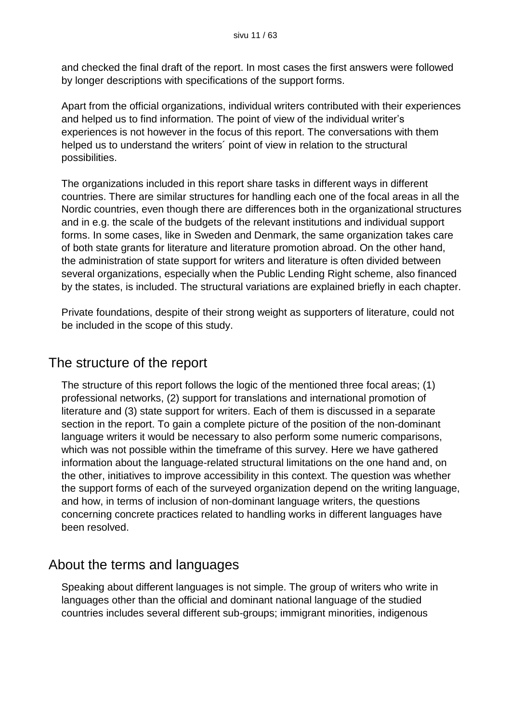and checked the final draft of the report. In most cases the first answers were followed by longer descriptions with specifications of the support forms.

Apart from the official organizations, individual writers contributed with their experiences and helped us to find information. The point of view of the individual writer's experiences is not however in the focus of this report. The conversations with them helped us to understand the writers´ point of view in relation to the structural possibilities.

The organizations included in this report share tasks in different ways in different countries. There are similar structures for handling each one of the focal areas in all the Nordic countries, even though there are differences both in the organizational structures and in e.g. the scale of the budgets of the relevant institutions and individual support forms. In some cases, like in Sweden and Denmark, the same organization takes care of both state grants for literature and literature promotion abroad. On the other hand, the administration of state support for writers and literature is often divided between several organizations, especially when the Public Lending Right scheme, also financed by the states, is included. The structural variations are explained briefly in each chapter.

Private foundations, despite of their strong weight as supporters of literature, could not be included in the scope of this study.

## The structure of the report

The structure of this report follows the logic of the mentioned three focal areas; (1) professional networks, (2) support for translations and international promotion of literature and (3) state support for writers. Each of them is discussed in a separate section in the report. To gain a complete picture of the position of the non-dominant language writers it would be necessary to also perform some numeric comparisons, which was not possible within the timeframe of this survey. Here we have gathered information about the language-related structural limitations on the one hand and, on the other, initiatives to improve accessibility in this context. The question was whether the support forms of each of the surveyed organization depend on the writing language, and how, in terms of inclusion of non-dominant language writers, the questions concerning concrete practices related to handling works in different languages have been resolved.

## About the terms and languages

Speaking about different languages is not simple. The group of writers who write in languages other than the official and dominant national language of the studied countries includes several different sub-groups; immigrant minorities, indigenous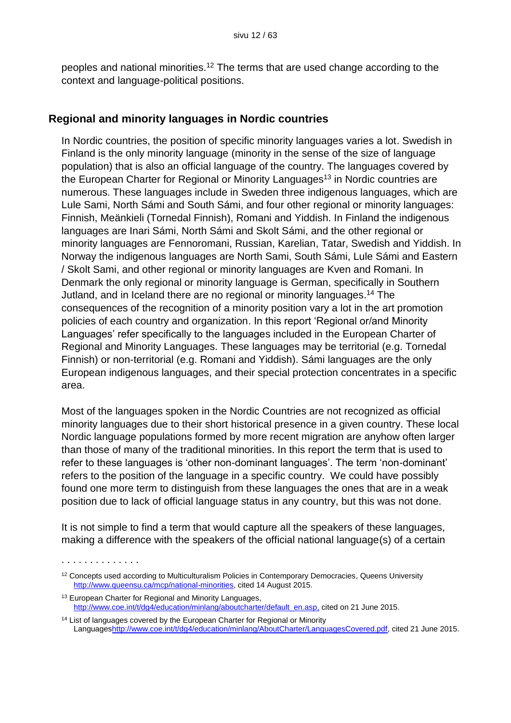peoples and national minorities.<sup>12</sup> The terms that are used change according to the context and language-political positions.

#### **Regional and minority languages in Nordic countries**

In Nordic countries, the position of specific minority languages varies a lot. Swedish in Finland is the only minority language (minority in the sense of the size of language population) that is also an official language of the country. The languages covered by the European Charter for Regional or Minority Languages<sup>13</sup> in Nordic countries are numerous. These languages include in Sweden three indigenous languages, which are Lule Sami, North Sámi and South Sámi, and four other regional or minority languages: Finnish, Meänkieli (Tornedal Finnish), Romani and Yiddish. In Finland the indigenous languages are Inari Sámi, North Sámi and Skolt Sámi, and the other regional or minority languages are Fennoromani, Russian, Karelian, Tatar, Swedish and Yiddish. In Norway the indigenous languages are North Sami, South Sámi, Lule Sámi and Eastern / Skolt Sami, and other regional or minority languages are Kven and Romani. In Denmark the only regional or minority language is German, specifically in Southern Jutland, and in Iceland there are no regional or minority languages. <sup>14</sup> The consequences of the recognition of a minority position vary a lot in the art promotion policies of each country and organization. In this report 'Regional or/and Minority Languages' refer specifically to the languages included in the European Charter of Regional and Minority Languages. These languages may be territorial (e.g. Tornedal Finnish) or non-territorial (e.g. Romani and Yiddish). Sámi languages are the only European indigenous languages, and their special protection concentrates in a specific area.

Most of the languages spoken in the Nordic Countries are not recognized as official minority languages due to their short historical presence in a given country. These local Nordic language populations formed by more recent migration are anyhow often larger than those of many of the traditional minorities. In this report the term that is used to refer to these languages is 'other non-dominant languages'. The term 'non-dominant' refers to the position of the language in a specific country. We could have possibly found one more term to distinguish from these languages the ones that are in a weak position due to lack of official language status in any country, but this was not done.

It is not simple to find a term that would capture all the speakers of these languages, making a difference with the speakers of the official national language(s) of a certain

<sup>&</sup>lt;sup>12</sup> Concepts used according to Multiculturalism Policies in Contemporary Democracies, Queens University [http://www.queensu.ca/mcp/national-minorities,](http://www.queensu.ca/mcp/national-minorities) cited 14 August 2015.

<sup>13</sup> European Charter for Regional and Minority Languages, [http://www.coe.int/t/dg4/education/minlang/aboutcharter/default\\_en.asp,](http://www.coe.int/t/dg4/education/minlang/aboutcharter/default_en.asp) cited on 21 June 2015.

<sup>&</sup>lt;sup>14</sup> List of languages covered by the European Charter for Regional or Minority Language[shttp://www.coe.int/t/dg4/education/minlang/AboutCharter/LanguagesCovered.pdf,](http://www.coe.int/t/dg4/education/minlang/AboutCharter/LanguagesCovered.pdf) cited 21 June 2015.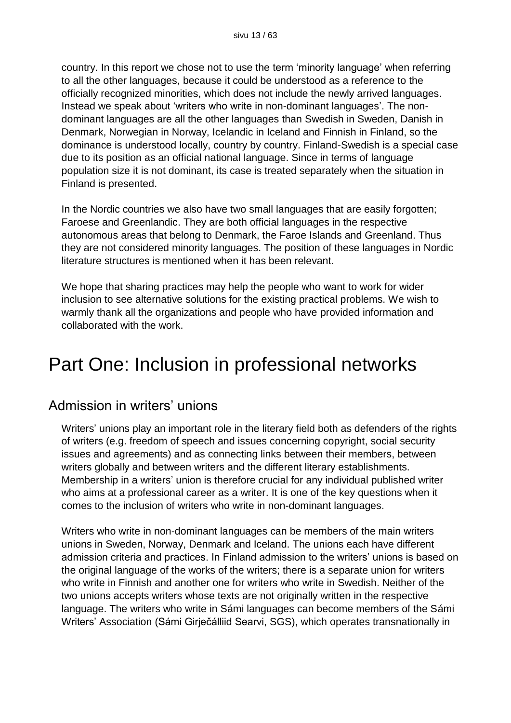country. In this report we chose not to use the term 'minority language' when referring to all the other languages, because it could be understood as a reference to the officially recognized minorities, which does not include the newly arrived languages. Instead we speak about 'writers who write in non-dominant languages'. The nondominant languages are all the other languages than Swedish in Sweden, Danish in Denmark, Norwegian in Norway, Icelandic in Iceland and Finnish in Finland, so the dominance is understood locally, country by country. Finland-Swedish is a special case due to its position as an official national language. Since in terms of language population size it is not dominant, its case is treated separately when the situation in Finland is presented.

In the Nordic countries we also have two small languages that are easily forgotten; Faroese and Greenlandic. They are both official languages in the respective autonomous areas that belong to Denmark, the Faroe Islands and Greenland. Thus they are not considered minority languages. The position of these languages in Nordic literature structures is mentioned when it has been relevant.

We hope that sharing practices may help the people who want to work for wider inclusion to see alternative solutions for the existing practical problems. We wish to warmly thank all the organizations and people who have provided information and collaborated with the work.

## Part One: Inclusion in professional networks

## Admission in writers' unions

Writers' unions play an important role in the literary field both as defenders of the rights of writers (e.g. freedom of speech and issues concerning copyright, social security issues and agreements) and as connecting links between their members, between writers globally and between writers and the different literary establishments. Membership in a writers' union is therefore crucial for any individual published writer who aims at a professional career as a writer. It is one of the key questions when it comes to the inclusion of writers who write in non-dominant languages.

Writers who write in non-dominant languages can be members of the main writers unions in Sweden, Norway, Denmark and Iceland. The unions each have different admission criteria and practices. In Finland admission to the writers' unions is based on the original language of the works of the writers; there is a separate union for writers who write in Finnish and another one for writers who write in Swedish. Neither of the two unions accepts writers whose texts are not originally written in the respective language. The writers who write in Sámi languages can become members of the Sámi Writers' Association (Sámi Girječálliid Searvi, SGS), which operates transnationally in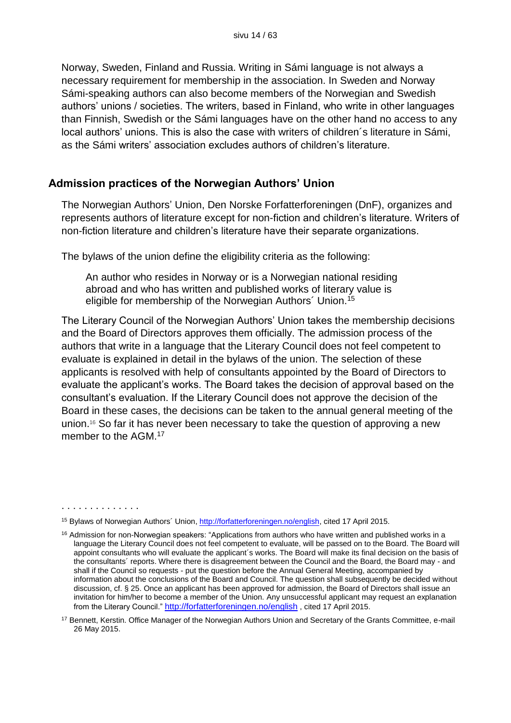Norway, Sweden, Finland and Russia. Writing in Sámi language is not always a necessary requirement for membership in the association. In Sweden and Norway Sámi-speaking authors can also become members of the Norwegian and Swedish authors' unions / societies. The writers, based in Finland, who write in other languages than Finnish, Swedish or the Sámi languages have on the other hand no access to any local authors' unions. This is also the case with writers of children´s literature in Sámi, as the Sámi writers' association excludes authors of children's literature.

#### **Admission practices of the Norwegian Authors' Union**

The Norwegian Authors' Union, Den Norske Forfatterforeningen (DnF), organizes and represents authors of literature except for non-fiction and children's literature. Writers of non-fiction literature and children's literature have their separate organizations.

The bylaws of the union define the eligibility criteria as the following:

An author who resides in Norway or is a Norwegian national residing abroad and who has written and published works of literary value is eligible for membership of the Norwegian Authors´ Union.<sup>15</sup>

The Literary Council of the Norwegian Authors' Union takes the membership decisions and the Board of Directors approves them officially. The admission process of the authors that write in a language that the Literary Council does not feel competent to evaluate is explained in detail in the bylaws of the union. The selection of these applicants is resolved with help of consultants appointed by the Board of Directors to evaluate the applicant's works. The Board takes the decision of approval based on the consultant's evaluation. If the Literary Council does not approve the decision of the Board in these cases, the decisions can be taken to the annual general meeting of the union.<sup>16</sup> So far it has never been necessary to take the question of approving a new member to the AGM.<sup>17</sup>

<sup>15</sup> Bylaws of Norwegian Authors' Union[, http://forfatterforeningen.no/english,](http://forfatterforeningen.no/english) cited 17 April 2015.

<sup>&</sup>lt;sup>16</sup> Admission for non-Norwegian speakers: "Applications from authors who have written and published works in a language the Literary Council does not feel competent to evaluate, will be passed on to the Board. The Board will appoint consultants who will evaluate the applicant´s works. The Board will make its final decision on the basis of the consultants´ reports. Where there is disagreement between the Council and the Board, the Board may - and shall if the Council so requests - put the question before the Annual General Meeting, accompanied by information about the conclusions of the Board and Council. The question shall subsequently be decided without discussion, cf. § 25. Once an applicant has been approved for admission, the Board of Directors shall issue an invitation for him/her to become a member of the Union. Any unsuccessful applicant may request an explanation from the Literary Council." <http://forfatterforeningen.no/english> , cited 17 April 2015.

<sup>&</sup>lt;sup>17</sup> Bennett, Kerstin. Office Manager of the Norwegian Authors Union and Secretary of the Grants Committee, e-mail 26 May 2015.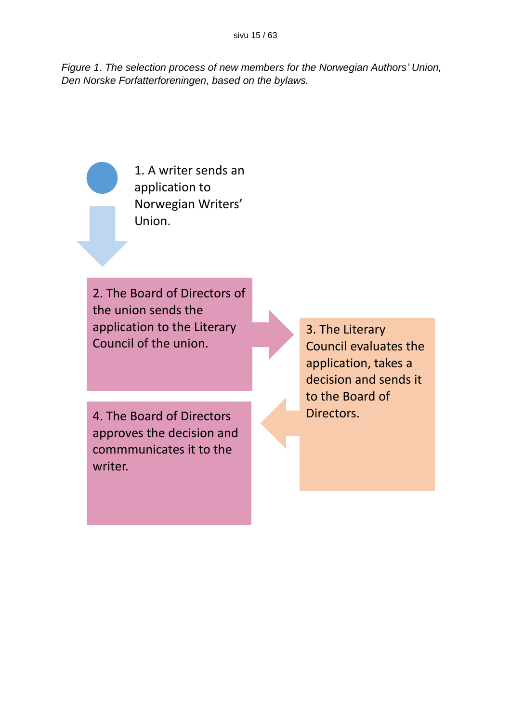*Figure 1. The selection process of new members for the Norwegian Authors' Union, Den Norske Forfatterforeningen, based on the bylaws.*

> 1. A writer sends an application to Norwegian Writers' Union.

2. The Board of Directors of the union sends the application to the Literary Council of the union.

4. The Board of Directors Directors. approves the decision and commmunicates it to the writer.

3. The Literary Council evaluates the application, takes a decision and sends it to the Board of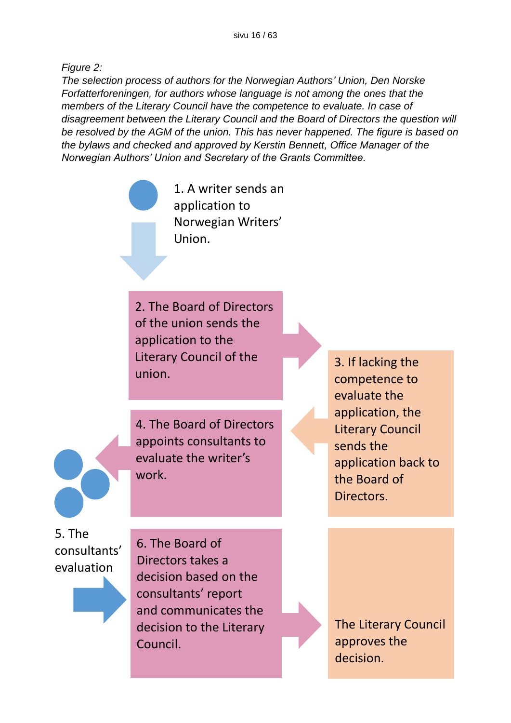*Figure 2:* 

*The selection process of authors for the Norwegian Authors' Union, Den Norske Forfatterforeningen, for authors whose language is not among the ones that the members of the Literary Council have the competence to evaluate. In case of disagreement between the Literary Council and the Board of Directors the question will be resolved by the AGM of the union. This has never happened. The figure is based on the bylaws and checked and approved by Kerstin Bennett, Office Manager of the Norwegian Authors' Union and Secretary of the Grants Committee.*

> 1. A writer sends an application to Norwegian Writers' Union.

2. The Board of Directors of the union sends the application to the Literary Council of the union.

4. The Board of Directors appoints consultants to evaluate the writer's work.

3. If lacking the competence to evaluate the application, the Literary Council sends the application back to the Board of Directors.

5. The consultants' evaluation

6. The Board of Directors takes a decision based on the consultants' report and communicates the decision to the Literary Council.

The Literary Council approves the decision.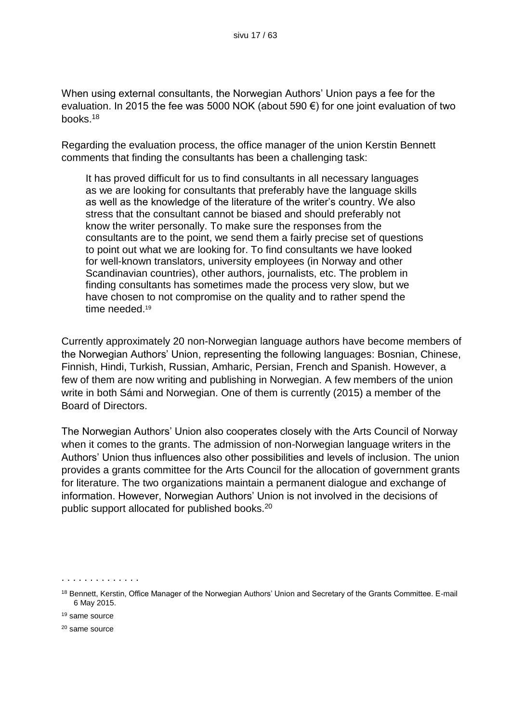When using external consultants, the Norwegian Authors' Union pays a fee for the evaluation. In 2015 the fee was 5000 NOK (about 590 €) for one joint evaluation of two books.<sup>18</sup>

Regarding the evaluation process, the office manager of the union Kerstin Bennett comments that finding the consultants has been a challenging task:

It has proved difficult for us to find consultants in all necessary languages as we are looking for consultants that preferably have the language skills as well as the knowledge of the literature of the writer's country. We also stress that the consultant cannot be biased and should preferably not know the writer personally. To make sure the responses from the consultants are to the point, we send them a fairly precise set of questions to point out what we are looking for. To find consultants we have looked for well-known translators, university employees (in Norway and other Scandinavian countries), other authors, journalists, etc. The problem in finding consultants has sometimes made the process very slow, but we have chosen to not compromise on the quality and to rather spend the time needed. 19

Currently approximately 20 non-Norwegian language authors have become members of the Norwegian Authors' Union, representing the following languages: Bosnian, Chinese, Finnish, Hindi, Turkish, Russian, Amharic, Persian, French and Spanish. However, a few of them are now writing and publishing in Norwegian. A few members of the union write in both Sámi and Norwegian. One of them is currently (2015) a member of the Board of Directors.

The Norwegian Authors' Union also cooperates closely with the Arts Council of Norway when it comes to the grants. The admission of non-Norwegian language writers in the Authors' Union thus influences also other possibilities and levels of inclusion. The union provides a grants committee for the Arts Council for the allocation of government grants for literature. The two organizations maintain a permanent dialogue and exchange of information. However, Norwegian Authors' Union is not involved in the decisions of public support allocated for published books.<sup>20</sup>

<sup>18</sup> Bennett, Kerstin, Office Manager of the Norwegian Authors' Union and Secretary of the Grants Committee. E-mail 6 May 2015.

<sup>19</sup> same source

<sup>20</sup> same source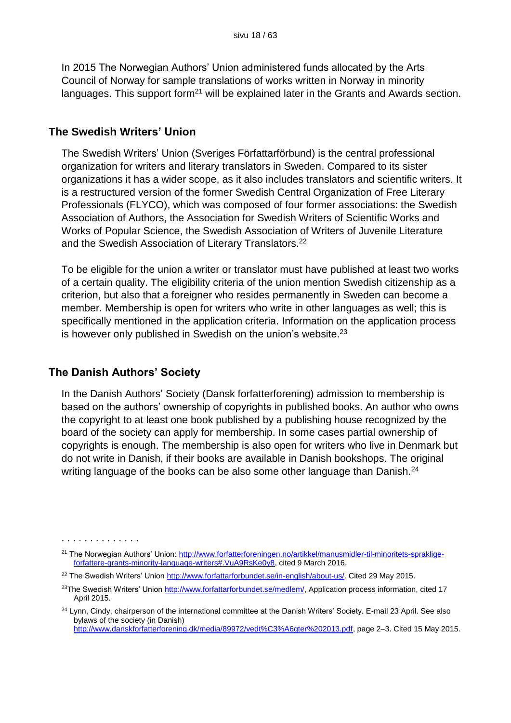In 2015 The Norwegian Authors' Union administered funds allocated by the Arts Council of Norway for sample translations of works written in Norway in minority languages. This support form<sup>21</sup> will be explained later in the Grants and Awards section.

#### **The Swedish Writers' Union**

The Swedish Writers' Union (Sveriges Författarförbund) is the central professional organization for writers and literary translators in Sweden. Compared to its sister organizations it has a wider scope, as it also includes translators and scientific writers. It is a restructured version of the former Swedish Central Organization of Free Literary Professionals (FLYCO), which was composed of four former associations: the Swedish Association of Authors, the Association for Swedish Writers of Scientific Works and Works of Popular Science, the Swedish Association of Writers of Juvenile Literature and the Swedish Association of Literary Translators.<sup>22</sup>

To be eligible for the union a writer or translator must have published at least two works of a certain quality. The eligibility criteria of the union mention Swedish citizenship as a criterion, but also that a foreigner who resides permanently in Sweden can become a member. Membership is open for writers who write in other languages as well; this is specifically mentioned in the application criteria. Information on the application process is however only published in Swedish on the union's website.<sup>23</sup>

#### **The Danish Authors' Society**

In the Danish Authors' Society (Dansk forfatterforening) admission to membership is based on the authors' ownership of copyrights in published books. An author who owns the copyright to at least one book published by a publishing house recognized by the board of the society can apply for membership. In some cases partial ownership of copyrights is enough. The membership is also open for writers who live in Denmark but do not write in Danish, if their books are available in Danish bookshops. The original writing language of the books can be also some other language than Danish.<sup>24</sup>

<sup>. . . . . . . . . . . . . .</sup> 

<sup>&</sup>lt;sup>21</sup> The Norwegian Authors' Union: [http://www.forfatterforeningen.no/artikkel/manusmidler-til-minoritets-spraklige](http://www.forfatterforeningen.no/artikkel/manusmidler-til-minoritets-spraklige-forfattere-grants-minority-language-writers%23.VuA9RsKe0y8)[forfattere-grants-minority-language-writers#.VuA9RsKe0y8,](http://www.forfatterforeningen.no/artikkel/manusmidler-til-minoritets-spraklige-forfattere-grants-minority-language-writers%23.VuA9RsKe0y8) cited 9 March 2016.

<sup>22</sup> The Swedish Writers' Union [http://www.forfattarforbundet.se/in-english/about-us/.](http://www.forfattarforbundet.se/in-english/about-us/) Cited 29 May 2015.

<sup>&</sup>lt;sup>23</sup>The Swedish Writers' Union [http://www.forfattarforbundet.se/medlem/,](http://www.forfattarforbundet.se/medlem/) Application process information, cited 17 April 2015.

<sup>&</sup>lt;sup>24</sup> Lynn, Cindy, chairperson of the international committee at the Danish Writers' Society. E-mail 23 April. See also bylaws of the society (in Danish) [http://www.danskforfatterforening.dk/media/89972/vedt%C3%A6gter%202013.pdf,](http://www.danskforfatterforening.dk/media/89972/vedt%C3%A6gter%202013.pdf) page 2–3. Cited 15 May 2015.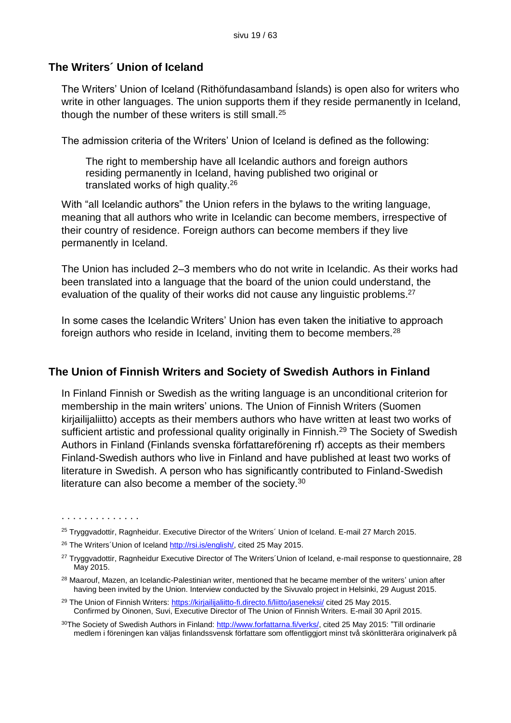#### **The Writers´ Union of Iceland**

The Writers' Union of Iceland (Rithöfundasamband Íslands) is open also for writers who write in other languages. The union supports them if they reside permanently in Iceland, though the number of these writers is still small.<sup>25</sup>

The admission criteria of the Writers' Union of Iceland is defined as the following:

The right to membership have all Icelandic authors and foreign authors residing permanently in Iceland, having published two original or translated works of high quality.<sup>26</sup>

With "all Icelandic authors" the Union refers in the bylaws to the writing language, meaning that all authors who write in Icelandic can become members, irrespective of their country of residence. Foreign authors can become members if they live permanently in Iceland.

The Union has included 2–3 members who do not write in Icelandic. As their works had been translated into a language that the board of the union could understand, the evaluation of the quality of their works did not cause any linguistic problems.<sup>27</sup>

In some cases the Icelandic Writers' Union has even taken the initiative to approach foreign authors who reside in Iceland, inviting them to become members.<sup>28</sup>

#### **The Union of Finnish Writers and Society of Swedish Authors in Finland**

In Finland Finnish or Swedish as the writing language is an unconditional criterion for membership in the main writers' unions. The Union of Finnish Writers (Suomen kirjailijaliitto) accepts as their members authors who have written at least two works of sufficient artistic and professional quality originally in Finnish.<sup>29</sup> The Society of Swedish Authors in Finland (Finlands svenska författareförening rf) accepts as their members Finland-Swedish authors who live in Finland and have published at least two works of literature in Swedish. A person who has significantly contributed to Finland-Swedish literature can also become a member of the society.<sup>30</sup>

<sup>&</sup>lt;sup>25</sup> Tryggyadottir, Ragnheidur. Executive Director of the Writers´ Union of Iceland. E-mail 27 March 2015.

<sup>&</sup>lt;sup>26</sup> The Writers Union of Iceland [http://rsi.is/english/,](http://rsi.is/english/) cited 25 May 2015.

<sup>&</sup>lt;sup>27</sup> Tryggvadottir, Ragnheidur Executive Director of The Writers´Union of Iceland, e-mail response to questionnaire, 28 May 2015.

<sup>&</sup>lt;sup>28</sup> Maarouf, Mazen, an Icelandic-Palestinian writer, mentioned that he became member of the writers' union after having been invited by the Union. Interview conducted by the Sivuvalo project in Helsinki, 29 August 2015.

<sup>&</sup>lt;sup>29</sup> The Union of Finnish Writers: <https://kirjailijaliitto-fi.directo.fi/liitto/jaseneksi/> cited 25 May 2015. Confirmed by Oinonen, Suvi, Executive Director of The Union of Finnish Writers. E-mail 30 April 2015.

<sup>30</sup>The Society of Swedish Authors in Finland: [http://www.forfattarna.fi/verks/,](http://www.forfattarna.fi/verks/) cited 25 May 2015: "Till ordinarie medlem i föreningen kan väljas finlandssvensk författare som offentliggjort minst två skönlitterära originalverk på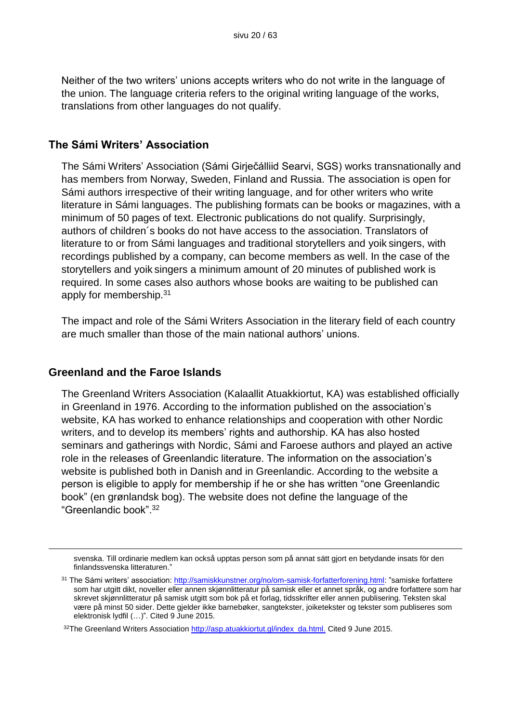Neither of the two writers' unions accepts writers who do not write in the language of the union. The language criteria refers to the original writing language of the works, translations from other languages do not qualify.

#### **The Sámi Writers' Association**

The Sámi Writers' Association (Sámi Girječálliid Searvi, SGS) works transnationally and has members from Norway, Sweden, Finland and Russia. The association is open for Sámi authors irrespective of their writing language, and for other writers who write literature in Sámi languages. The publishing formats can be books or magazines, with a minimum of 50 pages of text. Electronic publications do not qualify. Surprisingly, authors of children´s books do not have access to the association. Translators of literature to or from Sámi languages and traditional storytellers and yoik singers, with recordings published by a company, can become members as well. In the case of the storytellers and yoik singers a minimum amount of 20 minutes of published work is required. In some cases also authors whose books are waiting to be published can apply for membership.<sup>31</sup>

The impact and role of the Sámi Writers Association in the literary field of each country are much smaller than those of the main national authors' unions.

#### **Greenland and the Faroe Islands**

1

The Greenland Writers Association (Kalaallit Atuakkiortut, KA) was established officially in Greenland in 1976. According to the information published on the association's website, KA has worked to enhance relationships and cooperation with other Nordic writers, and to develop its members' rights and authorship. KA has also hosted seminars and gatherings with Nordic, Sámi and Faroese authors and played an active role in the releases of Greenlandic literature. The information on the association's website is published both in Danish and in Greenlandic. According to the website a person is eligible to apply for membership if he or she has written "one Greenlandic book" (en grønlandsk bog). The website does not define the language of the "Greenlandic book".<sup>32</sup>

svenska. Till ordinarie medlem kan också upptas person som på annat sätt gjort en betydande insats för den finlandssvenska litteraturen."

<sup>31</sup> The Sámi writers' association: [http://samiskkunstner.org/no/om-samisk-forfatterforening.html:](http://samiskkunstner.org/no/om-samisk-forfatterforening.html) "samiske forfattere som har utgitt dikt, noveller eller annen skjønnlitteratur på samisk eller et annet språk, og andre forfattere som har skrevet skjønnlitteratur på samisk utgitt som bok på et forlag, tidsskrifter eller annen publisering. Teksten skal være på minst 50 sider. Dette gjelder ikke barnebøker, sangtekster, joiketekster og tekster som publiseres som elektronisk lydfil (…)". Cited 9 June 2015.

<sup>&</sup>lt;sup>32</sup>The Greenland Writers Association [http://asp.atuakkiortut.gl/index\\_da.html.](http://asp.atuakkiortut.gl/index_da.html) Cited 9 June 2015.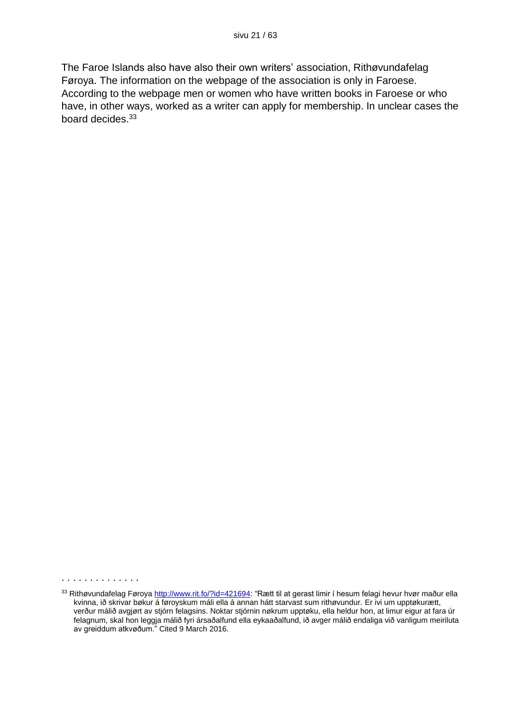The Faroe Islands also have also their own writers' association, Rithøvundafelag Føroya. The information on the webpage of the association is only in Faroese. According to the webpage men or women who have written books in Faroese or who have, in other ways, worked as a writer can apply for membership. In unclear cases the board decides.<sup>33</sup>

<sup>33</sup> Rithøvundafelag Føroya [http://www.rit.fo/?id=421694:](http://www.rit.fo/?id=421694) "Rætt til at gerast limir í hesum felagi hevur hvør maður ella kvinna, ið skrivar bøkur á føroyskum máli ella á annan hátt starvast sum rithøvundur. Er ivi um upptøkurætt, verður málið avgjørt av stjórn felagsins. Noktar stjórnin nøkrum upptøku, ella heldur hon, at limur eigur at fara úr felagnum, skal hon leggja málið fyri ársaðalfund ella eykaaðalfund, ið avger málið endaliga við vanligum meiriluta av greiddum atkvøðum." Cited 9 March 2016.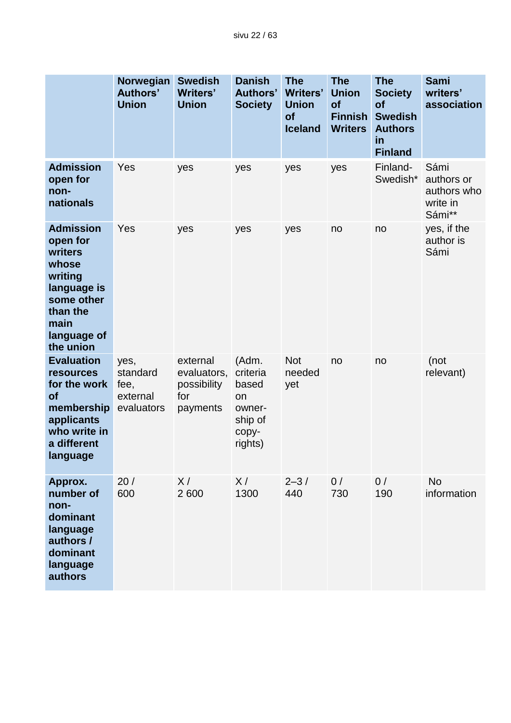|                                                                                                                                           | Norwegian<br><b>Authors'</b><br><b>Union</b>       | <b>Swedish</b><br><b>Writers'</b><br><b>Union</b>         | <b>Danish</b><br><b>Authors'</b><br><b>Society</b>                        | <b>The</b><br><b>Writers'</b><br><b>Union</b><br>of<br><b>Iceland</b> | <b>The</b><br><b>Union</b><br>of<br><b>Finnish</b><br><b>Writers</b> | <b>The</b><br><b>Society</b><br>of<br><b>Swedish</b><br><b>Authors</b><br>in<br><b>Finland</b> | Sami<br>writers'<br>association                         |
|-------------------------------------------------------------------------------------------------------------------------------------------|----------------------------------------------------|-----------------------------------------------------------|---------------------------------------------------------------------------|-----------------------------------------------------------------------|----------------------------------------------------------------------|------------------------------------------------------------------------------------------------|---------------------------------------------------------|
| <b>Admission</b><br>open for<br>non-<br>nationals                                                                                         | Yes                                                | yes                                                       | yes                                                                       | yes                                                                   | yes                                                                  | Finland-<br>Swedish*                                                                           | Sámi<br>authors or<br>authors who<br>write in<br>Sámi** |
| <b>Admission</b><br>open for<br>writers<br>whose<br>writing<br>language is<br>some other<br>than the<br>main<br>language of<br>the union  | Yes                                                | yes                                                       | yes                                                                       | yes                                                                   | no                                                                   | no                                                                                             | yes, if the<br>author is<br>Sámi                        |
| <b>Evaluation</b><br><b>resources</b><br>for the work<br><b>of</b><br>membership<br>applicants<br>who write in<br>a different<br>language | yes,<br>standard<br>fee,<br>external<br>evaluators | external<br>evaluators,<br>possibility<br>for<br>payments | (Adm.<br>criteria<br>based<br>on<br>owner-<br>ship of<br>copy-<br>rights) | <b>Not</b><br>needed<br>yet                                           | no                                                                   | no                                                                                             | (not<br>relevant)                                       |
| Approx.<br>number of<br>non-<br>dominant<br>language<br>authors /<br>dominant<br>language<br>authors                                      | 20/<br>600                                         | X/<br>2 600                                               | X/<br>1300                                                                | $2 - 3/$<br>440                                                       | 0/<br>730                                                            | 0/<br>190                                                                                      | <b>No</b><br>information                                |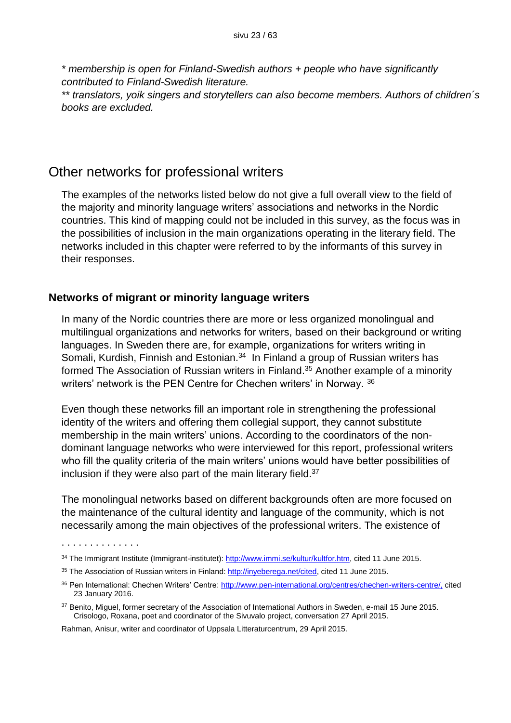*\* membership is open for Finland-Swedish authors + people who have significantly contributed to Finland-Swedish literature.* 

*\*\* translators, yoik singers and storytellers can also become members. Authors of children´s books are excluded.*

### Other networks for professional writers

The examples of the networks listed below do not give a full overall view to the field of the majority and minority language writers' associations and networks in the Nordic countries. This kind of mapping could not be included in this survey, as the focus was in the possibilities of inclusion in the main organizations operating in the literary field. The networks included in this chapter were referred to by the informants of this survey in their responses.

#### **Networks of migrant or minority language writers**

In many of the Nordic countries there are more or less organized monolingual and multilingual organizations and networks for writers, based on their background or writing languages. In Sweden there are, for example, organizations for writers writing in Somali, Kurdish, Finnish and Estonian.<sup>34</sup> In Finland a group of Russian writers has formed The Association of Russian writers in Finland.<sup>35</sup> Another example of a minority writers' network is the PEN Centre for Chechen writers' in Norway. 36

Even though these networks fill an important role in strengthening the professional identity of the writers and offering them collegial support, they cannot substitute membership in the main writers' unions. According to the coordinators of the nondominant language networks who were interviewed for this report, professional writers who fill the quality criteria of the main writers' unions would have better possibilities of inclusion if they were also part of the main literary field.<sup>37</sup>

The monolingual networks based on different backgrounds often are more focused on the maintenance of the cultural identity and language of the community, which is not necessarily among the main objectives of the professional writers. The existence of

Rahman, Anisur, writer and coordinator of Uppsala Litteraturcentrum, 29 April 2015.

<sup>34</sup> The Immigrant Institute (Immigrant-institutet): [http://www.immi.se/kultur/kultfor.htm,](http://www.immi.se/kultur/kultfor.htm) cited 11 June 2015.

<sup>35</sup> The Association of Russian writers in Finland[: http://inyeberega.net/cited,](http://inyeberega.net/cited) cited 11 June 2015.

<sup>36</sup> Pen International: Chechen Writers' Centre[: http://www.pen-international.org/centres/chechen-writers-centre/,](http://www.pen-international.org/centres/chechen-writers-centre/) cited 23 January 2016.

<sup>&</sup>lt;sup>37</sup> Benito, Miguel, former secretary of the Association of International Authors in Sweden, e-mail 15 June 2015. Crisologo, Roxana, poet and coordinator of the Sivuvalo project, conversation 27 April 2015.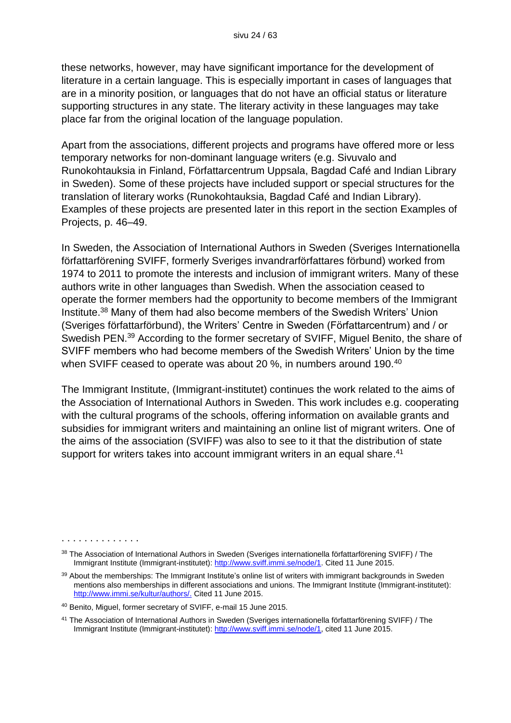these networks, however, may have significant importance for the development of literature in a certain language. This is especially important in cases of languages that are in a minority position, or languages that do not have an official status or literature supporting structures in any state. The literary activity in these languages may take place far from the original location of the language population.

Apart from the associations, different projects and programs have offered more or less temporary networks for non-dominant language writers (e.g. Sivuvalo and Runokohtauksia in Finland, Författarcentrum Uppsala, Bagdad Café and Indian Library in Sweden). Some of these projects have included support or special structures for the translation of literary works (Runokohtauksia, Bagdad Café and Indian Library). Examples of these projects are presented later in this report in the section Examples of Projects, p. 46–49.

In Sweden, the Association of International Authors in Sweden (Sveriges Internationella författarförening SVIFF, formerly Sveriges invandrarförfattares förbund) worked from 1974 to 2011 to promote the interests and inclusion of immigrant writers. Many of these authors write in other languages than Swedish. When the association ceased to operate the former members had the opportunity to become members of the Immigrant Institute.<sup>38</sup> Many of them had also become members of the Swedish Writers' Union (Sveriges författarförbund), the Writers' Centre in Sweden (Författarcentrum) and / or Swedish PEN.<sup>39</sup> According to the former secretary of SVIFF, Miguel Benito, the share of SVIFF members who had become members of the Swedish Writers' Union by the time when SVIFF ceased to operate was about 20 %, in numbers around 190.<sup>40</sup>

The Immigrant Institute, (Immigrant-institutet) continues the work related to the aims of the Association of International Authors in Sweden. This work includes e.g. cooperating with the cultural programs of the schools, offering information on available grants and subsidies for immigrant writers and maintaining an online list of migrant writers. One of the aims of the association (SVIFF) was also to see to it that the distribution of state support for writers takes into account immigrant writers in an equal share.<sup>41</sup>

<sup>38</sup> The Association of International Authors in Sweden (Sveriges internationella författarförening SVIFF) / The Immigrant Institute (Immigrant-institutet): [http://www.sviff.immi.se/node/1.](http://www.sviff.immi.se/node/1) Cited 11 June 2015.

<sup>&</sup>lt;sup>39</sup> About the memberships: The Immigrant Institute's online list of writers with immigrant backgrounds in Sweden mentions also memberships in different associations and unions. The Immigrant Institute (Immigrant-institutet): [http://www.immi.se/kultur/authors/.](http://www.immi.se/kultur/authors/) Cited 11 June 2015.

<sup>40</sup> Benito, Miguel, former secretary of SVIFF, e-mail 15 June 2015.

<sup>41</sup> The Association of International Authors in Sweden (Sveriges internationella författarförening SVIFF) / The Immigrant Institute (Immigrant-institutet): [http://www.sviff.immi.se/node/1,](http://www.sviff.immi.se/node/1) cited 11 June 2015.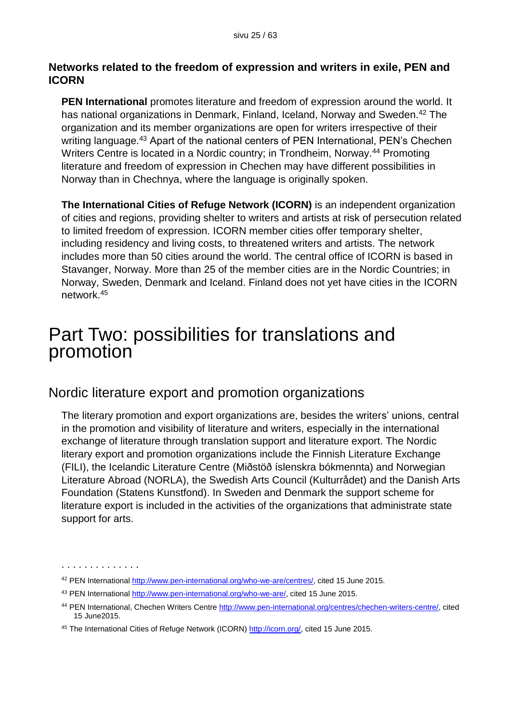#### **Networks related to the freedom of expression and writers in exile, PEN and ICORN**

**PEN International** promotes literature and freedom of expression around the world. It has national organizations in Denmark, Finland, Iceland, Norway and Sweden.<sup>42</sup> The organization and its member organizations are open for writers irrespective of their writing language.<sup>43</sup> Apart of the national centers of PEN International, PEN's Chechen Writers Centre is located in a Nordic country; in Trondheim, Norway.<sup>44</sup> Promoting literature and freedom of expression in Chechen may have different possibilities in Norway than in Chechnya, where the language is originally spoken.

**The International Cities of Refuge Network (ICORN)** is an independent organization of cities and regions, providing shelter to writers and artists at risk of persecution related to limited freedom of expression. ICORN member cities offer temporary shelter, including residency and living costs, to threatened writers and artists. The network includes more than 50 cities around the world. The central office of ICORN is based in Stavanger, Norway. More than 25 of the member cities are in the Nordic Countries; in Norway, Sweden, Denmark and Iceland. Finland does not yet have cities in the ICORN network.<sup>45</sup>

## Part Two: possibilities for translations and promotion

## Nordic literature export and promotion organizations

The literary promotion and export organizations are, besides the writers' unions, central in the promotion and visibility of literature and writers, especially in the international exchange of literature through translation support and literature export. The Nordic literary export and promotion organizations include the Finnish Literature Exchange (FILI), the Icelandic Literature Centre (Miðstöð íslenskra bókmennta) and Norwegian Literature Abroad (NORLA), the Swedish Arts Council (Kulturrådet) and the Danish Arts Foundation (Statens Kunstfond). In Sweden and Denmark the support scheme for literature export is included in the activities of the organizations that administrate state support for arts.

<sup>42</sup> PEN International [http://www.pen-international.org/who-we-are/centres/,](http://www.pen-international.org/who-we-are/centres/) cited 15 June 2015.

<sup>43</sup> PEN International [http://www.pen-international.org/who-we-are/,](http://www.pen-international.org/who-we-are/) cited 15 June 2015.

<sup>44</sup> PEN International, Chechen Writers Centre [http://www.pen-international.org/centres/chechen-writers-centre/,](http://www.pen-international.org/centres/chechen-writers-centre/) cited 15 June2015.

<sup>45</sup> The International Cities of Refuge Network (ICORN) [http://icorn.org/,](http://icorn.org/) cited 15 June 2015.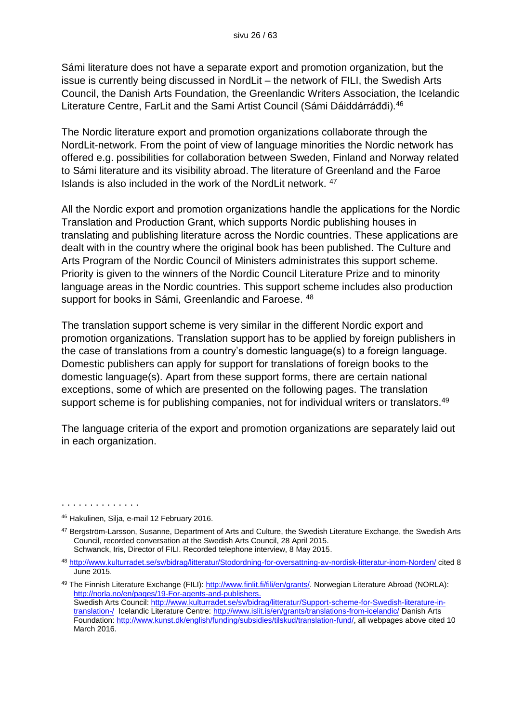Sámi literature does not have a separate export and promotion organization, but the issue is currently being discussed in NordLit – the network of FILI, the Swedish Arts Council, the Danish Arts Foundation, the Greenlandic Writers Association, the Icelandic Literature Centre, FarLit and the Sami Artist Council (Sámi Dáiddárráðdi).<sup>46</sup>

The Nordic literature export and promotion organizations collaborate through the NordLit-network. From the point of view of language minorities the Nordic network has offered e.g. possibilities for collaboration between Sweden, Finland and Norway related to Sámi literature and its visibility abroad. The literature of Greenland and the Faroe Islands is also included in the work of the NordLit network. <sup>47</sup>

All the Nordic export and promotion organizations handle the applications for the Nordic Translation and Production Grant, which supports Nordic publishing houses in translating and publishing literature across the Nordic countries. These applications are dealt with in the country where the original book has been published. The Culture and Arts Program of the Nordic Council of Ministers administrates this support scheme. Priority is given to the winners of the Nordic Council Literature Prize and to minority language areas in the Nordic countries. This support scheme includes also production support for books in Sámi, Greenlandic and Faroese.  $48$ 

The translation support scheme is very similar in the different Nordic export and promotion organizations. Translation support has to be applied by foreign publishers in the case of translations from a country's domestic language(s) to a foreign language. Domestic publishers can apply for support for translations of foreign books to the domestic language(s). Apart from these support forms, there are certain national exceptions, some of which are presented on the following pages. The translation support scheme is for publishing companies, not for individual writers or translators.<sup>49</sup>

The language criteria of the export and promotion organizations are separately laid out in each organization.

<sup>46</sup> Hakulinen, Silja, e-mail 12 February 2016.

<sup>47</sup> Bergström-Larsson, Susanne, Department of Arts and Culture, the Swedish Literature Exchange, the Swedish Arts Council, recorded conversation at the Swedish Arts Council, 28 April 2015. Schwanck, Iris, Director of FILI. Recorded telephone interview, 8 May 2015.

<sup>48</sup> <http://www.kulturradet.se/sv/bidrag/litteratur/Stodordning-for-oversattning-av-nordisk-litteratur-inom-Norden/> cited 8 June 2015.

<sup>49</sup> The Finnish Literature Exchange (FILI): [http://www.finlit.fi/fili/en/grants/.](http://www.finlit.fi/fili/en/grants/) Norwegian Literature Abroad (NORLA): [http://norla.no/en/pages/19-For-agents-and-publishers.](http://norla.no/en/pages/19-For-agents-and-publishers) Swedish Arts Council: [http://www.kulturradet.se/sv/bidrag/litteratur/Support-scheme-for-Swedish-literature-in](http://www.kulturradet.se/sv/bidrag/litteratur/Support-scheme-for-Swedish-literature-in-translation-/)[translation-/](http://www.kulturradet.se/sv/bidrag/litteratur/Support-scheme-for-Swedish-literature-in-translation-/) Icelandic Literature Centre[: http://www.islit.is/en/grants/translations-from-icelandic/](http://www.islit.is/en/grants/translations-from-icelandic/) Danish Arts Foundation: [http://www.kunst.dk/english/funding/subsidies/tilskud/translation-fund/,](http://www.kunst.dk/english/funding/subsidies/tilskud/translation-fund/) all webpages above cited 10 March 2016.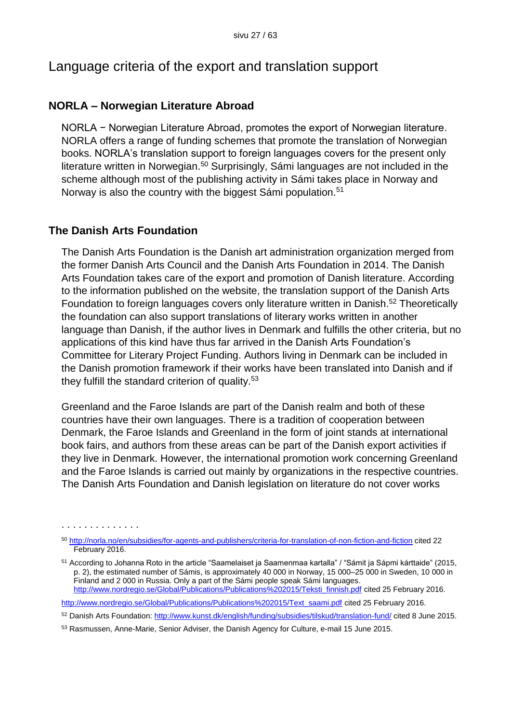## Language criteria of the export and translation support

#### **NORLA – Norwegian Literature Abroad**

NORLA − Norwegian Literature Abroad, promotes the export of Norwegian literature. NORLA offers a range of funding schemes that promote the translation of Norwegian books. NORLA's translation support to foreign languages covers for the present only literature written in Norwegian.<sup>50</sup> Surprisingly, Sámi languages are not included in the scheme although most of the publishing activity in Sámi takes place in Norway and Norway is also the country with the biggest Sámi population.<sup>51</sup>

#### **The Danish Arts Foundation**

. . . . . . . . . . . . . .

The Danish Arts Foundation is the Danish art administration organization merged from the former Danish Arts Council and the Danish Arts Foundation in 2014. The Danish Arts Foundation takes care of the export and promotion of Danish literature. According to the information published on the website, the translation support of the Danish Arts Foundation to foreign languages covers only literature written in Danish.<sup>52</sup> Theoretically the foundation can also support translations of literary works written in another language than Danish, if the author lives in Denmark and fulfills the other criteria, but no applications of this kind have thus far arrived in the Danish Arts Foundation's Committee for Literary Project Funding. Authors living in Denmark can be included in the Danish promotion framework if their works have been translated into Danish and if they fulfill the standard criterion of quality.<sup>53</sup>

Greenland and the Faroe Islands are part of the Danish realm and both of these countries have their own languages. There is a tradition of cooperation between Denmark, the Faroe Islands and Greenland in the form of joint stands at international book fairs, and authors from these areas can be part of the Danish export activities if they live in Denmark. However, the international promotion work concerning Greenland and the Faroe Islands is carried out mainly by organizations in the respective countries. The Danish Arts Foundation and Danish legislation on literature do not cover works

<sup>50</sup> <http://norla.no/en/subsidies/for-agents-and-publishers/criteria-for-translation-of-non-fiction-and-fiction> cited 22 February 2016.

<sup>51</sup> According to Johanna Roto in the article "Saamelaiset ja Saamenmaa kartalla" / "Sámit ja Sápmi kárttaide" (2015, p. 2), the estimated number of Sámis, is approximately 40 000 in Norway, 15 000–25 000 in Sweden, 10 000 in Finland and 2 000 in Russia. Only a part of the Sámi people speak Sámi languages. [http://www.nordregio.se/Global/Publications/Publications%202015/Teksti\\_finnish.pdf](http://www.nordregio.se/Global/Publications/Publications%202015/Teksti_finnish.pdf) cited 25 February 2016.

[http://www.nordregio.se/Global/Publications/Publications%202015/Text\\_saami.pdf](http://www.nordregio.se/Global/Publications/Publications%202015/Text_saami.pdf) cited 25 February 2016.

<sup>52</sup> Danish Arts Foundation:<http://www.kunst.dk/english/funding/subsidies/tilskud/translation-fund/> cited 8 June 2015.

<sup>53</sup> Rasmussen, Anne-Marie, Senior Adviser, the Danish Agency for Culture, e-mail 15 June 2015.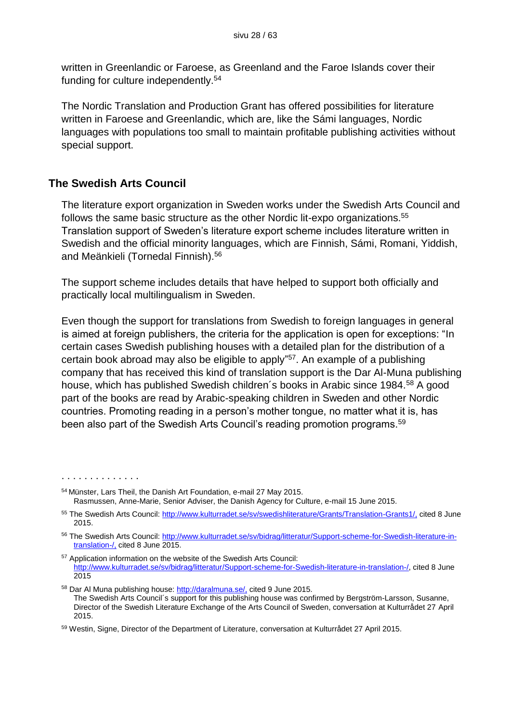written in Greenlandic or Faroese, as Greenland and the Faroe Islands cover their funding for culture independently.<sup>54</sup>

The Nordic Translation and Production Grant has offered possibilities for literature written in Faroese and Greenlandic, which are, like the Sámi languages, Nordic languages with populations too small to maintain profitable publishing activities without special support.

#### **The Swedish Arts Council**

. . . . . . . . . . . . . .

The literature export organization in Sweden works under the Swedish Arts Council and follows the same basic structure as the other Nordic lit-expo organizations.<sup>55</sup> Translation support of Sweden's literature export scheme includes literature written in Swedish and the official minority languages, which are Finnish, Sámi, Romani, Yiddish, and Meänkieli (Tornedal Finnish).<sup>56</sup>

The support scheme includes details that have helped to support both officially and practically local multilingualism in Sweden.

Even though the support for translations from Swedish to foreign languages in general is aimed at foreign publishers, the criteria for the application is open for exceptions: "In certain cases Swedish publishing houses with a detailed plan for the distribution of a certain book abroad may also be eligible to apply" <sup>57</sup>. An example of a publishing company that has received this kind of translation support is the Dar Al-Muna publishing house, which has published Swedish children's books in Arabic since 1984.<sup>58</sup> A good part of the books are read by Arabic-speaking children in Sweden and other Nordic countries. Promoting reading in a person's mother tongue, no matter what it is, has been also part of the Swedish Arts Council's reading promotion programs.<sup>59</sup>

<sup>54</sup> Münster, Lars Theil, the Danish Art Foundation, e-mail 27 May 2015. Rasmussen, Anne-Marie, Senior Adviser, the Danish Agency for Culture, e-mail 15 June 2015.

<sup>55</sup> The Swedish Arts Council: [http://www.kulturradet.se/sv/swedishliterature/Grants/Translation-Grants1/,](http://www.kulturradet.se/sv/swedishliterature/Grants/Translation-Grants1/) cited 8 June 2015.

<sup>56</sup> The Swedish Arts Council: [http://www.kulturradet.se/sv/bidrag/litteratur/Support-scheme-for-Swedish-literature-in](http://www.kulturradet.se/sv/bidrag/litteratur/Support-scheme-for-Swedish-literature-in-translation-/)[translation-/,](http://www.kulturradet.se/sv/bidrag/litteratur/Support-scheme-for-Swedish-literature-in-translation-/) cited 8 June 2015.

<sup>57</sup> Application information on the website of the Swedish Arts Council: [http://www.kulturradet.se/sv/bidrag/litteratur/Support-scheme-for-Swedish-literature-in-translation-/,](http://www.kulturradet.se/sv/bidrag/litteratur/Support-scheme-for-Swedish-literature-in-translation-/) cited 8 June 2015

<sup>58</sup> Dar Al Muna publishing house: [http://daralmuna.se/,](http://daralmuna.se/) cited 9 June 2015. The Swedish Arts Council´s support for this publishing house was confirmed by Bergström-Larsson, Susanne, Director of the Swedish Literature Exchange of the Arts Council of Sweden, conversation at Kulturrådet 27 April 2015.

<sup>59</sup> Westin, Signe, Director of the Department of Literature, conversation at Kulturrådet 27 April 2015.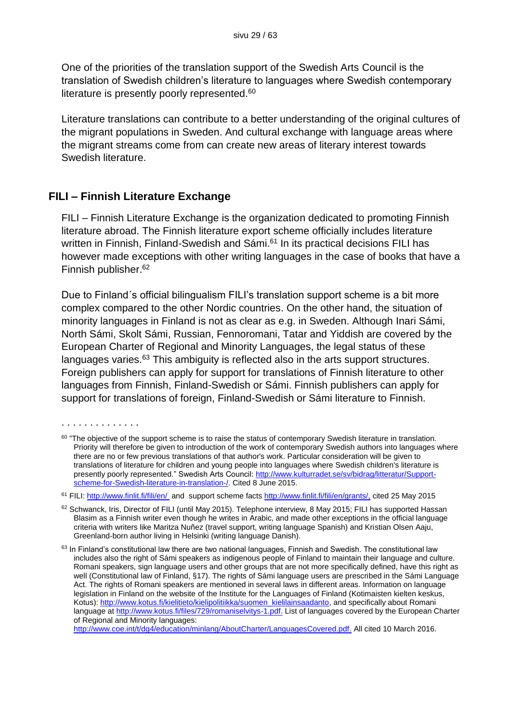One of the priorities of the translation support of the Swedish Arts Council is the translation of Swedish children's literature to languages where Swedish contemporary literature is presently poorly represented.<sup>60</sup>

Literature translations can contribute to a better understanding of the original cultures of the migrant populations in Sweden. And cultural exchange with language areas where the migrant streams come from can create new areas of literary interest towards Swedish literature.

#### **FILI – Finnish Literature Exchange**

FILI – Finnish Literature Exchange is the organization dedicated to promoting Finnish literature abroad. The Finnish literature export scheme officially includes literature written in Finnish, Finland-Swedish and Sámi.<sup>61</sup> In its practical decisions FILI has however made exceptions with other writing languages in the case of books that have a Finnish publisher. 62

Due to Finland´s official bilingualism FILI's translation support scheme is a bit more complex compared to the other Nordic countries. On the other hand, the situation of minority languages in Finland is not as clear as e.g. in Sweden. Although Inari Sámi, North Sámi, Skolt Sámi, Russian, Fennoromani, Tatar and Yiddish are covered by the European Charter of Regional and Minority Languages, the legal status of these languages varies.<sup>63</sup> This ambiguity is reflected also in the arts support structures. Foreign publishers can apply for support for translations of Finnish literature to other languages from Finnish, Finland-Swedish or Sámi. Finnish publishers can apply for support for translations of foreign, Finland-Swedish or Sámi literature to Finnish.

<sup>. . . . . . . . . . . . . .</sup> 

 $60$  "The objective of the support scheme is to raise the status of contemporary Swedish literature in translation. Priority will therefore be given to introduction of the work of contemporary Swedish authors into languages where there are no or few previous translations of that author's work. Particular consideration will be given to translations of literature for children and young people into languages where Swedish children's literature is presently poorly represented." Swedish Arts Council: [http://www.kulturradet.se/sv/bidrag/litteratur/Support](http://www.kulturradet.se/sv/bidrag/litteratur/Support-scheme-for-Swedish-literature-in-translation-/)[scheme-for-Swedish-literature-in-translation-/.](http://www.kulturradet.se/sv/bidrag/litteratur/Support-scheme-for-Swedish-literature-in-translation-/) Cited 8 June 2015.

<sup>&</sup>lt;sup>61</sup> FILI: [http://www.finlit.fi/fili/en/](http://www.finlit.fi/fili/en/fili-en/) and support scheme facts [http://www.finlit.fi/fili/en/grants/,](http://www.finlit.fi/fili/en/grants/) cited 25 May 2015

<sup>62</sup> Schwanck, Iris, Director of FILI (until May 2015). Telephone interview, 8 May 2015; FILI has supported Hassan Blasim as a Finnish writer even though he writes in Arabic, and made other exceptions in the official language criteria with writers like Maritza Nuñez (travel support, writing language Spanish) and Kristian Olsen Aaju, Greenland-born author living in Helsinki (writing language Danish).

<sup>&</sup>lt;sup>63</sup> In Finland's constitutional law there are two national languages, Finnish and Swedish. The constitutional law includes also the right of Sámi speakers as indigenous people of Finland to maintain their language and culture. Romani speakers, sign language users and other groups that are not more specifically defined, have this right as well (Constitutional law of Finland, §17). The rights of Sámi language users are prescribed in the Sámi Language Act. The rights of Romani speakers are mentioned in several laws in different areas. Information on language legislation in Finland on the website of the Institute for the Languages of Finland (Kotimaisten kielten keskus, Kotus): [http://www.kotus.fi/kielitieto/kielipolitiikka/suomen\\_kielilainsaadanto,](http://www.kotus.fi/kielitieto/kielipolitiikka/suomen_kielilainsaadanto) and specifically about Romani language at [http://www.kotus.fi/files/729/romaniselvitys-1.pdf.](http://www.kotus.fi/files/729/romaniselvitys-1.pdf) List of languages covered by the European Charter of Regional and Minority languages:

[http://www.coe.int/t/dg4/education/minlang/AboutCharter/LanguagesCovered.pdf.](http://www.coe.int/t/dg4/education/minlang/AboutCharter/LanguagesCovered.pdf) All cited 10 March 2016.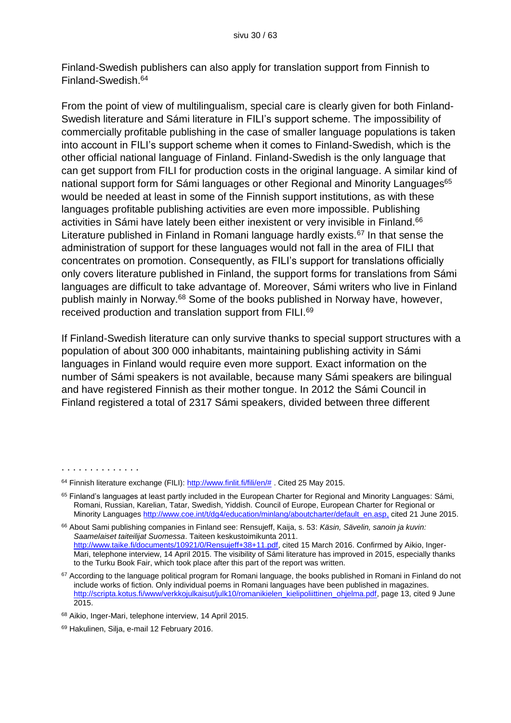Finland-Swedish publishers can also apply for translation support from Finnish to Finland-Swedish.<sup>64</sup>

From the point of view of multilingualism, special care is clearly given for both Finland-Swedish literature and Sámi literature in FILI's support scheme. The impossibility of commercially profitable publishing in the case of smaller language populations is taken into account in FILI's support scheme when it comes to Finland-Swedish, which is the other official national language of Finland. Finland-Swedish is the only language that can get support from FILI for production costs in the original language. A similar kind of national support form for Sámi languages or other Regional and Minority Languages<sup>65</sup> would be needed at least in some of the Finnish support institutions, as with these languages profitable publishing activities are even more impossible. Publishing activities in Sámi have lately been either inexistent or very invisible in Finland.<sup>66</sup> Literature published in Finland in Romani language hardly exists.<sup>67</sup> In that sense the administration of support for these languages would not fall in the area of FILI that concentrates on promotion. Consequently, as FILI's support for translations officially only covers literature published in Finland, the support forms for translations from Sámi languages are difficult to take advantage of. Moreover, Sámi writers who live in Finland publish mainly in Norway.<sup>68</sup> Some of the books published in Norway have, however, received production and translation support from FILI.<sup>69</sup>

If Finland-Swedish literature can only survive thanks to special support structures with a population of about 300 000 inhabitants, maintaining publishing activity in Sámi languages in Finland would require even more support. Exact information on the number of Sámi speakers is not available, because many Sámi speakers are bilingual and have registered Finnish as their mother tongue. In 2012 the Sámi Council in Finland registered a total of 2317 Sámi speakers, divided between three different

<sup>&</sup>lt;sup>64</sup> Finnish literature exchange (FILI): [http://www.finlit.fi/fili/en/#](http://www.finlit.fi/fili/en/). Cited 25 May 2015.

<sup>&</sup>lt;sup>65</sup> Finland's languages at least partly included in the European Charter for Regional and Minority Languages: Sámi, Romani, Russian, Karelian, Tatar, Swedish, Yiddish. Council of Europe, European Charter for Regional or Minority Languages [http://www.coe.int/t/dg4/education/minlang/aboutcharter/default\\_en.asp,](http://www.coe.int/t/dg4/education/minlang/aboutcharter/default_en.asp) cited 21 June 2015.

<sup>66</sup> About Sami publishing companies in Finland see: Rensujeff, Kaija, s. 53: *Käsin, Sävelin, sanoin ja kuvin: Saamelaiset taiteilijat Suomessa*. Taiteen keskustoimikunta 2011. [http://www.taike.fi/documents/10921/0/Rensujeff+38+11.pdf,](http://www.taike.fi/documents/10921/0/Rensujeff+38+11.pdf) cited 15 March 2016. Confirmed by Aikio, Inger-Mari, telephone interview, 14 April 2015. The visibility of Sámi literature has improved in 2015, especially thanks to the Turku Book Fair, which took place after this part of the report was written.

 $67$  According to the language political program for Romani language, the books published in Romani in Finland do not include works of fiction. Only individual poems in Romani languages have been published in magazines. [http://scripta.kotus.fi/www/verkkojulkaisut/julk10/romanikielen\\_kielipoliittinen\\_ohjelma.pdf,](http://scripta.kotus.fi/www/verkkojulkaisut/julk10/romanikielen_kielipoliittinen_ohjelma.pdf) page 13, cited 9 June 2015.

<sup>68</sup> Aikio, Inger-Mari, telephone interview, 14 April 2015.

<sup>69</sup> Hakulinen, Silja, e-mail 12 February 2016.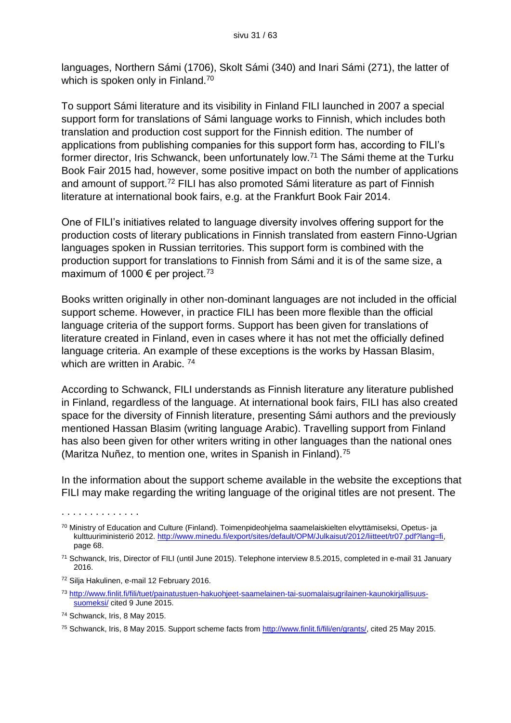languages, Northern Sámi (1706), Skolt Sámi (340) and Inari Sámi (271), the latter of which is spoken only in Finland.<sup>70</sup>

To support Sámi literature and its visibility in Finland FILI launched in 2007 a special support form for translations of Sámi language works to Finnish, which includes both translation and production cost support for the Finnish edition. The number of applications from publishing companies for this support form has, according to FILI's former director, Iris Schwanck, been unfortunately low.<sup>71</sup> The Sámi theme at the Turku Book Fair 2015 had, however, some positive impact on both the number of applications and amount of support.<sup>72</sup> FILI has also promoted Sámi literature as part of Finnish literature at international book fairs, e.g. at the Frankfurt Book Fair 2014.

One of FILI's initiatives related to language diversity involves offering support for the production costs of literary publications in Finnish translated from eastern Finno-Ugrian languages spoken in Russian territories. This support form is combined with the production support for translations to Finnish from Sámi and it is of the same size, a maximum of 1000  $\epsilon$  per project.<sup>73</sup>

Books written originally in other non-dominant languages are not included in the official support scheme. However, in practice FILI has been more flexible than the official language criteria of the support forms. Support has been given for translations of literature created in Finland, even in cases where it has not met the officially defined language criteria. An example of these exceptions is the works by Hassan Blasim, which are written in Arabic.<sup>74</sup>

According to Schwanck, FILI understands as Finnish literature any literature published in Finland, regardless of the language. At international book fairs, FILI has also created space for the diversity of Finnish literature, presenting Sámi authors and the previously mentioned Hassan Blasim (writing language Arabic). Travelling support from Finland has also been given for other writers writing in other languages than the national ones (Maritza Nuñez, to mention one, writes in Spanish in Finland).<sup>75</sup>

In the information about the support scheme available in the website the exceptions that FILI may make regarding the writing language of the original titles are not present. The

- <sup>72</sup> Silja Hakulinen, e-mail 12 February 2016.
- <sup>73</sup> [http://www.finlit.fi/fili/tuet/painatustuen-hakuohjeet-saamelainen-tai-suomalaisugrilainen-kaunokirjallisuus](http://www.finlit.fi/fili/tuet/painatustuen-hakuohjeet-saamelainen-tai-suomalaisugrilainen-kaunokirjallisuus-suomeksi/)[suomeksi/](http://www.finlit.fi/fili/tuet/painatustuen-hakuohjeet-saamelainen-tai-suomalaisugrilainen-kaunokirjallisuus-suomeksi/) cited 9 June 2015.

. . . . . . . . . . . . . .

<sup>75</sup> Schwanck, Iris, 8 May 2015. Support scheme facts from [http://www.finlit.fi/fili/en/grants/,](http://www.finlit.fi/fili/en/grants/) cited 25 May 2015.

<sup>70</sup> Ministry of Education and Culture (Finland). Toimenpideohjelma saamelaiskielten elvyttämiseksi, Opetus- ja kulttuuriministeriö 2012. [http://www.minedu.fi/export/sites/default/OPM/Julkaisut/2012/liitteet/tr07.pdf?lang=fi,](http://www.minedu.fi/export/sites/default/OPM/Julkaisut/2012/liitteet/tr07.pdf?lang=fi) page 68.

<sup>71</sup> Schwanck, Iris, Director of FILI (until June 2015). Telephone interview 8.5.2015, completed in e-mail 31 January 2016.

<sup>74</sup> Schwanck, Iris, 8 May 2015.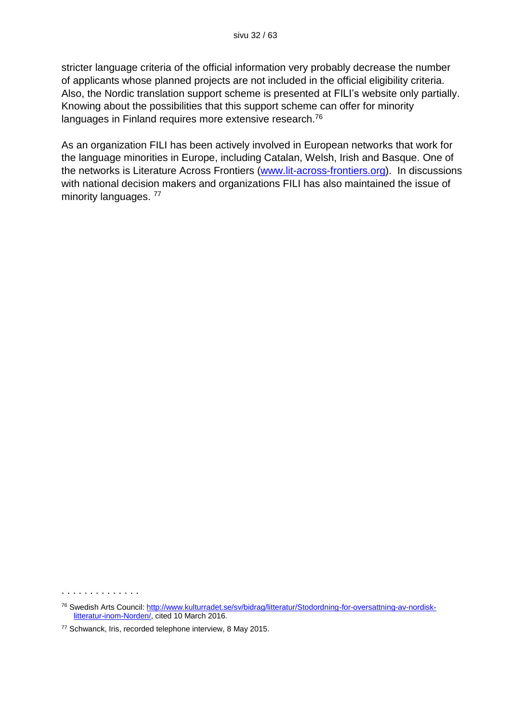stricter language criteria of the official information very probably decrease the number of applicants whose planned projects are not included in the official eligibility criteria. Also, the Nordic translation support scheme is presented at FILI's website only partially. Knowing about the possibilities that this support scheme can offer for minority languages in Finland requires more extensive research.<sup>76</sup>

As an organization FILI has been actively involved in European networks that work for the language minorities in Europe, including Catalan, Welsh, Irish and Basque. One of the networks is Literature Across Frontiers [\(www.lit-across-frontiers.org\)](http://www.lit-across-frontiers.org/). In discussions with national decision makers and organizations FILI has also maintained the issue of minority languages. <sup>77</sup>

<sup>76</sup> Swedish Arts Council: [http://www.kulturradet.se/sv/bidrag/litteratur/Stodordning-for-oversattning-av-nordisk](http://www.kulturradet.se/sv/bidrag/litteratur/Stodordning-for-oversattning-av-nordisk-litteratur-inom-Norden/)[litteratur-inom-Norden/,](http://www.kulturradet.se/sv/bidrag/litteratur/Stodordning-for-oversattning-av-nordisk-litteratur-inom-Norden/) cited 10 March 2016.

<sup>77</sup> Schwanck, Iris, recorded telephone interview, 8 May 2015.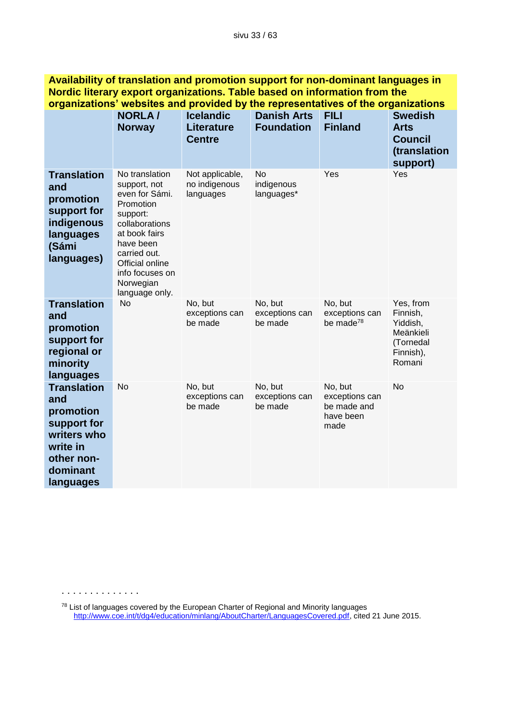| Nordic literary export organizations. Table based on information from the<br>organizations' websites and provided by the representatives of the organizations |                                                                                                                                                                                                                |                                                        |                                         |                                                               |                                                                                    |  |
|---------------------------------------------------------------------------------------------------------------------------------------------------------------|----------------------------------------------------------------------------------------------------------------------------------------------------------------------------------------------------------------|--------------------------------------------------------|-----------------------------------------|---------------------------------------------------------------|------------------------------------------------------------------------------------|--|
|                                                                                                                                                               | <b>NORLA/</b><br><b>Norway</b>                                                                                                                                                                                 | <b>Icelandic</b><br><b>Literature</b><br><b>Centre</b> | <b>Danish Arts</b><br><b>Foundation</b> | <b>FILI</b><br><b>Finland</b>                                 | <b>Swedish</b><br><b>Arts</b><br><b>Council</b><br>(translation<br>support)        |  |
| <b>Translation</b><br>and<br>promotion<br>support for<br>indigenous<br>languages<br>(Sámi<br>languages)                                                       | No translation<br>support, not<br>even for Sámi.<br>Promotion<br>support:<br>collaborations<br>at book fairs<br>have been<br>carried out.<br>Official online<br>info focuses on<br>Norwegian<br>language only. | Not applicable,<br>no indigenous<br>languages          | No.<br>indigenous<br>languages*         | Yes                                                           | Yes                                                                                |  |
| <b>Translation</b><br>and<br>promotion<br>support for<br>regional or<br>minority<br>languages                                                                 | <b>No</b>                                                                                                                                                                                                      | No, but<br>exceptions can<br>be made                   | No, but<br>exceptions can<br>be made    | No, but<br>exceptions can<br>be made <sup>78</sup>            | Yes, from<br>Finnish,<br>Yiddish,<br>Meänkieli<br>(Tornedal<br>Finnish),<br>Romani |  |
| <b>Translation</b><br>and<br>promotion<br>support for<br>writers who<br>write in<br>other non-<br>dominant<br>languages                                       | No                                                                                                                                                                                                             | No, but<br>exceptions can<br>be made                   | No, but<br>exceptions can<br>be made    | No, but<br>exceptions can<br>be made and<br>have been<br>made | No                                                                                 |  |

**Availability of translation and promotion support for non-dominant languages in** 

. . . . . . . . . . . . . .

 $^{78}$  List of languages covered by the European Charter of Regional and Minority languages [http://www.coe.int/t/dg4/education/minlang/AboutCharter/LanguagesCovered.pdf,](http://www.coe.int/t/dg4/education/minlang/AboutCharter/LanguagesCovered.pdf) cited 21 June 2015.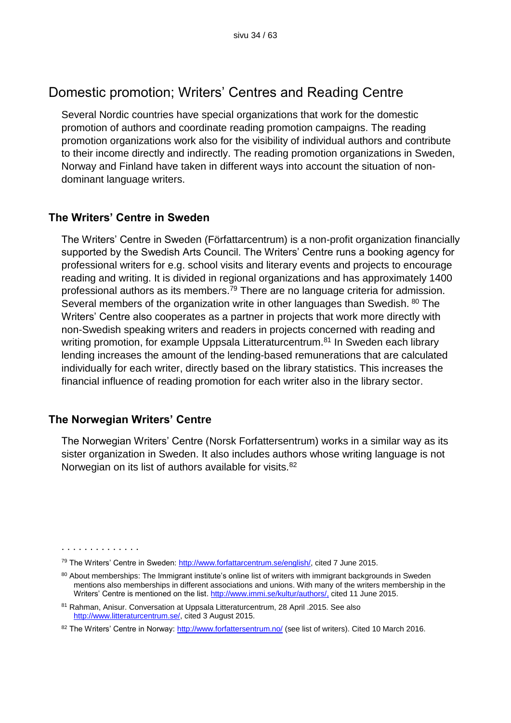## Domestic promotion; Writers' Centres and Reading Centre

Several Nordic countries have special organizations that work for the domestic promotion of authors and coordinate reading promotion campaigns. The reading promotion organizations work also for the visibility of individual authors and contribute to their income directly and indirectly. The reading promotion organizations in Sweden, Norway and Finland have taken in different ways into account the situation of nondominant language writers.

#### **The Writers' Centre in Sweden**

The Writers' Centre in Sweden (Författarcentrum) is a non-profit organization financially supported by the Swedish Arts Council. The Writers' Centre runs a booking agency for professional writers for e.g. school visits and literary events and projects to encourage reading and writing. It is divided in regional organizations and has approximately 1400 professional authors as its members.<sup>79</sup> There are no language criteria for admission. Several members of the organization write in other languages than Swedish. <sup>80</sup> The Writers' Centre also cooperates as a partner in projects that work more directly with non-Swedish speaking writers and readers in projects concerned with reading and writing promotion, for example Uppsala Litteraturcentrum.<sup>81</sup> In Sweden each library lending increases the amount of the lending-based remunerations that are calculated individually for each writer, directly based on the library statistics. This increases the financial influence of reading promotion for each writer also in the library sector.

#### **The Norwegian Writers' Centre**

. . . . . . . . . . . . . .

The Norwegian Writers' Centre (Norsk Forfattersentrum) works in a similar way as its sister organization in Sweden. It also includes authors whose writing language is not Norwegian on its list of authors available for visits.<sup>82</sup>

<sup>&</sup>lt;sup>79</sup> The Writers' Centre in Sweden: [http://www.forfattarcentrum.se/english/,](http://www.forfattarcentrum.se/english/) cited 7 June 2015.

<sup>80</sup> About memberships: The Immigrant institute's online list of writers with immigrant backgrounds in Sweden mentions also memberships in different associations and unions. With many of the writers membership in the Writers' Centre is mentioned on the list. [http://www.immi.se/kultur/authors/,](http://www.immi.se/kultur/authors/) cited 11 June 2015.

<sup>81</sup> Rahman, Anisur. Conversation at Uppsala Litteraturcentrum, 28 April .2015. See also [http://www.litteraturcentrum.se/,](http://www.litteraturcentrum.se/) cited 3 August 2015.

<sup>82</sup> The Writers' Centre in Norway:<http://www.forfattersentrum.no/> (see list of writers). Cited 10 March 2016.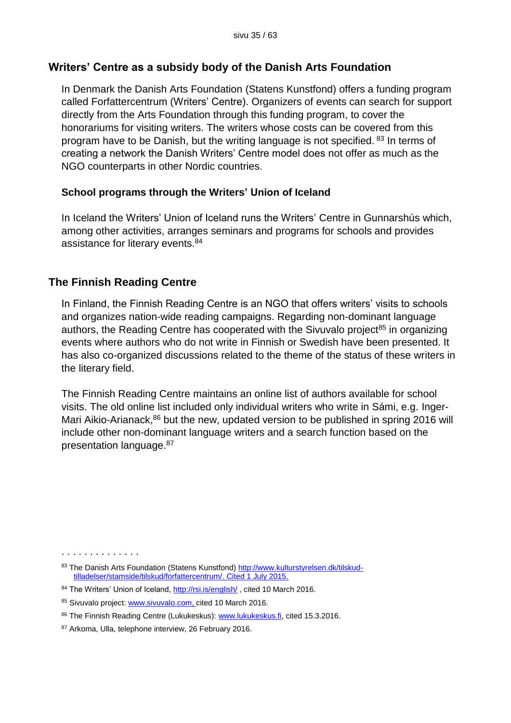#### **Writers' Centre as a subsidy body of the Danish Arts Foundation**

In Denmark the Danish Arts Foundation (Statens Kunstfond) offers a funding program called Forfattercentrum (Writers' Centre). Organizers of events can search for support directly from the Arts Foundation through this funding program, to cover the honorariums for visiting writers. The writers whose costs can be covered from this program have to be Danish, but the writing language is not specified. <sup>83</sup> In terms of creating a network the Danish Writers' Centre model does not offer as much as the NGO counterparts in other Nordic countries.

#### **School programs through the Writers' Union of Iceland**

In Iceland the Writers' Union of Iceland runs the Writers' Centre in Gunnarshús which, among other activities, arranges seminars and programs for schools and provides assistance for literary events.<sup>84</sup>

#### **The Finnish Reading Centre**

In Finland, the Finnish Reading Centre is an NGO that offers writers' visits to schools and organizes nation-wide reading campaigns. Regarding non-dominant language authors, the Reading Centre has cooperated with the Sivuvalo project<sup>85</sup> in organizing events where authors who do not write in Finnish or Swedish have been presented. It has also co-organized discussions related to the theme of the status of these writers in the literary field.

The Finnish Reading Centre maintains an online list of authors available for school visits. The old online list included only individual writers who write in Sámi, e.g. Inger-Mari Aikio-Arianack,<sup>86</sup> but the new, updated version to be published in spring 2016 will include other non-dominant language writers and a search function based on the presentation language.<sup>87</sup>

<sup>83</sup> The Danish Arts Foundation (Statens Kunstfond) [http://www.kulturstyrelsen.dk/tilskud](http://www.kulturstyrelsen.dk/tilskud-tilladelser/stamside/tilskud/forfattercentrum/)[tilladelser/stamside/tilskud/forfattercentrum/.](http://www.kulturstyrelsen.dk/tilskud-tilladelser/stamside/tilskud/forfattercentrum/) Cited 1 July 2015.

<sup>84</sup> The Writers' Union of Iceland,<http://rsi.is/english/>, cited 10 March 2016.

<sup>85</sup> Sivuvalo project: [www.sivuvalo.com,](http://www.sivuvalo.com/) cited 10 March 2016.

<sup>86</sup> The Finnish Reading Centre (Lukukeskus): [www.lukukeskus.fi,](http://www.lukukeskus.fi/) cited 15.3.2016.

<sup>87</sup> Arkoma, Ulla, telephone interview, 26 February 2016.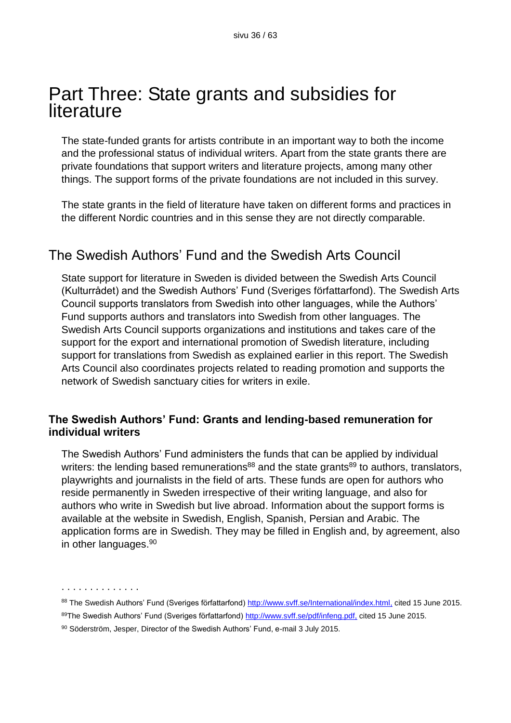## Part Three: State grants and subsidies for literature

The state-funded grants for artists contribute in an important way to both the income and the professional status of individual writers. Apart from the state grants there are private foundations that support writers and literature projects, among many other things. The support forms of the private foundations are not included in this survey.

The state grants in the field of literature have taken on different forms and practices in the different Nordic countries and in this sense they are not directly comparable.

## The Swedish Authors' Fund and the Swedish Arts Council

State support for literature in Sweden is divided between the Swedish Arts Council (Kulturrådet) and the Swedish Authors' Fund (Sveriges författarfond). The Swedish Arts Council supports translators from Swedish into other languages, while the Authors' Fund supports authors and translators into Swedish from other languages. The Swedish Arts Council supports organizations and institutions and takes care of the support for the export and international promotion of Swedish literature, including support for translations from Swedish as explained earlier in this report. The Swedish Arts Council also coordinates projects related to reading promotion and supports the network of Swedish sanctuary cities for writers in exile.

#### **The Swedish Authors' Fund: Grants and lending-based remuneration for individual writers**

The Swedish Authors' Fund administers the funds that can be applied by individual writers: the lending based remunerations<sup>88</sup> and the state grants<sup>89</sup> to authors, translators, playwrights and journalists in the field of arts. These funds are open for authors who reside permanently in Sweden irrespective of their writing language, and also for authors who write in Swedish but live abroad. Information about the support forms is available at the website in Swedish, English, Spanish, Persian and Arabic. The application forms are in Swedish. They may be filled in English and, by agreement, also in other languages. 90

88 The Swedish Authors' Fund (Sveriges författarfond) [http://www.svff.se/International/index.html,](http://www.svff.se/International/index.html) cited 15 June 2015.

89The Swedish Authors' Fund (Sveriges författarfond)<http://www.svff.se/pdf/infeng.pdf,> cited 15 June 2015.

<sup>90</sup> Söderström, Jesper, Director of the Swedish Authors' Fund, e-mail 3 July 2015.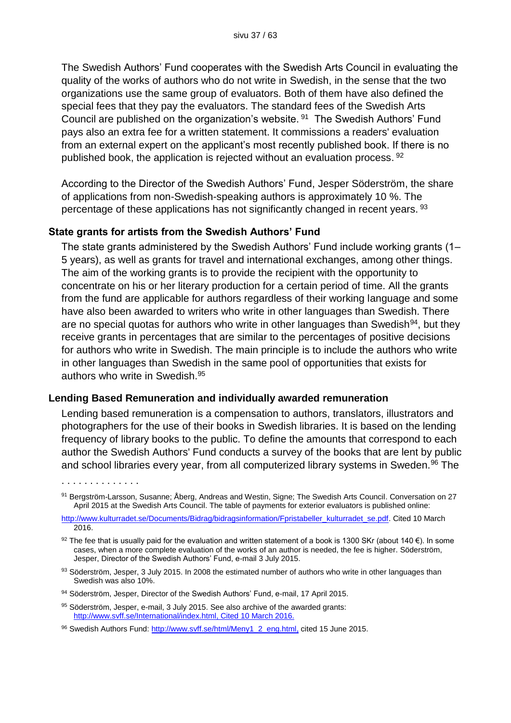The Swedish Authors' Fund cooperates with the Swedish Arts Council in evaluating the quality of the works of authors who do not write in Swedish, in the sense that the two organizations use the same group of evaluators. Both of them have also defined the special fees that they pay the evaluators. The standard fees of the Swedish Arts Council are published on the organization's website. <sup>91</sup> The Swedish Authors' Fund pays also an extra fee for a written statement. It commissions a readers' evaluation from an external expert on the applicant's most recently published book. If there is no published book, the application is rejected without an evaluation process. <sup>92</sup>

According to the Director of the Swedish Authors' Fund, Jesper Söderström, the share of applications from non-Swedish-speaking authors is approximately 10 %. The percentage of these applications has not significantly changed in recent years. <sup>93</sup>

#### **State grants for artists from the Swedish Authors' Fund**

The state grants administered by the Swedish Authors' Fund include working grants (1– 5 years), as well as grants for travel and international exchanges, among other things. The aim of the working grants is to provide the recipient with the opportunity to concentrate on his or her literary production for a certain period of time. All the grants from the fund are applicable for authors regardless of their working language and some have also been awarded to writers who write in other languages than Swedish. There are no special quotas for authors who write in other languages than Swedish<sup>94</sup>, but they receive grants in percentages that are similar to the percentages of positive decisions for authors who write in Swedish. The main principle is to include the authors who write in other languages than Swedish in the same pool of opportunities that exists for authors who write in Swedish.<sup>95</sup>

#### **Lending Based Remuneration and individually awarded remuneration**

Lending based remuneration is a compensation to authors, translators, illustrators and photographers for the use of their books in Swedish libraries. It is based on the lending frequency of library books to the public. To define the amounts that correspond to each author the Swedish Authors' Fund conducts a survey of the books that are lent by public and school libraries every year, from all computerized library systems in Sweden.<sup>96</sup> The

<sup>91</sup> Bergström-Larsson, Susanne; Åberg, Andreas and Westin, Signe; The Swedish Arts Council. Conversation on 27 April 2015 at the Swedish Arts Council. The table of payments for exterior evaluators is published online:

[http://www.kulturradet.se/Documents/Bidrag/bidragsinformation/Fpristabeller\\_kulturradet\\_se.pdf.](http://www.kulturradet.se/Documents/Bidrag/bidragsinformation/Fpristabeller_kulturradet_se.pdf) Cited 10 March 2016.

<sup>&</sup>lt;sup>92</sup> The fee that is usually paid for the evaluation and written statement of a book is 1300 SKr (about 140 €). In some cases, when a more complete evaluation of the works of an author is needed, the fee is higher. Söderström, Jesper, Director of the Swedish Authors' Fund, e-mail 3 July 2015.

<sup>93</sup> Söderström, Jesper, 3 July 2015. In 2008 the estimated number of authors who write in other languages than Swedish was also 10%.

<sup>94</sup> Söderström, Jesper, Director of the Swedish Authors' Fund, e-mail, 17 April 2015.

<sup>95</sup> Söderström, Jesper, e-mail, 3 July 2015. See also archive of the awarded grants: [http://www.svff.se/International/index.html,](http://www.svff.se/International/index.html) Cited 10 March 2016.

<sup>96</sup> Swedish Authors Fund: [http://www.svff.se/html/Meny1\\_2\\_eng.html,](http://www.svff.se/html/Meny1_2_eng.html) cited 15 June 2015.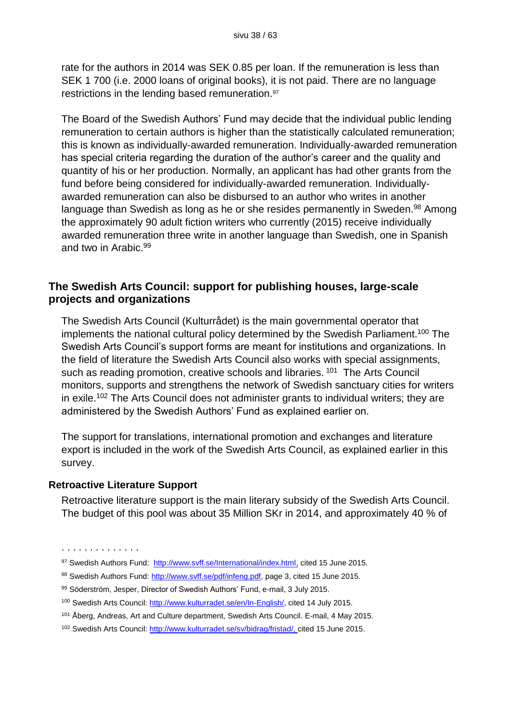rate for the authors in 2014 was SEK 0.85 per loan. If the remuneration is less than SEK 1 700 (i.e. 2000 loans of original books), it is not paid. There are no language restrictions in the lending based remuneration.<sup>97</sup>

The Board of the Swedish Authors' Fund may decide that the individual public lending remuneration to certain authors is higher than the statistically calculated remuneration; this is known as individually-awarded remuneration. Individually-awarded remuneration has special criteria regarding the duration of the author's career and the quality and quantity of his or her production. Normally, an applicant has had other grants from the fund before being considered for individually-awarded remuneration. Individuallyawarded remuneration can also be disbursed to an author who writes in another language than Swedish as long as he or she resides permanently in Sweden.<sup>98</sup> Among the approximately 90 adult fiction writers who currently (2015) receive individually awarded remuneration three write in another language than Swedish, one in Spanish and two in Arabic. 99

#### **The Swedish Arts Council: support for publishing houses, large-scale projects and organizations**

The Swedish Arts Council (Kulturrådet) is the main governmental operator that implements the national cultural policy determined by the Swedish Parliament.<sup>100</sup> The Swedish Arts Council's support forms are meant for institutions and organizations. In the field of literature the Swedish Arts Council also works with special assignments, such as reading promotion, creative schools and libraries.<sup>101</sup> The Arts Council monitors, supports and strengthens the network of Swedish sanctuary cities for writers in exile.<sup>102</sup> The Arts Council does not administer grants to individual writers; they are administered by the Swedish Authors' Fund as explained earlier on.

The support for translations, international promotion and exchanges and literature export is included in the work of the Swedish Arts Council, as explained earlier in this survey.

#### **Retroactive Literature Support**

Retroactive literature support is the main literary subsidy of the Swedish Arts Council. The budget of this pool was about 35 Million SKr in 2014, and approximately 40 % of

<sup>97</sup> Swedish Authors Fund: [http://www.svff.se/International/index.html,](http://www.svff.se/International/index.html) cited 15 June 2015.

<sup>98</sup> Swedish Authors Fund: [http://www.svff.se/pdf/infeng.pdf,](http://www.svff.se/pdf/infeng.pdf) page 3, cited 15 June 2015.

<sup>99</sup> Söderström, Jesper, Director of Swedish Authors' Fund, e-mail, 3 July 2015.

<sup>100</sup> Swedish Arts Council: [http://www.kulturradet.se/en/In-English/,](http://www.kulturradet.se/en/In-English/) cited 14 July 2015.

<sup>101</sup> Åberg, Andreas, Art and Culture department, Swedish Arts Council. E-mail, 4 May 2015.

<sup>102</sup> Swedish Arts Council: [http://www.kulturradet.se/sv/bidrag/fristad/,](http://www.kulturradet.se/sv/bidrag/fristad/) cited 15 June 2015.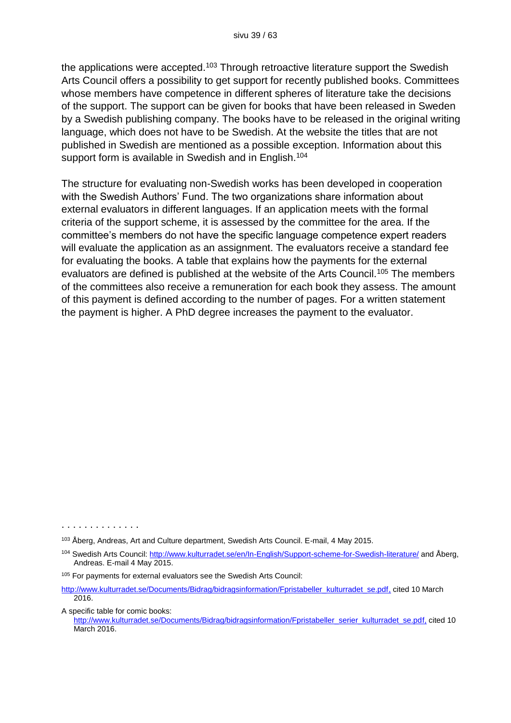the applications were accepted.<sup>103</sup> Through retroactive literature support the Swedish Arts Council offers a possibility to get support for recently published books. Committees whose members have competence in different spheres of literature take the decisions of the support. The support can be given for books that have been released in Sweden by a Swedish publishing company. The books have to be released in the original writing language, which does not have to be Swedish. At the website the titles that are not published in Swedish are mentioned as a possible exception. Information about this support form is available in Swedish and in English.<sup>104</sup>

The structure for evaluating non-Swedish works has been developed in cooperation with the Swedish Authors' Fund. The two organizations share information about external evaluators in different languages. If an application meets with the formal criteria of the support scheme, it is assessed by the committee for the area. If the committee's members do not have the specific language competence expert readers will evaluate the application as an assignment. The evaluators receive a standard fee for evaluating the books. A table that explains how the payments for the external evaluators are defined is published at the website of the Arts Council.<sup>105</sup> The members of the committees also receive a remuneration for each book they assess. The amount of this payment is defined according to the number of pages. For a written statement the payment is higher. A PhD degree increases the payment to the evaluator.

A specific table for comic books:

<sup>103</sup> Åberg, Andreas, Art and Culture department, Swedish Arts Council. E-mail, 4 May 2015.

<sup>104</sup> Swedish Arts Council:<http://www.kulturradet.se/en/In-English/Support-scheme-for-Swedish-literature/> and Åberg, Andreas. E-mail 4 May 2015.

<sup>105</sup> For payments for external evaluators see the Swedish Arts Council:

[http://www.kulturradet.se/Documents/Bidrag/bidragsinformation/Fpristabeller\\_kulturradet\\_se.pdf,](http://www.kulturradet.se/Documents/Bidrag/bidragsinformation/Fpristabeller_kulturradet_se.pdf) cited 10 March 2016.

[http://www.kulturradet.se/Documents/Bidrag/bidragsinformation/Fpristabeller\\_serier\\_kulturradet\\_se.pdf,](http://www.kulturradet.se/Documents/Bidrag/bidragsinformation/Fpristabeller_serier_kulturradet_se.pdf) cited 10 March 2016.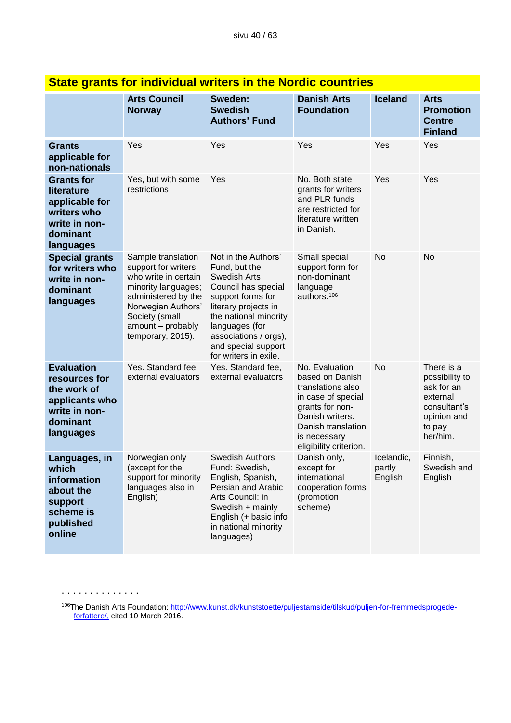|                                                                                                               | <b>Arts Council</b><br><b>Norway</b>                                                                                                                                                              | Sweden:<br><b>Swedish</b><br><b>Authors' Fund</b>                                                                                                                                                                                            | <b>Danish Arts</b><br><b>Foundation</b>                                                                                                                                            | <b>Iceland</b>                  | <b>Arts</b><br><b>Promotion</b><br><b>Centre</b><br><b>Finland</b>                                          |  |  |
|---------------------------------------------------------------------------------------------------------------|---------------------------------------------------------------------------------------------------------------------------------------------------------------------------------------------------|----------------------------------------------------------------------------------------------------------------------------------------------------------------------------------------------------------------------------------------------|------------------------------------------------------------------------------------------------------------------------------------------------------------------------------------|---------------------------------|-------------------------------------------------------------------------------------------------------------|--|--|
| <b>Grants</b><br>applicable for<br>non-nationals                                                              | Yes                                                                                                                                                                                               | Yes                                                                                                                                                                                                                                          | Yes                                                                                                                                                                                | Yes                             | Yes                                                                                                         |  |  |
| <b>Grants for</b><br>literature<br>applicable for<br>writers who<br>write in non-<br>dominant<br>languages    | Yes, but with some<br>restrictions                                                                                                                                                                | Yes                                                                                                                                                                                                                                          | No. Both state<br>grants for writers<br>and PLR funds<br>are restricted for<br>literature written<br>in Danish.                                                                    | Yes                             | Yes                                                                                                         |  |  |
| <b>Special grants</b><br>for writers who<br>write in non-<br>dominant<br>languages                            | Sample translation<br>support for writers<br>who write in certain<br>minority languages;<br>administered by the<br>Norwegian Authors'<br>Society (small<br>amount - probably<br>temporary, 2015). | Not in the Authors'<br>Fund, but the<br>Swedish Arts<br>Council has special<br>support forms for<br>literary projects in<br>the national minority<br>languages (for<br>associations / orgs),<br>and special support<br>for writers in exile. | Small special<br>support form for<br>non-dominant<br>language<br>authors. <sup>106</sup>                                                                                           | No                              | No                                                                                                          |  |  |
| <b>Evaluation</b><br>resources for<br>the work of<br>applicants who<br>write in non-<br>dominant<br>languages | Yes. Standard fee,<br>external evaluators                                                                                                                                                         | Yes. Standard fee,<br>external evaluators                                                                                                                                                                                                    | No. Evaluation<br>based on Danish<br>translations also<br>in case of special<br>grants for non-<br>Danish writers.<br>Danish translation<br>is necessary<br>eligibility criterion. | No                              | There is a<br>possibility to<br>ask for an<br>external<br>consultant's<br>opinion and<br>to pay<br>her/him. |  |  |
| Languages, in<br>which<br>information<br>about the<br>support<br>scheme is<br>published<br>online             | Norwegian only<br>(except for the<br>support for minority<br>languages also in<br>English)                                                                                                        | <b>Swedish Authors</b><br>Fund: Swedish,<br>English, Spanish,<br>Persian and Arabic<br>Arts Council: in<br>Swedish + mainly<br>English (+ basic info<br>in national minority<br>languages)                                                   | Danish only,<br>except for<br>international<br>cooperation forms<br>(promotion<br>scheme)                                                                                          | Icelandic,<br>partly<br>English | Finnish,<br>Swedish and<br>English                                                                          |  |  |

### **State grants for individual writers in the Nordic countries**

. . . . . . . . . . . . . .

<sup>106</sup>The Danish Arts Foundation: [http://www.kunst.dk/kunststoette/puljestamside/tilskud/puljen-for-fremmedsprogede](http://www.kunst.dk/kunststoette/puljestamside/tilskud/puljen-for-fremmedsprogede-forfattere/)[forfattere/,](http://www.kunst.dk/kunststoette/puljestamside/tilskud/puljen-for-fremmedsprogede-forfattere/) cited 10 March 2016.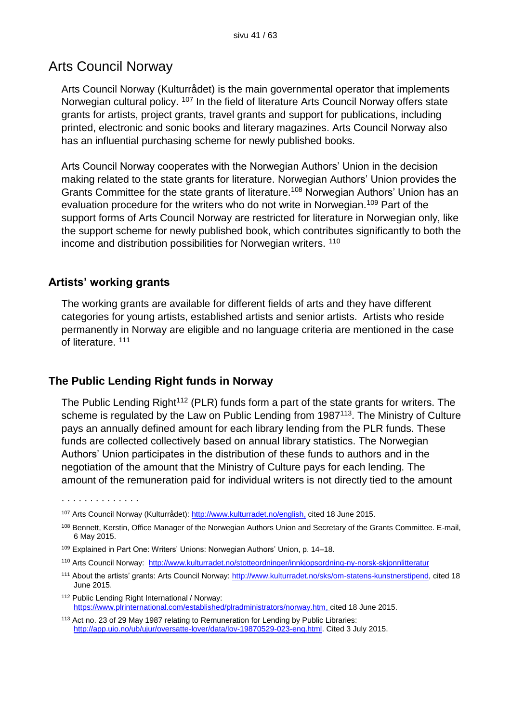### Arts Council Norway

Arts Council Norway (Kulturrådet) is the main governmental operator that implements Norwegian cultural policy. <sup>107</sup> In the field of literature Arts Council Norway offers state grants for artists, project grants, travel grants and support for publications, including printed, electronic and sonic books and literary magazines. Arts Council Norway also has an influential purchasing scheme for newly published books.

Arts Council Norway cooperates with the Norwegian Authors' Union in the decision making related to the state grants for literature. Norwegian Authors' Union provides the Grants Committee for the state grants of literature.<sup>108</sup> Norwegian Authors' Union has an evaluation procedure for the writers who do not write in Norwegian.<sup>109</sup> Part of the support forms of Arts Council Norway are restricted for literature in Norwegian only, like the support scheme for newly published book, which contributes significantly to both the income and distribution possibilities for Norwegian writers. <sup>110</sup>

#### **Artists' working grants**

. . . . . . . . . . . . . .

The working grants are available for different fields of arts and they have different categories for young artists, established artists and senior artists. Artists who reside permanently in Norway are eligible and no language criteria are mentioned in the case of literature. <sup>111</sup>

#### **The Public Lending Right funds in Norway**

The Public Lending Right<sup>112</sup> (PLR) funds form a part of the state grants for writers. The scheme is regulated by the Law on Public Lending from 1987<sup>113</sup>. The Ministry of Culture pays an annually defined amount for each library lending from the PLR funds. These funds are collected collectively based on annual library statistics. The Norwegian Authors' Union participates in the distribution of these funds to authors and in the negotiation of the amount that the Ministry of Culture pays for each lending. The amount of the remuneration paid for individual writers is not directly tied to the amount

- <sup>109</sup> Explained in Part One: Writers' Unions: Norwegian Authors' Union, p. 14–18.
- <sup>110</sup> Arts Council Norway: <http://www.kulturradet.no/stotteordninger/innkjopsordning-ny-norsk-skjonnlitteratur>
- <sup>111</sup> About the artists' grants: Arts Council Norway: [http://www.kulturradet.no/sks/om-statens-kunstnerstipend,](http://www.kulturradet.no/sks/om-statens-kunstnerstipend) cited 18 June 2015.
- <sup>112</sup> Public Lending Right International / Norway: [https://www.plrinternational.com/established/plradministrators/norway.htm,](https://www.plrinternational.com/established/plradministrators/norway.htm) cited 18 June 2015.
- <sup>113</sup> Act no. 23 of 29 May 1987 relating to Remuneration for Lending by Public Libraries: [http://app.uio.no/ub/ujur/oversatte-lover/data/lov-19870529-023-eng.html.](http://app.uio.no/ub/ujur/oversatte-lover/data/lov-19870529-023-eng.html) Cited 3 July 2015.

<sup>107</sup> Arts Council Norway (Kulturrådet): [http://www.kulturradet.no/english,](http://www.kulturradet.no/english) cited 18 June 2015.

<sup>108</sup> Bennett, Kerstin, Office Manager of the Norwegian Authors Union and Secretary of the Grants Committee. E-mail, 6 May 2015.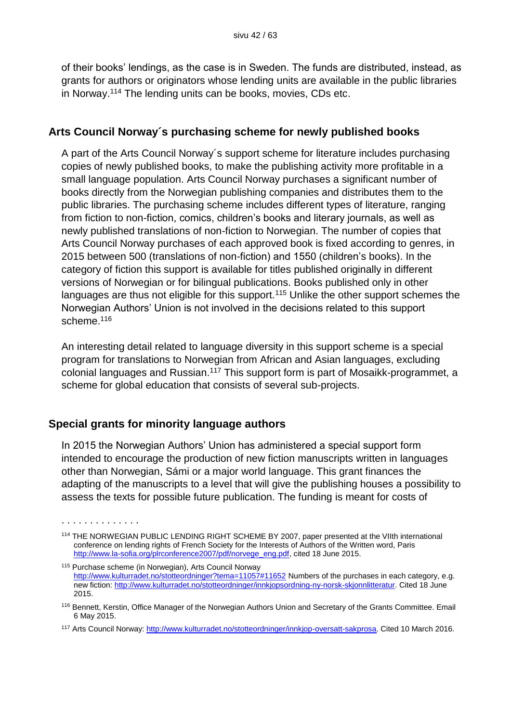of their books' lendings, as the case is in Sweden. The funds are distributed, instead, as grants for authors or originators whose lending units are available in the public libraries in Norway.<sup>114</sup> The lending units can be books, movies, CDs etc.

#### **Arts Council Norway´s purchasing scheme for newly published books**

A part of the Arts Council Norway´s support scheme for literature includes purchasing copies of newly published books, to make the publishing activity more profitable in a small language population. Arts Council Norway purchases a significant number of books directly from the Norwegian publishing companies and distributes them to the public libraries. The purchasing scheme includes different types of literature, ranging from fiction to non-fiction, comics, children's books and literary journals, as well as newly published translations of non-fiction to Norwegian. The number of copies that Arts Council Norway purchases of each approved book is fixed according to genres, in 2015 between 500 (translations of non-fiction) and 1550 (children's books). In the category of fiction this support is available for titles published originally in different versions of Norwegian or for bilingual publications. Books published only in other languages are thus not eligible for this support.<sup>115</sup> Unlike the other support schemes the Norwegian Authors' Union is not involved in the decisions related to this support scheme.<sup>116</sup>

An interesting detail related to language diversity in this support scheme is a special program for translations to Norwegian from African and Asian languages, excluding colonial languages and Russian.<sup>117</sup> This support form is part of Mosaikk-programmet, a scheme for global education that consists of several sub-projects.

#### **Special grants for minority language authors**

. . . . . . . . . . . . . .

In 2015 the Norwegian Authors' Union has administered a special support form intended to encourage the production of new fiction manuscripts written in languages other than Norwegian, Sámi or a major world language. This grant finances the adapting of the manuscripts to a level that will give the publishing houses a possibility to assess the texts for possible future publication. The funding is meant for costs of

<sup>114</sup> THE NORWEGIAN PUBLIC LENDING RIGHT SCHEME BY 2007, paper presented at the VIIth international conference on lending rights of French Society for the Interests of Authors of the Written word, Paris [http://www.la-sofia.org/plrconference2007/pdf/norvege\\_eng.pdf,](http://www.la-sofia.org/plrconference2007/pdf/norvege_eng.pdf) cited 18 June 2015.

<sup>115</sup> Purchase scheme (in Norwegian), Arts Council Norway <http://www.kulturradet.no/stotteordninger?tema=11057#11652> Numbers of the purchases in each category, e.g. new fiction: [http://www.kulturradet.no/stotteordninger/innkjopsordning-ny-norsk-skjonnlitteratur.](http://www.kulturradet.no/stotteordninger/innkjopsordning-ny-norsk-skjonnlitteratur) Cited 18 June 2015.

<sup>116</sup> Bennett, Kerstin, Office Manager of the Norwegian Authors Union and Secretary of the Grants Committee. Email 6 May 2015.

<sup>117</sup> Arts Council Norway: [http://www.kulturradet.no/stotteordninger/innkjop-oversatt-sakprosa.](http://www.kulturradet.no/stotteordninger/innkjop-oversatt-sakprosa) Cited 10 March 2016.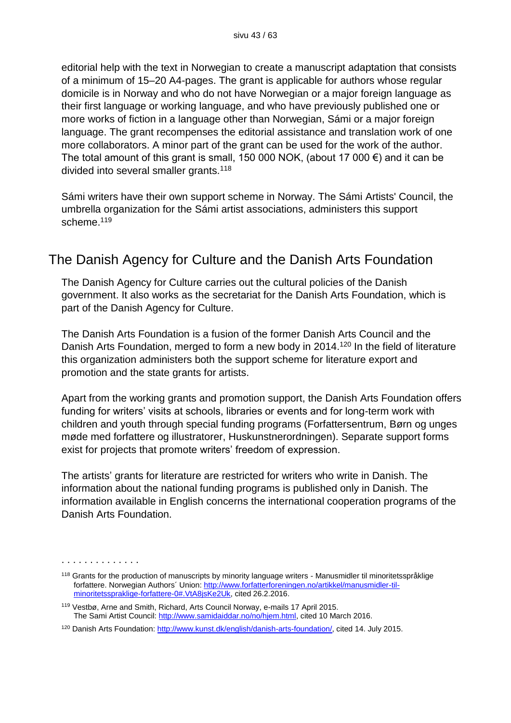editorial help with the text in Norwegian to create a manuscript adaptation that consists of a minimum of 15–20 A4-pages. The grant is applicable for authors whose regular domicile is in Norway and who do not have Norwegian or a major foreign language as their first language or working language, and who have previously published one or more works of fiction in a language other than Norwegian, Sámi or a major foreign language. The grant recompenses the editorial assistance and translation work of one more collaborators. A minor part of the grant can be used for the work of the author. The total amount of this grant is small, 150 000 NOK, (about 17 000  $\epsilon$ ) and it can be divided into several smaller grants.<sup>118</sup>

Sámi writers have their own support scheme in Norway. The Sámi Artists' Council, the umbrella organization for the Sámi artist associations, administers this support scheme.<sup>119</sup>

## The Danish Agency for Culture and the Danish Arts Foundation

The Danish Agency for Culture carries out the cultural policies of the Danish government. It also works as the secretariat for the Danish Arts Foundation, which is part of the Danish Agency for Culture.

The Danish Arts Foundation is a fusion of the former Danish Arts Council and the Danish Arts Foundation, merged to form a new body in 2014.<sup>120</sup> In the field of literature this organization administers both the support scheme for literature export and promotion and the state grants for artists.

Apart from the working grants and promotion support, the Danish Arts Foundation offers funding for writers' visits at schools, libraries or events and for long-term work with children and youth through special funding programs (Forfattersentrum, Børn og unges møde med forfattere og illustratorer, Huskunstnerordningen). Separate support forms exist for projects that promote writers' freedom of expression.

The artists' grants for literature are restricted for writers who write in Danish. The information about the national funding programs is published only in Danish. The information available in English concerns the international cooperation programs of the Danish Arts Foundation.

<sup>. . . . . . . . . . . . . .</sup> 

<sup>118</sup> Grants for the production of manuscripts by minority language writers - Manusmidler til minoritetsspråklige forfattere. Norwegian Authors´ Union: [http://www.forfatterforeningen.no/artikkel/manusmidler-til](http://www.forfatterforeningen.no/artikkel/manusmidler-til-minoritetsspraklige-forfattere-0%23.VtA8jsKe2Uk)[minoritetsspraklige-forfattere-0#.VtA8jsKe2Uk,](http://www.forfatterforeningen.no/artikkel/manusmidler-til-minoritetsspraklige-forfattere-0%23.VtA8jsKe2Uk) cited 26.2.2016.

<sup>119</sup> Vestbø, Arne and Smith, Richard, Arts Council Norway, e-mails 17 April 2015. The Sami Artist Council: [http://www.samidaiddar.no/no/hjem.html,](http://www.samidaiddar.no/no/hjem.html) cited 10 March 2016.

<sup>120</sup> Danish Arts Foundation: [http://www.kunst.dk/english/danish-arts-foundation/,](http://www.kunst.dk/english/danish-arts-foundation/) cited 14. July 2015.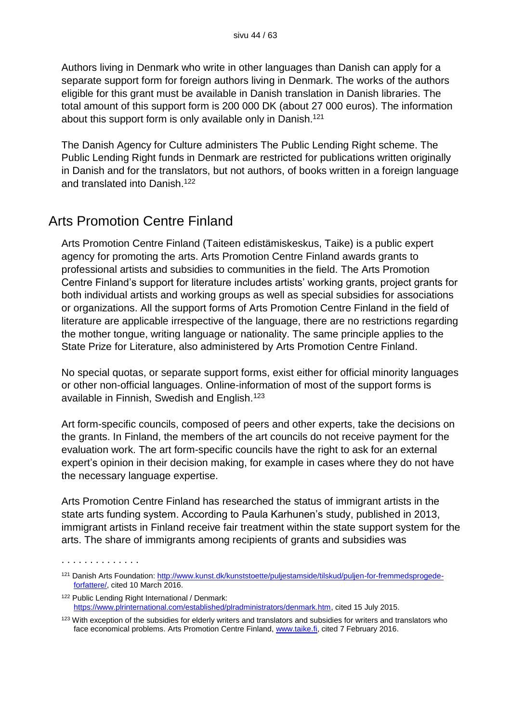Authors living in Denmark who write in other languages than Danish can apply for a separate support form for foreign authors living in Denmark. The works of the authors eligible for this grant must be available in Danish translation in Danish libraries. The total amount of this support form is 200 000 DK (about 27 000 euros). The information about this support form is only available only in Danish.<sup>121</sup>

The Danish Agency for Culture administers The Public Lending Right scheme. The Public Lending Right funds in Denmark are restricted for publications written originally in Danish and for the translators, but not authors, of books written in a foreign language and translated into Danish.<sup>122</sup>

## Arts Promotion Centre Finland

. . . . . . . . . . . . . .

Arts Promotion Centre Finland (Taiteen edistämiskeskus, Taike) is a public expert agency for promoting the arts. Arts Promotion Centre Finland awards grants to professional artists and subsidies to communities in the field. The Arts Promotion Centre Finland's support for literature includes artists' working grants, project grants for both individual artists and working groups as well as special subsidies for associations or organizations. All the support forms of Arts Promotion Centre Finland in the field of literature are applicable irrespective of the language, there are no restrictions regarding the mother tongue, writing language or nationality. The same principle applies to the State Prize for Literature, also administered by Arts Promotion Centre Finland.

No special quotas, or separate support forms, exist either for official minority languages or other non-official languages. Online-information of most of the support forms is available in Finnish, Swedish and English.<sup>123</sup>

Art form-specific councils, composed of peers and other experts, take the decisions on the grants. In Finland, the members of the art councils do not receive payment for the evaluation work. The art form-specific councils have the right to ask for an external expert's opinion in their decision making, for example in cases where they do not have the necessary language expertise.

Arts Promotion Centre Finland has researched the status of immigrant artists in the state arts funding system. According to Paula Karhunen's study, published in 2013, immigrant artists in Finland receive fair treatment within the state support system for the arts. The share of immigrants among recipients of grants and subsidies was

<sup>121</sup> Danish Arts Foundation: [http://www.kunst.dk/kunststoette/puljestamside/tilskud/puljen-for-fremmedsprogede](http://www.kunst.dk/kunststoette/puljestamside/tilskud/puljen-for-fremmedsprogede-forfattere/)[forfattere/,](http://www.kunst.dk/kunststoette/puljestamside/tilskud/puljen-for-fremmedsprogede-forfattere/) cited 10 March 2016.

<sup>122</sup> Public Lending Right International / Denmark: [https://www.plrinternational.com/established/plradministrators/denmark.htm,](https://www.plrinternational.com/established/plradministrators/denmark.htm) cited 15 July 2015.

<sup>123</sup> With exception of the subsidies for elderly writers and translators and subsidies for writers and translators who face economical problems. Arts Promotion Centre Finland[, www.taike.fi,](http://www.taike.fi/) cited 7 February 2016.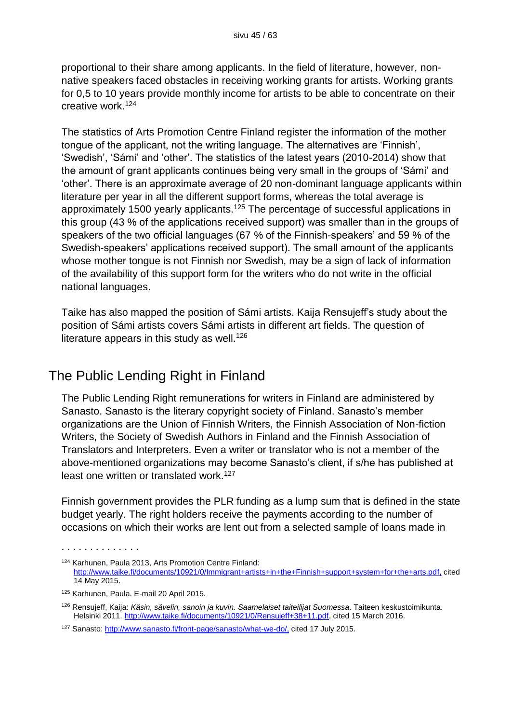proportional to their share among applicants. In the field of literature, however, nonnative speakers faced obstacles in receiving working grants for artists. Working grants for 0,5 to 10 years provide monthly income for artists to be able to concentrate on their creative work.<sup>124</sup>

The statistics of Arts Promotion Centre Finland register the information of the mother tongue of the applicant, not the writing language. The alternatives are 'Finnish', 'Swedish', 'Sámi' and 'other'. The statistics of the latest years (2010-2014) show that the amount of grant applicants continues being very small in the groups of 'Sámi' and 'other'. There is an approximate average of 20 non-dominant language applicants within literature per year in all the different support forms, whereas the total average is approximately 1500 yearly applicants.<sup>125</sup> The percentage of successful applications in this group (43 % of the applications received support) was smaller than in the groups of speakers of the two official languages (67 % of the Finnish-speakers' and 59 % of the Swedish-speakers' applications received support). The small amount of the applicants whose mother tongue is not Finnish nor Swedish, may be a sign of lack of information of the availability of this support form for the writers who do not write in the official national languages.

Taike has also mapped the position of Sámi artists. Kaija Rensujeff's study about the position of Sámi artists covers Sámi artists in different art fields. The question of literature appears in this study as well.<sup>126</sup>

## The Public Lending Right in Finland

The Public Lending Right remunerations for writers in Finland are administered by Sanasto. Sanasto is the literary copyright society of Finland. Sanasto's member organizations are the Union of Finnish Writers, the Finnish Association of Non-fiction Writers, the Society of Swedish Authors in Finland and the Finnish Association of Translators and Interpreters. Even a writer or translator who is not a member of the above-mentioned organizations may become Sanasto's client, if s/he has published at least one written or translated work.<sup>127</sup>

Finnish government provides the PLR funding as a lump sum that is defined in the state budget yearly. The right holders receive the payments according to the number of occasions on which their works are lent out from a selected sample of loans made in

<sup>124</sup> Karhunen, Paula 2013, Arts Promotion Centre Finland: <http://www.taike.fi/documents/10921/0/Immigrant+artists+in+the+Finnish+support+system+for+the+arts.pdf,> cited 14 May 2015.

<sup>125</sup> Karhunen, Paula. E-mail 20 April 2015.

<sup>126</sup> Rensujeff, Kaija: *Käsin, sävelin, sanoin ja kuvin. Saamelaiset taiteilijat Suomessa*. Taiteen keskustoimikunta. Helsinki 2011. [http://www.taike.fi/documents/10921/0/Rensujeff+38+11.pdf,](http://www.taike.fi/documents/10921/0/Rensujeff+38+11.pdf) cited 15 March 2016.

<sup>127</sup> Sanasto: [http://www.sanasto.fi/front-page/sanasto/what-we-do/,](http://www.sanasto.fi/front-page/sanasto/what-we-do/) cited 17 July 2015.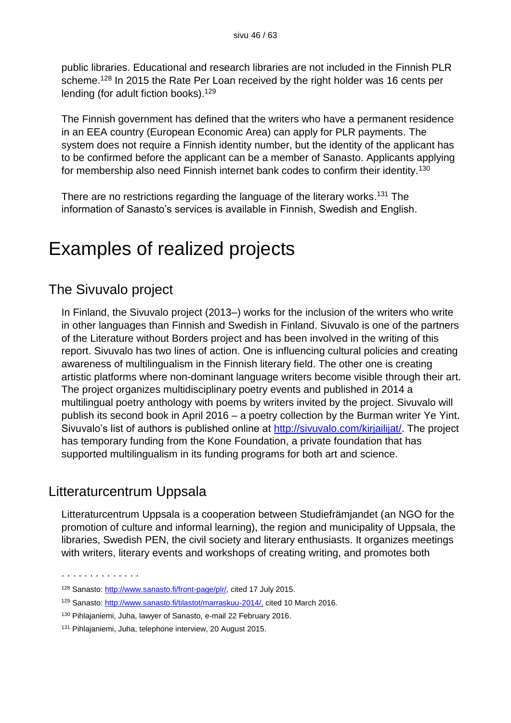public libraries. Educational and research libraries are not included in the Finnish PLR scheme.<sup>128</sup> In 2015 the Rate Per Loan received by the right holder was 16 cents per lending (for adult fiction books).<sup>129</sup>

The Finnish government has defined that the writers who have a permanent residence in an EEA country (European Economic Area) can apply for PLR payments. The system does not require a Finnish identity number, but the identity of the applicant has to be confirmed before the applicant can be a member of Sanasto. Applicants applying for membership also need Finnish internet bank codes to confirm their identity.<sup>130</sup>

There are no restrictions regarding the language of the literary works.<sup>131</sup> The information of Sanasto's services is available in Finnish, Swedish and English.

## Examples of realized projects

## The Sivuvalo project

In Finland, the Sivuvalo project (2013–) works for the inclusion of the writers who write in other languages than Finnish and Swedish in Finland. Sivuvalo is one of the partners of the Literature without Borders project and has been involved in the writing of this report. Sivuvalo has two lines of action. One is influencing cultural policies and creating awareness of multilingualism in the Finnish literary field. The other one is creating artistic platforms where non-dominant language writers become visible through their art. The project organizes multidisciplinary poetry events and published in 2014 a multilingual poetry anthology with poems by writers invited by the project. Sivuvalo will publish its second book in April 2016 – a poetry collection by the Burman writer Ye Yint. Sivuvalo's list of authors is published online at [http://sivuvalo.com/kirjailijat/.](http://sivuvalo.com/kirjailijat/) The project has temporary funding from the Kone Foundation, a private foundation that has supported multilingualism in its funding programs for both art and science.

## Litteraturcentrum Uppsala

Litteraturcentrum Uppsala is a cooperation between Studiefrämjandet (an NGO for the promotion of culture and informal learning), the region and municipality of Uppsala, the libraries, Swedish PEN, the civil society and literary enthusiasts. It organizes meetings with writers, literary events and workshops of creating writing, and promotes both

<sup>128</sup> Sanasto: [http://www.sanasto.fi/front-page/plr/,](http://www.sanasto.fi/front-page/plr/) cited 17 July 2015.

<sup>129</sup> Sanasto: [http://www.sanasto.fi/tilastot/marraskuu-2014/,](http://www.sanasto.fi/tilastot/marraskuu-2014/) cited 10 March 2016.

<sup>130</sup> Pihlajaniemi, Juha, lawyer of Sanasto, e-mail 22 February 2016.

<sup>131</sup> Pihlajaniemi, Juha, telephone interview, 20 August 2015.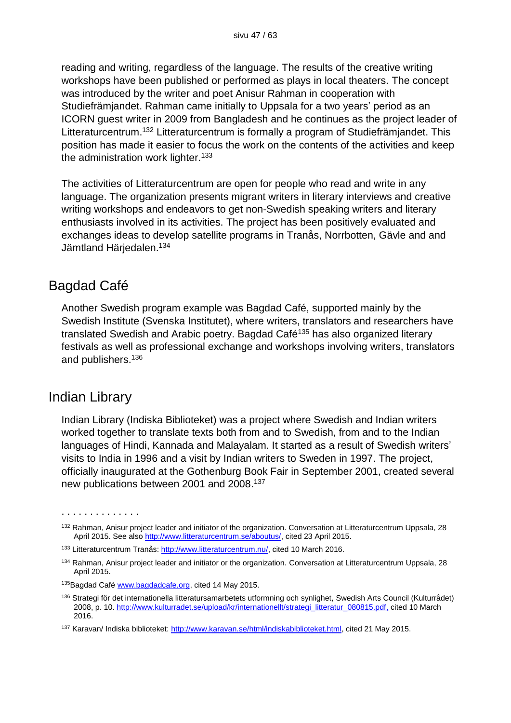reading and writing, regardless of the language. The results of the creative writing workshops have been published or performed as plays in local theaters. The concept was introduced by the writer and poet Anisur Rahman in cooperation with Studiefrämjandet. Rahman came initially to Uppsala for a two years' period as an ICORN guest writer in 2009 from Bangladesh and he continues as the project leader of Litteraturcentrum. <sup>132</sup> Litteraturcentrum is formally a program of Studiefrämjandet. This position has made it easier to focus the work on the contents of the activities and keep the administration work lighter.<sup>133</sup>

The activities of Litteraturcentrum are open for people who read and write in any language. The organization presents migrant writers in literary interviews and creative writing workshops and endeavors to get non-Swedish speaking writers and literary enthusiasts involved in its activities. The project has been positively evaluated and exchanges ideas to develop satellite programs in Tranås, Norrbotten, Gävle and and Jämtland Härjedalen. 134

## Bagdad Café

Another Swedish program example was Bagdad Café, supported mainly by the Swedish Institute (Svenska Institutet), where writers, translators and researchers have translated Swedish and Arabic poetry. Bagdad Café<sup>135</sup> has also organized literary festivals as well as professional exchange and workshops involving writers, translators and publishers.<sup>136</sup>

### Indian Library

. . . . . . . . . . . . . .

Indian Library (Indiska Biblioteket) was a project where Swedish and Indian writers worked together to translate texts both from and to Swedish, from and to the Indian languages of Hindi, Kannada and Malayalam. It started as a result of Swedish writers' visits to India in 1996 and a visit by Indian writers to Sweden in 1997. The project, officially inaugurated at the Gothenburg Book Fair in September 2001, created several new publications between 2001 and 2008. 137

<sup>&</sup>lt;sup>132</sup> Rahman, Anisur project leader and initiator of the organization. Conversation at Litteraturcentrum Uppsala, 28 April 2015. See also [http://www.litteraturcentrum.se/aboutus/,](http://www.litteraturcentrum.se/aboutus/) cited 23 April 2015.

<sup>133</sup> Litteraturcentrum Tranås: [http://www.litteraturcentrum.nu/,](http://www.litteraturcentrum.nu/) cited 10 March 2016.

<sup>&</sup>lt;sup>134</sup> Rahman, Anisur project leader and initiator or the organization. Conversation at Litteraturcentrum Uppsala, 28 April 2015.

<sup>&</sup>lt;sup>135</sup>Bagdad Café [www.bagdadcafe.org,](http://www.bagdadcafe.org/) cited 14 May 2015.

<sup>136</sup> Strategi för det internationella litteratursamarbetets utformning och synlighet, Swedish Arts Council (Kulturrådet) 2008, p. 10. [http://www.kulturradet.se/upload/kr/internationellt/strategi\\_litteratur\\_080815.pdf,](http://www.kulturradet.se/upload/kr/internationellt/strategi_litteratur_080815.pdf) cited 10 March 2016.

<sup>137</sup> Karavan/ Indiska biblioteket: [http://www.karavan.se/html/indiskabiblioteket.html,](http://www.karavan.se/html/indiskabiblioteket.html) cited 21 May 2015.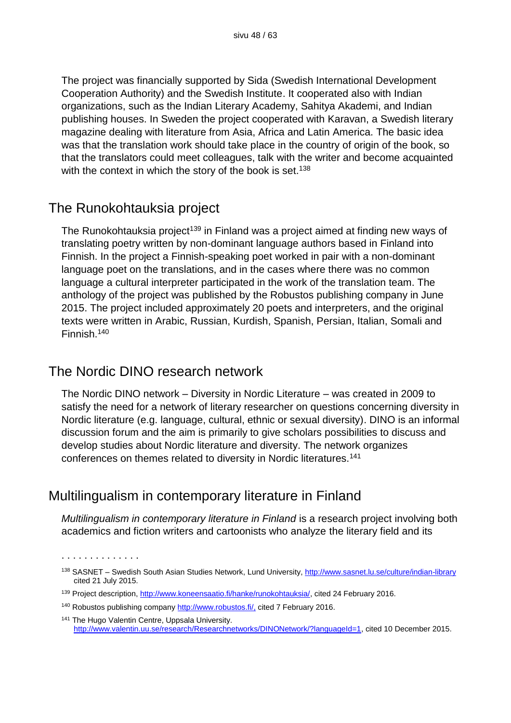The project was financially supported by Sida (Swedish International Development Cooperation Authority) and the Swedish Institute. It cooperated also with Indian organizations, such as the Indian Literary Academy, Sahitya Akademi, and Indian publishing houses. In Sweden the project cooperated with Karavan, a Swedish literary magazine dealing with literature from Asia, Africa and Latin America. The basic idea was that the translation work should take place in the country of origin of the book, so that the translators could meet colleagues, talk with the writer and become acquainted with the context in which the story of the book is set.<sup>138</sup>

### The Runokohtauksia project

The Runokohtauksia project<sup>139</sup> in Finland was a project aimed at finding new ways of translating poetry written by non-dominant language authors based in Finland into Finnish. In the project a Finnish-speaking poet worked in pair with a non-dominant language poet on the translations, and in the cases where there was no common language a cultural interpreter participated in the work of the translation team. The anthology of the project was published by the Robustos publishing company in June 2015. The project included approximately 20 poets and interpreters, and the original texts were written in Arabic, Russian, Kurdish, Spanish, Persian, Italian, Somali and Finnish.<sup>140</sup>

## The Nordic DINO research network

. . . . . . . . . . . . . .

The Nordic DINO network – Diversity in Nordic Literature – was created in 2009 to satisfy the need for a network of literary researcher on questions concerning diversity in Nordic literature (e.g. language, cultural, ethnic or sexual diversity). DINO is an informal discussion forum and the aim is primarily to give scholars possibilities to discuss and develop studies about Nordic literature and diversity. The network organizes conferences on themes related to diversity in Nordic literatures.<sup>141</sup>

## Multilingualism in contemporary literature in Finland

*Multilingualism in contemporary literature in Finland* is a research project involving both academics and fiction writers and cartoonists who analyze the literary field and its

<sup>138</sup> SASNET – Swedish South Asian Studies Network, Lund University,<http://www.sasnet.lu.se/culture/indian-library> cited 21 July 2015.

<sup>139</sup> Project description, [http://www.koneensaatio.fi/hanke/runokohtauksia/,](http://www.koneensaatio.fi/hanke/runokohtauksia/) cited 24 February 2016.

<sup>140</sup> Robustos publishing company [http://www.robustos.fi/,](http://www.robustos.fi/) cited 7 February 2016.

<sup>141</sup> The Hugo Valentin Centre, Uppsala University. [http://www.valentin.uu.se/research/Researchnetworks/DINONetwork/?languageId=1,](http://www.valentin.uu.se/research/Researchnetworks/DINONetwork/?languageId=1) cited 10 December 2015.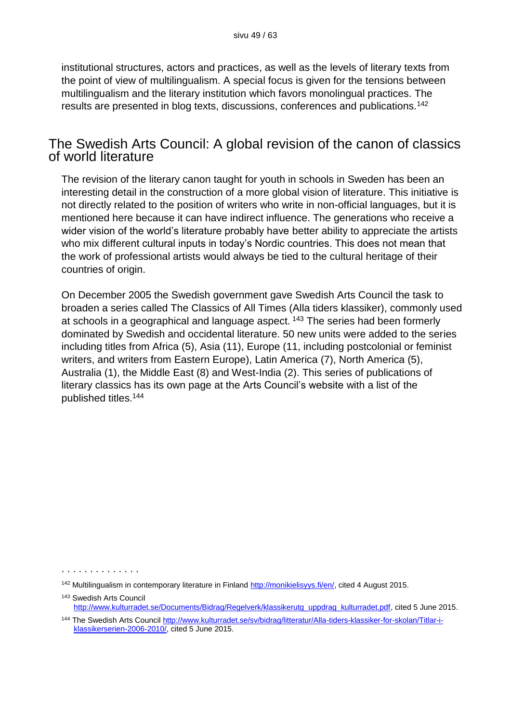institutional structures, actors and practices, as well as the levels of literary texts from the point of view of multilingualism. A special focus is given for the tensions between multilingualism and the literary institution which favors monolingual practices. The results are presented in blog texts, discussions, conferences and publications.<sup>142</sup>

### The Swedish Arts Council: A global revision of the canon of classics of world literature

The revision of the literary canon taught for youth in schools in Sweden has been an interesting detail in the construction of a more global vision of literature. This initiative is not directly related to the position of writers who write in non-official languages, but it is mentioned here because it can have indirect influence. The generations who receive a wider vision of the world's literature probably have better ability to appreciate the artists who mix different cultural inputs in today's Nordic countries. This does not mean that the work of professional artists would always be tied to the cultural heritage of their countries of origin.

On December 2005 the Swedish government gave Swedish Arts Council the task to broaden a series called The Classics of All Times (Alla tiders klassiker), commonly used at schools in a geographical and language aspect. <sup>143</sup> The series had been formerly dominated by Swedish and occidental literature. 50 new units were added to the series including titles from Africa (5), Asia (11), Europe (11, including postcolonial or feminist writers, and writers from Eastern Europe), Latin America (7), North America (5), Australia (1), the Middle East (8) and West-India (2). This series of publications of literary classics has its own page at the Arts Council's website with a list of the published titles.<sup>144</sup>

. . . . . . . . . . . . . .

<sup>143</sup> Swedish Arts Council [http://www.kulturradet.se/Documents/Bidrag/Regelverk/klassikerutg\\_uppdrag\\_kulturradet.pdf,](http://www.kulturradet.se/Documents/Bidrag/Regelverk/klassikerutg_uppdrag_kulturradet.pdf) cited 5 June 2015.

<sup>&</sup>lt;sup>142</sup> Multilingualism in contemporary literature in Finland [http://monikielisyys.fi/en/,](http://monikielisyys.fi/en/) cited 4 August 2015.

<sup>144</sup> The Swedish Arts Council [http://www.kulturradet.se/sv/bidrag/litteratur/Alla-tiders-klassiker-for-skolan/Titlar-i](http://www.kulturradet.se/sv/bidrag/litteratur/Alla-tiders-klassiker-for-skolan/Titlar-i-klassikerserien-2006-2010/)[klassikerserien-2006-2010/,](http://www.kulturradet.se/sv/bidrag/litteratur/Alla-tiders-klassiker-for-skolan/Titlar-i-klassikerserien-2006-2010/) cited 5 June 2015.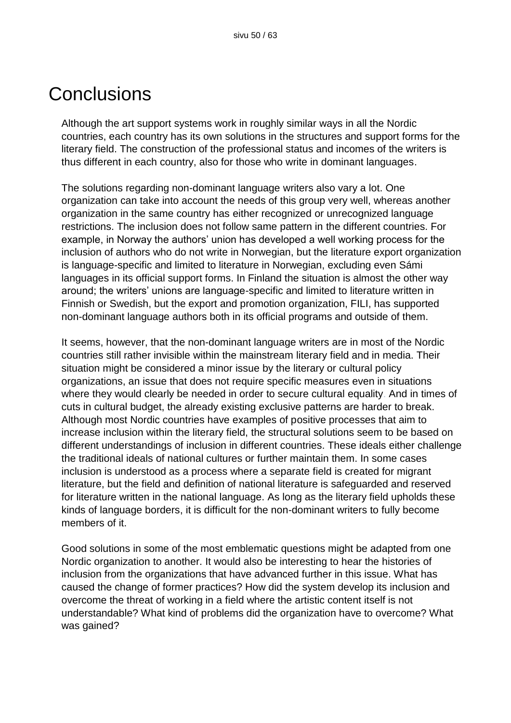## **Conclusions**

Although the art support systems work in roughly similar ways in all the Nordic countries, each country has its own solutions in the structures and support forms for the literary field. The construction of the professional status and incomes of the writers is thus different in each country, also for those who write in dominant languages.

The solutions regarding non-dominant language writers also vary a lot. One organization can take into account the needs of this group very well, whereas another organization in the same country has either recognized or unrecognized language restrictions. The inclusion does not follow same pattern in the different countries. For example, in Norway the authors' union has developed a well working process for the inclusion of authors who do not write in Norwegian, but the literature export organization is language-specific and limited to literature in Norwegian, excluding even Sámi languages in its official support forms. In Finland the situation is almost the other way around; the writers' unions are language-specific and limited to literature written in Finnish or Swedish, but the export and promotion organization, FILI, has supported non-dominant language authors both in its official programs and outside of them.

It seems, however, that the non-dominant language writers are in most of the Nordic countries still rather invisible within the mainstream literary field and in media. Their situation might be considered a minor issue by the literary or cultural policy organizations, an issue that does not require specific measures even in situations where they would clearly be needed in order to secure cultural equality. And in times of cuts in cultural budget, the already existing exclusive patterns are harder to break. Although most Nordic countries have examples of positive processes that aim to increase inclusion within the literary field, the structural solutions seem to be based on different understandings of inclusion in different countries. These ideals either challenge the traditional ideals of national cultures or further maintain them. In some cases inclusion is understood as a process where a separate field is created for migrant literature, but the field and definition of national literature is safeguarded and reserved for literature written in the national language. As long as the literary field upholds these kinds of language borders, it is difficult for the non-dominant writers to fully become members of it.

Good solutions in some of the most emblematic questions might be adapted from one Nordic organization to another. It would also be interesting to hear the histories of inclusion from the organizations that have advanced further in this issue. What has caused the change of former practices? How did the system develop its inclusion and overcome the threat of working in a field where the artistic content itself is not understandable? What kind of problems did the organization have to overcome? What was gained?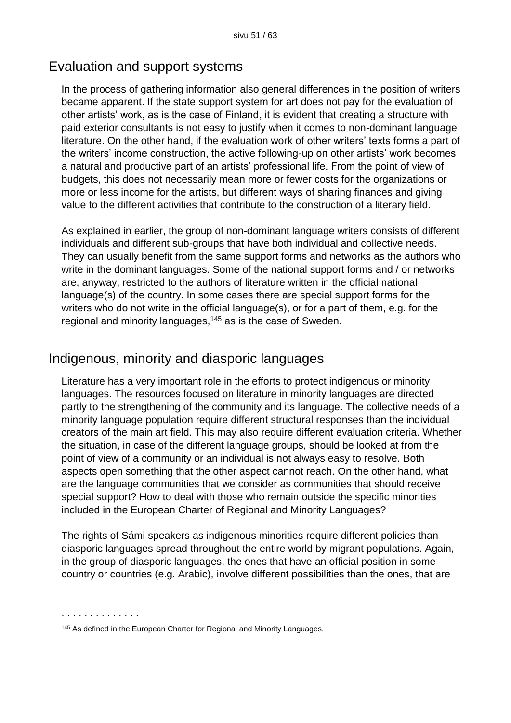## Evaluation and support systems

In the process of gathering information also general differences in the position of writers became apparent. If the state support system for art does not pay for the evaluation of other artists' work, as is the case of Finland, it is evident that creating a structure with paid exterior consultants is not easy to justify when it comes to non-dominant language literature. On the other hand, if the evaluation work of other writers' texts forms a part of the writers' income construction, the active following-up on other artists' work becomes a natural and productive part of an artists' professional life. From the point of view of budgets, this does not necessarily mean more or fewer costs for the organizations or more or less income for the artists, but different ways of sharing finances and giving value to the different activities that contribute to the construction of a literary field.

As explained in earlier, the group of non-dominant language writers consists of different individuals and different sub-groups that have both individual and collective needs. They can usually benefit from the same support forms and networks as the authors who write in the dominant languages. Some of the national support forms and / or networks are, anyway, restricted to the authors of literature written in the official national language(s) of the country. In some cases there are special support forms for the writers who do not write in the official language(s), or for a part of them, e.g. for the regional and minority languages,<sup>145</sup> as is the case of Sweden.

## Indigenous, minority and diasporic languages

Literature has a very important role in the efforts to protect indigenous or minority languages. The resources focused on literature in minority languages are directed partly to the strengthening of the community and its language. The collective needs of a minority language population require different structural responses than the individual creators of the main art field. This may also require different evaluation criteria. Whether the situation, in case of the different language groups, should be looked at from the point of view of a community or an individual is not always easy to resolve. Both aspects open something that the other aspect cannot reach. On the other hand, what are the language communities that we consider as communities that should receive special support? How to deal with those who remain outside the specific minorities included in the European Charter of Regional and Minority Languages?

The rights of Sámi speakers as indigenous minorities require different policies than diasporic languages spread throughout the entire world by migrant populations. Again, in the group of diasporic languages, the ones that have an official position in some country or countries (e.g. Arabic), involve different possibilities than the ones, that are

<sup>145</sup> As defined in the European Charter for Regional and Minority Languages.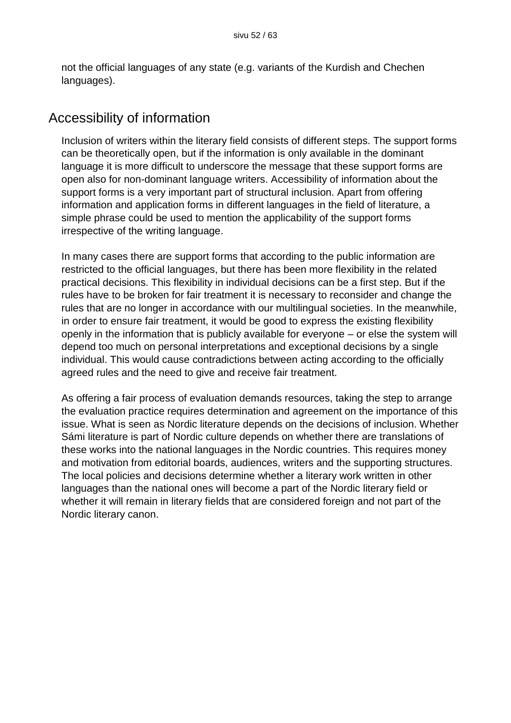not the official languages of any state (e.g. variants of the Kurdish and Chechen languages).

## Accessibility of information

Inclusion of writers within the literary field consists of different steps. The support forms can be theoretically open, but if the information is only available in the dominant language it is more difficult to underscore the message that these support forms are open also for non-dominant language writers. Accessibility of information about the support forms is a very important part of structural inclusion. Apart from offering information and application forms in different languages in the field of literature, a simple phrase could be used to mention the applicability of the support forms irrespective of the writing language.

In many cases there are support forms that according to the public information are restricted to the official languages, but there has been more flexibility in the related practical decisions. This flexibility in individual decisions can be a first step. But if the rules have to be broken for fair treatment it is necessary to reconsider and change the rules that are no longer in accordance with our multilingual societies. In the meanwhile, in order to ensure fair treatment, it would be good to express the existing flexibility openly in the information that is publicly available for everyone – or else the system will depend too much on personal interpretations and exceptional decisions by a single individual. This would cause contradictions between acting according to the officially agreed rules and the need to give and receive fair treatment.

As offering a fair process of evaluation demands resources, taking the step to arrange the evaluation practice requires determination and agreement on the importance of this issue. What is seen as Nordic literature depends on the decisions of inclusion. Whether Sámi literature is part of Nordic culture depends on whether there are translations of these works into the national languages in the Nordic countries. This requires money and motivation from editorial boards, audiences, writers and the supporting structures. The local policies and decisions determine whether a literary work written in other languages than the national ones will become a part of the Nordic literary field or whether it will remain in literary fields that are considered foreign and not part of the Nordic literary canon.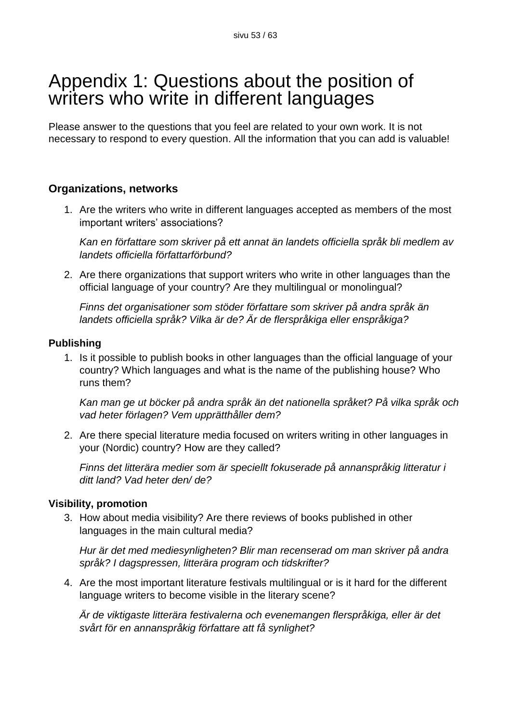## Appendix 1: Questions about the position of writers who write in different languages

Please answer to the questions that you feel are related to your own work. It is not necessary to respond to every question. All the information that you can add is valuable!

#### **Organizations, networks**

1. Are the writers who write in different languages accepted as members of the most important writers' associations?

*Kan en författare som skriver på ett annat än landets officiella språk bli medlem av landets officiella författarförbund?*

2. Are there organizations that support writers who write in other languages than the official language of your country? Are they multilingual or monolingual?

*Finns det organisationer som stöder författare som skriver på andra språk än landets officiella språk? Vilka är de? Är de flerspråkiga eller enspråkiga?* 

#### **Publishing**

1. Is it possible to publish books in other languages than the official language of your country? Which languages and what is the name of the publishing house? Who runs them?

*Kan man ge ut böcker på andra språk än det nationella språket? På vilka språk och vad heter förlagen? Vem upprätthåller dem?*

2. Are there special literature media focused on writers writing in other languages in your (Nordic) country? How are they called?

*Finns det litterära medier som är speciellt fokuserade på annanspråkig litteratur i ditt land? Vad heter den/ de?*

#### **Visibility, promotion**

3. How about media visibility? Are there reviews of books published in other languages in the main cultural media?

*Hur är det med mediesynligheten? Blir man recenserad om man skriver på andra språk? I dagspressen, litterära program och tidskrifter?*

4. Are the most important literature festivals multilingual or is it hard for the different language writers to become visible in the literary scene?

*Är de viktigaste litterära festivalerna och evenemangen flerspråkiga, eller är det svårt för en annanspråkig författare att få synlighet?*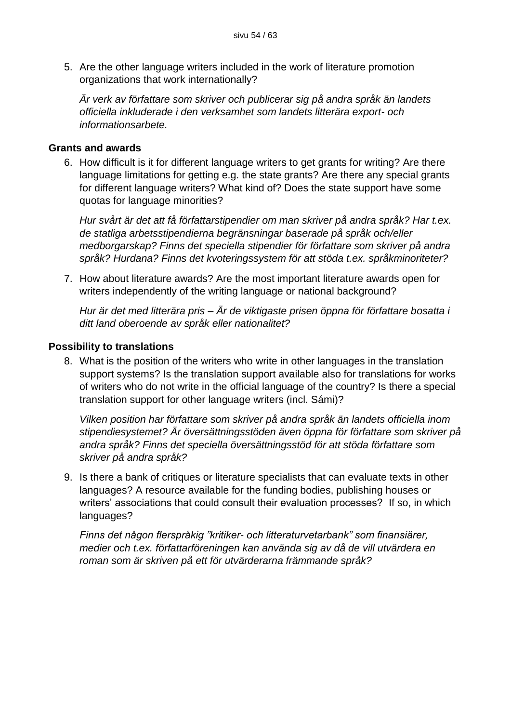5. Are the other language writers included in the work of literature promotion organizations that work internationally?

*Är verk av författare som skriver och publicerar sig på andra språk än landets officiella inkluderade i den verksamhet som landets litterära export- och informationsarbete.*

#### **Grants and awards**

6. How difficult is it for different language writers to get grants for writing? Are there language limitations for getting e.g. the state grants? Are there any special grants for different language writers? What kind of? Does the state support have some quotas for language minorities?

*Hur svårt är det att få författarstipendier om man skriver på andra språk? Har t.ex. de statliga arbetsstipendierna begränsningar baserade på språk och/eller medborgarskap? Finns det speciella stipendier för författare som skriver på andra språk? Hurdana? Finns det kvoteringssystem för att stöda t.ex. språkminoriteter?*

7. How about literature awards? Are the most important literature awards open for writers independently of the writing language or national background?

*Hur är det med litterära pris – Är de viktigaste prisen öppna för författare bosatta i ditt land oberoende av språk eller nationalitet?* 

#### **Possibility to translations**

8. What is the position of the writers who write in other languages in the translation support systems? Is the translation support available also for translations for works of writers who do not write in the official language of the country? Is there a special translation support for other language writers (incl. Sámi)?

*Vilken position har författare som skriver på andra språk än landets officiella inom stipendiesystemet? Är översättningsstöden även öppna för författare som skriver på andra språk? Finns det speciella översättningsstöd för att stöda författare som skriver på andra språk?* 

9. Is there a bank of critiques or literature specialists that can evaluate texts in other languages? A resource available for the funding bodies, publishing houses or writers' associations that could consult their evaluation processes? If so, in which languages?

*Finns det någon flerspråkig "kritiker- och litteraturvetarbank" som finansiärer, medier och t.ex. författarföreningen kan använda sig av då de vill utvärdera en roman som är skriven på ett för utvärderarna främmande språk?*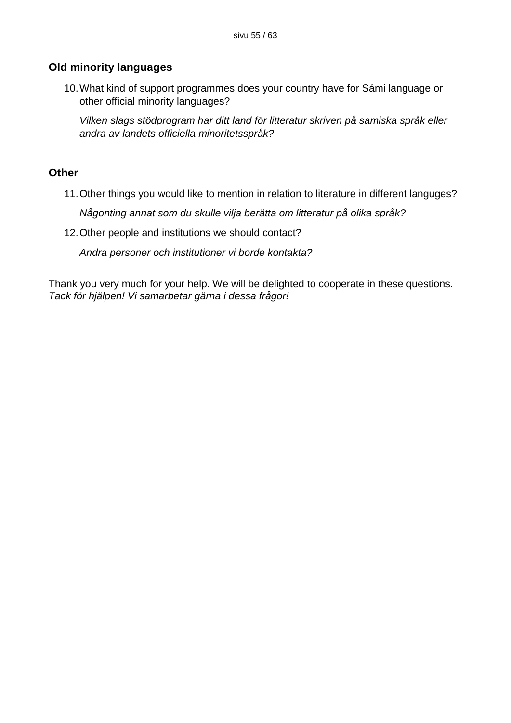#### **Old minority languages**

10.What kind of support programmes does your country have for Sámi language or other official minority languages?

*Vilken slags stödprogram har ditt land för litteratur skriven på samiska språk eller andra av landets officiella minoritetsspråk?*

#### **Other**

11.Other things you would like to mention in relation to literature in different languges?

*Någonting annat som du skulle vilja berätta om litteratur på olika språk?* 

12.Other people and institutions we should contact?

*Andra personer och institutioner vi borde kontakta?*

Thank you very much for your help. We will be delighted to cooperate in these questions. *Tack för hjälpen! Vi samarbetar gärna i dessa frågor!*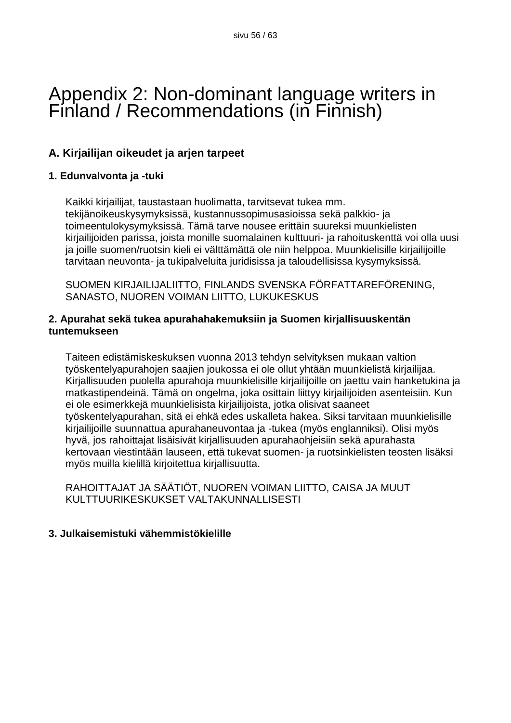## Appendix 2: Non-dominant language writers in Finland / Recommendations (in Finnish)

### **A. Kirjailijan oikeudet ja arjen tarpeet**

#### **1. Edunvalvonta ja -tuki**

Kaikki kirjailijat, taustastaan huolimatta, tarvitsevat tukea mm. tekijänoikeuskysymyksissä, kustannussopimusasioissa sekä palkkio- ja toimeentulokysymyksissä. Tämä tarve nousee erittäin suureksi muunkielisten kirjailijoiden parissa, joista monille suomalainen kulttuuri- ja rahoituskenttä voi olla uusi ja joille suomen/ruotsin kieli ei välttämättä ole niin helppoa. Muunkielisille kirjailijoille tarvitaan neuvonta- ja tukipalveluita juridisissa ja taloudellisissa kysymyksissä.

SUOMEN KIRJAILIJALIITTO, FINLANDS SVENSKA FÖRFATTAREFÖRENING, SANASTO, NUOREN VOIMAN LIITTO, LUKUKESKUS

#### **2. Apurahat sekä tukea apurahahakemuksiin ja Suomen kirjallisuuskentän tuntemukseen**

Taiteen edistämiskeskuksen vuonna 2013 tehdyn selvityksen mukaan valtion työskentelyapurahojen saajien joukossa ei ole ollut yhtään muunkielistä kirjailijaa. Kirjallisuuden puolella apurahoja muunkielisille kirjailijoille on jaettu vain hanketukina ja matkastipendeinä. Tämä on ongelma, joka osittain liittyy kirjailijoiden asenteisiin. Kun ei ole esimerkkejä muunkielisista kirjailijoista, jotka olisivat saaneet työskentelyapurahan, sitä ei ehkä edes uskalleta hakea. Siksi tarvitaan muunkielisille kirjailijoille suunnattua apurahaneuvontaa ja -tukea (myös englanniksi). Olisi myös hyvä, jos rahoittajat lisäisivät kirjallisuuden apurahaohjeisiin sekä apurahasta kertovaan viestintään lauseen, että tukevat suomen- ja ruotsinkielisten teosten lisäksi myös muilla kielillä kirjoitettua kirjallisuutta.

RAHOITTAJAT JA SÄÄTIÖT, NUOREN VOIMAN LIITTO, CAISA JA MUUT KULTTUURIKESKUKSET VALTAKUNNALLISESTI

#### **3. Julkaisemistuki vähemmistökielille**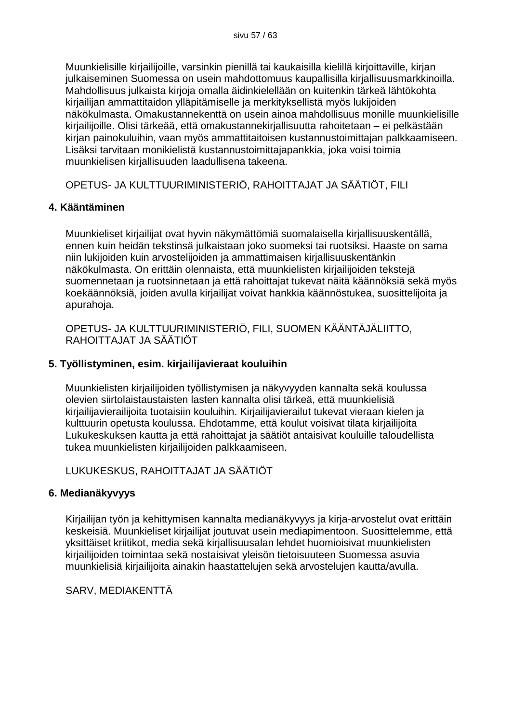Muunkielisille kirjailijoille, varsinkin pienillä tai kaukaisilla kielillä kirjoittaville, kirjan julkaiseminen Suomessa on usein mahdottomuus kaupallisilla kirjallisuusmarkkinoilla. Mahdollisuus julkaista kirjoja omalla äidinkielellään on kuitenkin tärkeä lähtökohta kirjailijan ammattitaidon ylläpitämiselle ja merkityksellistä myös lukijoiden näkökulmasta. Omakustannekenttä on usein ainoa mahdollisuus monille muunkielisille kirjailijoille. Olisi tärkeää, että omakustannekirjallisuutta rahoitetaan – ei pelkästään kirjan painokuluihin, vaan myös ammattitaitoisen kustannustoimittajan palkkaamiseen. Lisäksi tarvitaan monikielistä kustannustoimittajapankkia, joka voisi toimia muunkielisen kirjallisuuden laadullisena takeena.

OPETUS- JA KULTTUURIMINISTERIÖ, RAHOITTAJAT JA SÄÄTIÖT, FILI

#### **4. Kääntäminen**

Muunkieliset kirjailijat ovat hyvin näkymättömiä suomalaisella kirjallisuuskentällä, ennen kuin heidän tekstinsä julkaistaan joko suomeksi tai ruotsiksi. Haaste on sama niin lukijoiden kuin arvostelijoiden ja ammattimaisen kirjallisuuskentänkin näkökulmasta. On erittäin olennaista, että muunkielisten kirjailijoiden tekstejä suomennetaan ja ruotsinnetaan ja että rahoittajat tukevat näitä käännöksiä sekä myös koekäännöksiä, joiden avulla kirjailijat voivat hankkia käännöstukea, suosittelijoita ja apurahoja.

OPETUS- JA KULTTUURIMINISTERIÖ, FILI, SUOMEN KÄÄNTÄJÄLIITTO, RAHOITTAJAT JA SÄÄTIÖT

#### **5. Työllistyminen, esim. kirjailijavieraat kouluihin**

Muunkielisten kirjailijoiden työllistymisen ja näkyvyyden kannalta sekä koulussa olevien siirtolaistaustaisten lasten kannalta olisi tärkeä, että muunkielisiä kirjailijavierailijoita tuotaisiin kouluihin. Kirjailijavierailut tukevat vieraan kielen ja kulttuurin opetusta koulussa. Ehdotamme, että koulut voisivat tilata kirjailijoita Lukukeskuksen kautta ja että rahoittajat ja säätiöt antaisivat kouluille taloudellista tukea muunkielisten kirjailijoiden palkkaamiseen.

LUKUKESKUS, RAHOITTAJAT JA SÄÄTIÖT

#### **6. Medianäkyvyys**

Kirjailijan työn ja kehittymisen kannalta medianäkyvyys ja kirja-arvostelut ovat erittäin keskeisiä. Muunkieliset kirjailijat joutuvat usein mediapimentoon. Suosittelemme, että yksittäiset kriitikot, media sekä kirjallisuusalan lehdet huomioisivat muunkielisten kirjailijoiden toimintaa sekä nostaisivat yleisön tietoisuuteen Suomessa asuvia muunkielisiä kirjailijoita ainakin haastattelujen sekä arvostelujen kautta/avulla.

SARV, MEDIAKENTTÄ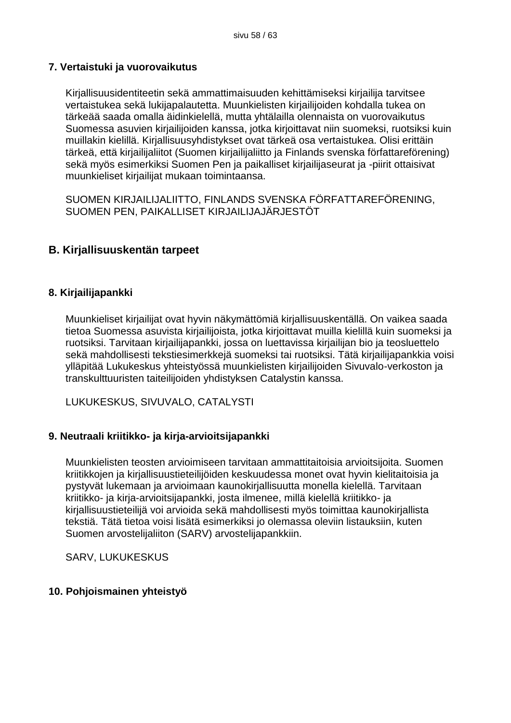#### **7. Vertaistuki ja vuorovaikutus**

Kirjallisuusidentiteetin sekä ammattimaisuuden kehittämiseksi kirjailija tarvitsee vertaistukea sekä lukijapalautetta. Muunkielisten kirjailijoiden kohdalla tukea on tärkeää saada omalla äidinkielellä, mutta yhtälailla olennaista on vuorovaikutus Suomessa asuvien kirjailijoiden kanssa, jotka kirjoittavat niin suomeksi, ruotsiksi kuin muillakin kielillä. Kirjallisuusyhdistykset ovat tärkeä osa vertaistukea. Olisi erittäin tärkeä, että kirjailijaliitot (Suomen kirjailijaliitto ja Finlands svenska författareförening) sekä myös esimerkiksi Suomen Pen ja paikalliset kirjailijaseurat ja -piirit ottaisivat muunkieliset kirjailijat mukaan toimintaansa.

SUOMEN KIRJAILIJALIITTO, FINLANDS SVENSKA FÖRFATTAREFÖRENING, SUOMEN PEN, PAIKALLISET KIRJAILIJAJÄRJESTÖT

#### **B. Kirjallisuuskentän tarpeet**

#### **8. Kirjailijapankki**

Muunkieliset kirjailijat ovat hyvin näkymättömiä kirjallisuuskentällä. On vaikea saada tietoa Suomessa asuvista kirjailijoista, jotka kirjoittavat muilla kielillä kuin suomeksi ja ruotsiksi. Tarvitaan kirjailijapankki, jossa on luettavissa kirjailijan bio ja teosluettelo sekä mahdollisesti tekstiesimerkkejä suomeksi tai ruotsiksi. Tätä kirjailijapankkia voisi ylläpitää Lukukeskus yhteistyössä muunkielisten kirjailijoiden Sivuvalo-verkoston ja transkulttuuristen taiteilijoiden yhdistyksen Catalystin kanssa.

LUKUKESKUS, SIVUVALO, CATALYSTI

#### **9. Neutraali kriitikko- ja kirja-arvioitsijapankki**

Muunkielisten teosten arvioimiseen tarvitaan ammattitaitoisia arvioitsijoita. Suomen kriitikkojen ja kirjallisuustieteilijöiden keskuudessa monet ovat hyvin kielitaitoisia ja pystyvät lukemaan ja arvioimaan kaunokirjallisuutta monella kielellä. Tarvitaan kriitikko- ja kirja-arvioitsijapankki, josta ilmenee, millä kielellä kriitikko- ja kirjallisuustieteilijä voi arvioida sekä mahdollisesti myös toimittaa kaunokirjallista tekstiä. Tätä tietoa voisi lisätä esimerkiksi jo olemassa oleviin listauksiin, kuten Suomen arvostelijaliiton (SARV) arvostelijapankkiin.

SARV, LUKUKESKUS

#### **10. Pohjoismainen yhteistyö**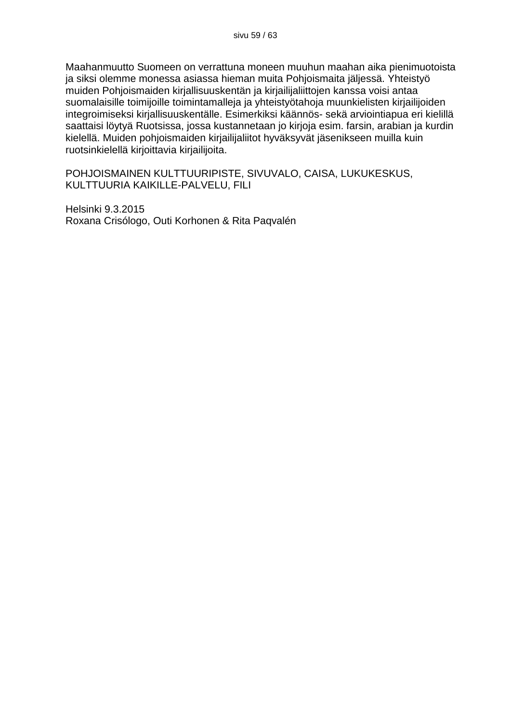Maahanmuutto Suomeen on verrattuna moneen muuhun maahan aika pienimuotoista ja siksi olemme monessa asiassa hieman muita Pohjoismaita jäljessä. Yhteistyö muiden Pohjoismaiden kirjallisuuskentän ja kirjailijaliittojen kanssa voisi antaa suomalaisille toimijoille toimintamalleja ja yhteistyötahoja muunkielisten kirjailijoiden integroimiseksi kirjallisuuskentälle. Esimerkiksi käännös- sekä arviointiapua eri kielillä saattaisi löytyä Ruotsissa, jossa kustannetaan jo kirjoja esim. farsin, arabian ja kurdin kielellä. Muiden pohjoismaiden kirjailijaliitot hyväksyvät jäsenikseen muilla kuin ruotsinkielellä kirjoittavia kirjailijoita.

POHJOISMAINEN KULTTUURIPISTE, SIVUVALO, CAISA, LUKUKESKUS, KULTTUURIA KAIKILLE-PALVELU, FILI

Helsinki 9.3.2015 Roxana Crisólogo, Outi Korhonen & Rita Paqvalén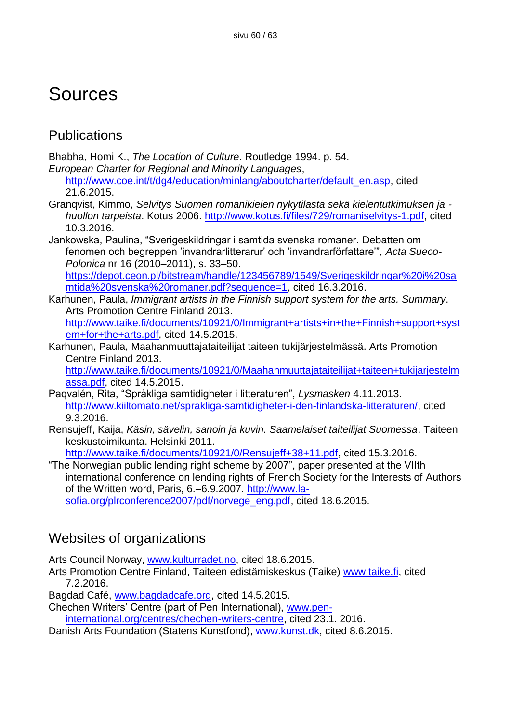## **Sources**

## **Publications**

Bhabha, Homi K., *The Location of Culture*. Routledge 1994. p. 54.

*European Charter for Regional and Minority Languages*,

http://www.coe.int/t/dq4/education/minlang/aboutcharter/default\_en.asp, cited 21.6.2015.

- Granqvist, Kimmo, *Selvitys Suomen romanikielen nykytilasta sekä kielentutkimuksen ja huollon tarpeista*. Kotus 2006. [http://www.kotus.fi/files/729/romaniselvitys-1.pdf,](http://www.kotus.fi/files/729/romaniselvitys-1.pdf) cited 10.3.2016.
- Jankowska, Paulina, "Sverigeskildringar i samtida svenska romaner. Debatten om fenomen och begreppen 'invandrarlitterarur' och 'invandrarförfattare'", *Acta Sueco-Polonica* nr 16 (2010–2011), s. 33–50. [https://depot.ceon.pl/bitstream/handle/123456789/1549/Sverigeskildringar%20i%20sa](https://depot.ceon.pl/bitstream/handle/123456789/1549/Sverigeskildringar%20i%20samtida%20svenska%20romaner.pdf?sequence=1)

[mtida%20svenska%20romaner.pdf?sequence=1,](https://depot.ceon.pl/bitstream/handle/123456789/1549/Sverigeskildringar%20i%20samtida%20svenska%20romaner.pdf?sequence=1) cited 16.3.2016.

- Karhunen, Paula, *Immigrant artists in the Finnish support system for the arts. Summary*. Arts Promotion Centre Finland 2013. [http://www.taike.fi/documents/10921/0/Immigrant+artists+in+the+Finnish+support+syst](http://www.taike.fi/documents/10921/0/Immigrant+artists+in+the+Finnish+support+system+for+the+arts.pdf) [em+for+the+arts.pdf,](http://www.taike.fi/documents/10921/0/Immigrant+artists+in+the+Finnish+support+system+for+the+arts.pdf) cited 14.5.2015.
- Karhunen, Paula, Maahanmuuttajataiteilijat taiteen tukijärjestelmässä. Arts Promotion Centre Finland 2013.

[http://www.taike.fi/documents/10921/0/Maahanmuuttajataiteilijat+taiteen+tukijarjestelm](http://www.taike.fi/documents/10921/0/Maahanmuuttajataiteilijat+taiteen+tukijarjestelmassa.pdf) [assa.pdf,](http://www.taike.fi/documents/10921/0/Maahanmuuttajataiteilijat+taiteen+tukijarjestelmassa.pdf) cited 14.5.2015.

- Paqvalén, Rita, "Språkliga samtidigheter i litteraturen", *Lysmasken* 4.11.2013. [http://www.kiiltomato.net/sprakliga-samtidigheter-i-den-finlandska-litteraturen/,](http://www.kiiltomato.net/sprakliga-samtidigheter-i-den-finlandska-litteraturen/) cited 9.3.2016.
- Rensujeff, Kaija, *Käsin, sävelin, sanoin ja kuvin. Saamelaiset taiteilijat Suomessa*. Taiteen keskustoimikunta. Helsinki 2011.

[http://www.taike.fi/documents/10921/0/Rensujeff+38+11.pdf,](http://www.taike.fi/documents/10921/0/Rensujeff+38+11.pdf) cited 15.3.2016.

"The Norwegian public lending right scheme by 2007", paper presented at the VIIth international conference on lending rights of French Society for the Interests of Authors of the Written word, Paris, 6.–6.9.2007. [http://www.la](http://www.la-sofia.org/plrconference2007/pdf/norvege_eng.pdf)[sofia.org/plrconference2007/pdf/norvege\\_eng.pdf,](http://www.la-sofia.org/plrconference2007/pdf/norvege_eng.pdf) cited 18.6.2015.

## Websites of organizations

Arts Council Norway, [www.kulturradet.no,](www.kulturradet.no) cited 18.6.2015.

Arts Promotion Centre Finland, Taiteen edistämiskeskus (Taike) [www.taike.fi,](www.taike.fi) cited 7.2.2016.

Bagdad Café, [www.bagdadcafe.org,](www.bagdadcafe.org) cited 14.5.2015.

Chechen Writers' Centre (part of Pen International), [www.pen-](www.pen-international.org/centres/chechen-writers-centre)

[international.org/centres/chechen-writers-centre,](www.pen-international.org/centres/chechen-writers-centre) cited 23.1. 2016.

Danish Arts Foundation (Statens Kunstfond), [www.kunst.dk,](www.kunst.dk) cited 8.6.2015.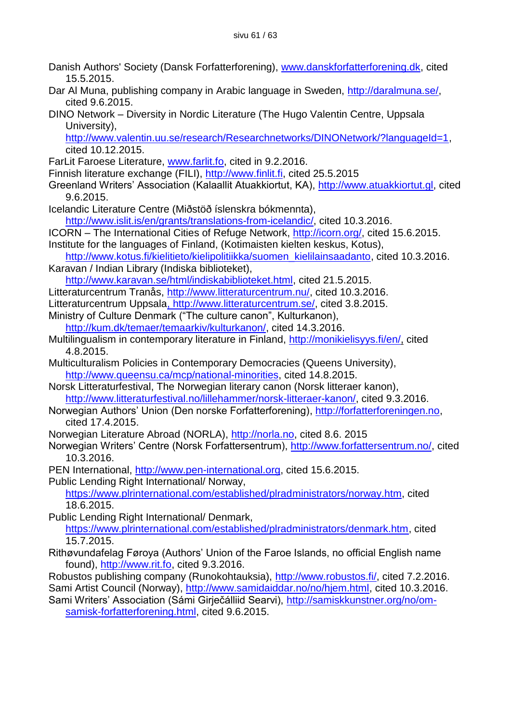- Danish Authors' Society (Dansk Forfatterforening), [www.danskforfatterforening.dk,](www.danskforfatterforening.dk) cited 15.5.2015.
- Dar Al Muna, publishing company in Arabic language in Sweden, [http://daralmuna.se/,](http://daralmuna.se/) cited 9.6.2015.
- DINO Network Diversity in Nordic Literature (The Hugo Valentin Centre, Uppsala University),

[http://www.valentin.uu.se/research/Researchnetworks/DINONetwork/?languageId=1,](http://www.valentin.uu.se/research/Researchnetworks/DINONetwork/?languageId=1) cited 10.12.2015.

- FarLit Faroese Literature, [www.farlit.fo,](www.farlit.fo) cited in 9.2.2016.
- Finnish literature exchange (FILI), [http://www.finlit.fi,](http://www.finlit.fi/) cited 25.5.2015
- Greenland Writers' Association (Kalaallit Atuakkiortut, KA), [http://www.atuakkiortut.gl,](http://www.atuakkiortut.gl/) cited 9.6.2015.
- Icelandic Literature Centre (Miðstöð íslenskra bókmennta), [http://www.islit.is/en/grants/translations-from-icelandic/,](http://www.islit.is/en/grants/translations-from-icelandic/) cited 10.3.2016.
- ICORN The International Cities of Refuge Network, [http://icorn.org/,](http://icorn.org/) cited 15.6.2015.
- Institute for the languages of Finland, (Kotimaisten kielten keskus, Kotus),

[http://www.kotus.fi/kielitieto/kielipolitiikka/suomen\\_kielilainsaadanto,](http://www.kotus.fi/kielitieto/kielipolitiikka/suomen_kielilainsaadanto) cited 10.3.2016. Karavan / Indian Library (Indiska biblioteket),

[http://www.karavan.se/html/indiskabiblioteket.html,](http://www.karavan.se/html/indiskabiblioteket.html) cited 21.5.2015.

- Litteraturcentrum Tranås, [http://www.litteraturcentrum.nu/,](http://www.litteraturcentrum.nu/) cited 10.3.2016.
- Litteraturcentrum Uppsal[a, http://www.litteraturcentrum.se/,](,%20http:/www.litteraturcentrum.se/) cited 3.8.2015.
- Ministry of Culture Denmark ("The culture canon", Kulturkanon), [http://kum.dk/temaer/temaarkiv/kulturkanon/,](http://kum.dk/temaer/temaarkiv/kulturkanon/) cited 14.3.2016.
- Multilingualism in contemporary literature in Finland, [http://monikielisyys.fi/en/,](http://monikielisyys.fi/en/) cited 4.8.2015.
- Multiculturalism Policies in Contemporary Democracies (Queens University), [http://www.queensu.ca/mcp/national-minorities,](http://www.queensu.ca/mcp/national-minorities) cited 14.8.2015.
- Norsk Litteraturfestival, The Norwegian literary canon (Norsk litteraer kanon), [http://www.litteraturfestival.no/lillehammer/norsk-litteraer-kanon/,](http://www.litteraturfestival.no/lillehammer/norsk-litteraer-kanon/) cited 9.3.2016.
- Norwegian Authors' Union (Den norske Forfatterforening), [http://forfatterforeningen.no,](http://forfatterforeningen.no/) cited 17.4.2015.
- Norwegian Literature Abroad (NORLA), [http://norla.no,](http://norla.no/) cited 8.6. 2015
- Norwegian Writers' Centre (Norsk Forfattersentrum), [http://www.forfattersentrum.no/,](http://www.forfattersentrum.no/) cited 10.3.2016.
- PEN International, [http://www.pen-international.org,](http://www.pen-international.org/) cited 15.6.2015.

Public Lending Right International/ Norway,

[https://www.plrinternational.com/established/plradministrators/norway.htm,](https://www.plrinternational.com/established/plradministrators/norway.htm) cited 18.6.2015.

Public Lending Right International/ Denmark,

[https://www.plrinternational.com/established/plradministrators/denmark.htm,](https://www.plrinternational.com/established/plradministrators/denmark.htm) cited 15.7.2015.

Rithøvundafelag Føroya (Authors' Union of the Faroe Islands, no official English name found), [http://www.rit.fo,](http://www.rit.fo/) cited 9.3.2016.

Robustos publishing company (Runokohtauksia), [http://www.robustos.fi/,](http://www.robustos.fi/) cited 7.2.2016. Sami Artist Council (Norway), [http://www.samidaiddar.no/no/hjem.html,](http://www.samidaiddar.no/no/hjem.html) cited 10.3.2016.

Sami Writers' Association (Sámi Girječálliid Searvi), [http://samiskkunstner.org/no/om](http://samiskkunstner.org/no/om-samisk-forfatterforening.html)[samisk-forfatterforening.html,](http://samiskkunstner.org/no/om-samisk-forfatterforening.html) cited 9.6.2015.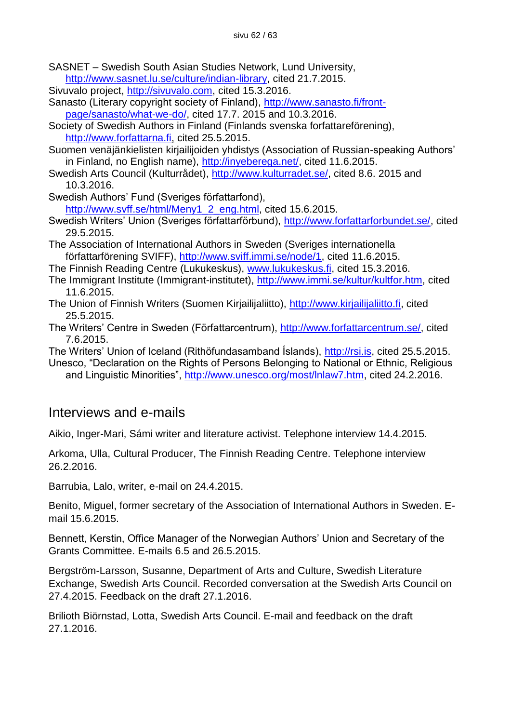SASNET – Swedish South Asian Studies Network, Lund University, [http://www.sasnet.lu.se/culture/indian-library,](http://www.sasnet.lu.se/culture/indian-library) cited 21.7.2015.

Sivuvalo project, [http://sivuvalo.com,](http://sivuvalo.com/) cited 15.3.2016.

Sanasto (Literary copyright society of Finland), [http://www.sanasto.fi/front](http://www.sanasto.fi/front-page/sanasto/what-we-do/)[page/sanasto/what-we-do/,](http://www.sanasto.fi/front-page/sanasto/what-we-do/) cited 17.7. 2015 and 10.3.2016.

Society of Swedish Authors in Finland (Finlands svenska forfattareförening), [http://www.forfattarna.fi,](http://www.forfattarna.fi/) cited 25.5.2015.

Suomen venäjänkielisten kirjailijoiden yhdistys (Association of Russian-speaking Authors' in Finland, no English name), [http://inyeberega.net/,](http://inyeberega.net/) cited 11.6.2015.

Swedish Arts Council (Kulturrådet), [http://www.kulturradet.se/,](http://www.kulturradet.se/) cited 8.6. 2015 and 10.3.2016.

Swedish Authors' Fund (Sveriges författarfond),

[http://www.svff.se/html/Meny1\\_2\\_eng.html,](http://www.svff.se/html/Meny1_2_eng.html) cited 15.6.2015.

Swedish Writers' Union (Sveriges författarförbund), [http://www.forfattarforbundet.se/,](http://www.forfattarforbundet.se/) cited 29.5.2015.

The Association of International Authors in Sweden (Sveriges internationella författarförening SVIFF), [http://www.sviff.immi.se/node/1,](http://www.sviff.immi.se/node/1) cited 11.6.2015.

The Finnish Reading Centre (Lukukeskus), [www.lukukeskus.fi,](www.lukukeskus.fi) cited 15.3.2016.

The Immigrant Institute (Immigrant-institutet), [http://www.immi.se/kultur/kultfor.htm,](http://www.immi.se/kultur/kultfor.htm) cited 11.6.2015.

The Union of Finnish Writers (Suomen Kirjailijaliitto), [http://www.kirjailijaliitto.fi,](http://www.kirjailijaliitto.fi/) cited 25.5.2015.

The Writers' Centre in Sweden (Författarcentrum), [http://www.forfattarcentrum.se/,](http://www.forfattarcentrum.se/) cited 7.6.2015.

The Writers' Union of Iceland (Rithöfundasamband Íslands), [http://rsi.is,](http://rsi.is/) cited 25.5.2015.

Unesco, "Declaration on the Rights of Persons Belonging to National or Ethnic, Religious and Linguistic Minorities", [http://www.unesco.org/most/lnlaw7.htm,](http://www.unesco.org/most/lnlaw7.htm) cited 24.2.2016.

## Interviews and e-mails

Aikio, Inger-Mari, Sámi writer and literature activist. Telephone interview 14.4.2015.

Arkoma, Ulla, Cultural Producer, The Finnish Reading Centre. Telephone interview 26.2.2016.

Barrubia, Lalo, writer, e-mail on 24.4.2015.

Benito, Miguel, former secretary of the Association of International Authors in Sweden. Email 15.6.2015.

Bennett, Kerstin, Office Manager of the Norwegian Authors' Union and Secretary of the Grants Committee. E-mails 6.5 and 26.5.2015.

Bergström-Larsson, Susanne, Department of Arts and Culture, Swedish Literature Exchange, Swedish Arts Council. Recorded conversation at the Swedish Arts Council on 27.4.2015. Feedback on the draft 27.1.2016.

Brilioth Biörnstad, Lotta, Swedish Arts Council. E-mail and feedback on the draft 27.1.2016.